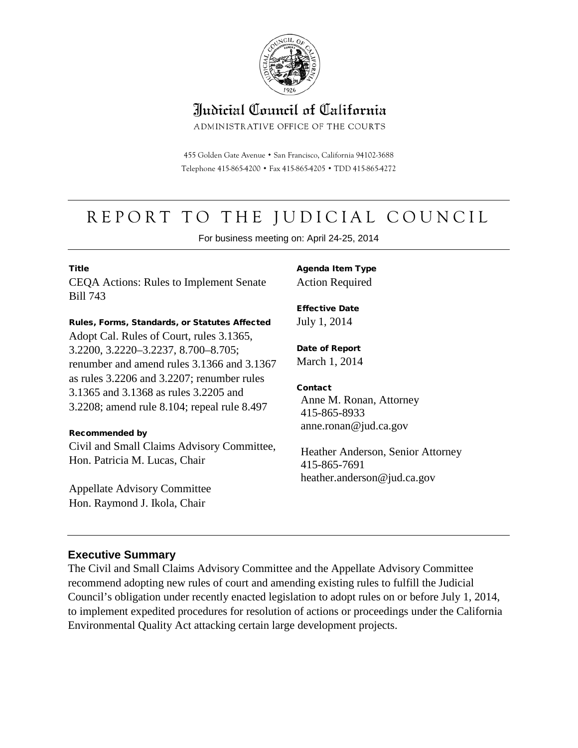

# Indicial Council of California

ADMINISTRATIVE OFFICE OF THE COURTS

455 Golden Gate Avenue · San Francisco, California 94102-3688 Telephone 415-865-4200 . Fax 415-865-4205 . TDD 415-865-4272

# REPORT TO THE JUDICIAL COUNCIL

For business meeting on: April 24-25, 2014

#### **Title**

CEQA Actions: Rules to Implement Senate Bill 743

#### Rules, Forms, Standards, or Statutes Affected

Adopt Cal. Rules of Court, rules 3.1365, 3.2200, 3.2220–3.2237, 8.700–8.705; renumber and amend rules 3.1366 and 3.1367 as rules 3.2206 and 3.2207; renumber rules 3.1365 and 3.1368 as rules 3.2205 and 3.2208; amend rule 8.104; repeal rule 8.497

#### Recommended by

Civil and Small Claims Advisory Committee, Hon. Patricia M. Lucas, Chair

Appellate Advisory Committee Hon. Raymond J. Ikola, Chair

Agenda Item Type Action Required

Effective Date July 1, 2014

Date of Report March 1, 2014

#### **Contact**

Anne M. Ronan, Attorney 415-865-8933 anne.ronan@jud.ca.gov

Heather Anderson, Senior Attorney 415-865-7691 heather.anderson@jud.ca.gov

#### **Executive Summary**

The Civil and Small Claims Advisory Committee and the Appellate Advisory Committee recommend adopting new rules of court and amending existing rules to fulfill the Judicial Council's obligation under recently enacted legislation to adopt rules on or before July 1, 2014, to implement expedited procedures for resolution of actions or proceedings under the California Environmental Quality Act attacking certain large development projects.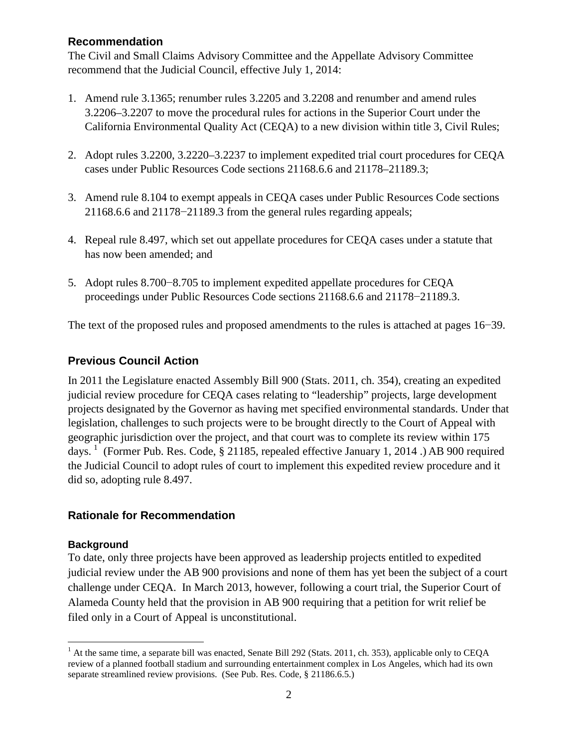#### **Recommendation**

The Civil and Small Claims Advisory Committee and the Appellate Advisory Committee recommend that the Judicial Council, effective July 1, 2014:

- 1. Amend rule 3.1365; renumber rules 3.2205 and 3.2208 and renumber and amend rules 3.2206–3.2207 to move the procedural rules for actions in the Superior Court under the California Environmental Quality Act (CEQA) to a new division within title 3, Civil Rules;
- 2. Adopt rules 3.2200, 3.2220–3.2237 to implement expedited trial court procedures for CEQA cases under Public Resources Code sections 21168.6.6 and 21178–21189.3;
- 3. Amend rule 8.104 to exempt appeals in CEQA cases under Public Resources Code sections 21168.6.6 and 21178−21189.3 from the general rules regarding appeals;
- 4. Repeal rule 8.497, which set out appellate procedures for CEQA cases under a statute that has now been amended; and
- 5. Adopt rules 8.700−8.705 to implement expedited appellate procedures for CEQA proceedings under Public Resources Code sections 21168.6.6 and 21178−21189.3.

The text of the proposed rules and proposed amendments to the rules is attached at pages 16−39.

#### **Previous Council Action**

In 2011 the Legislature enacted Assembly Bill 900 (Stats. 2011, ch. 354), creating an expedited judicial review procedure for CEQA cases relating to "leadership" projects, large development projects designated by the Governor as having met specified environmental standards. Under that legislation, challenges to such projects were to be brought directly to the Court of Appeal with geographic jurisdiction over the project, and that court was to complete its review within 175 days. <sup>[1](#page-1-0)</sup> (Former Pub. Res. Code, § 21185, repealed effective January 1, 2014 .) AB 900 required the Judicial Council to adopt rules of court to implement this expedited review procedure and it did so, adopting rule 8.497.

#### **Rationale for Recommendation**

#### **Background**

To date, only three projects have been approved as leadership projects entitled to expedited judicial review under the AB 900 provisions and none of them has yet been the subject of a court challenge under CEQA. In March 2013, however, following a court trial, the Superior Court of Alameda County held that the provision in AB 900 requiring that a petition for writ relief be filed only in a Court of Appeal is unconstitutional.

<span id="page-1-0"></span><sup>&</sup>lt;sup>1</sup> At the same time, a separate bill was enacted, Senate Bill 292 (Stats. 2011, ch. 353), applicable only to CEQA review of a planned football stadium and surrounding entertainment complex in Los Angeles, which had its own separate streamlined review provisions. (See Pub. Res. Code, § 21186.6.5.)  $\overline{a}$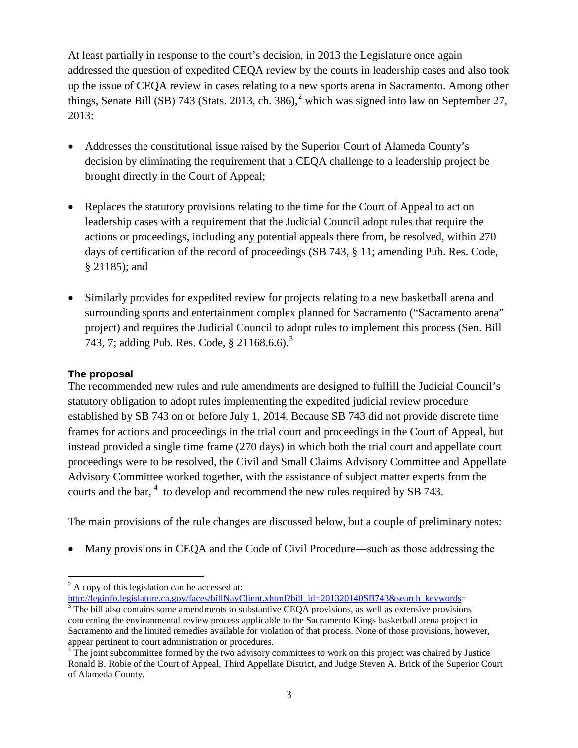At least partially in response to the court's decision, in 2013 the Legislature once again addressed the question of expedited CEQA review by the courts in leadership cases and also took up the issue of CEQA review in cases relating to a new sports arena in Sacramento. Among other things, Senate Bill (SB) 743 (Stats. [2](#page-2-0)013, ch. 386),<sup>2</sup> which was signed into law on September 27, 2013:

- Addresses the constitutional issue raised by the Superior Court of Alameda County's decision by eliminating the requirement that a CEQA challenge to a leadership project be brought directly in the Court of Appeal;
- Replaces the statutory provisions relating to the time for the Court of Appeal to act on leadership cases with a requirement that the Judicial Council adopt rules that require the actions or proceedings, including any potential appeals there from, be resolved, within 270 days of certification of the record of proceedings (SB 743, § 11; amending Pub. Res. Code, § 21185); and
- Similarly provides for expedited review for projects relating to a new basketball arena and surrounding sports and entertainment complex planned for Sacramento ("Sacramento arena" project) and requires the Judicial Council to adopt rules to implement this process (Sen. Bill 74[3](#page-2-1), 7; adding Pub. Res. Code,  $\S 21168.6.6$ ).<sup>3</sup>

#### **The proposal**

 $\overline{a}$ 

The recommended new rules and rule amendments are designed to fulfill the Judicial Council's statutory obligation to adopt rules implementing the expedited judicial review procedure established by SB 743 on or before July 1, 2014. Because SB 743 did not provide discrete time frames for actions and proceedings in the trial court and proceedings in the Court of Appeal, but instead provided a single time frame (270 days) in which both the trial court and appellate court proceedings were to be resolved, the Civil and Small Claims Advisory Committee and Appellate Advisory Committee worked together, with the assistance of subject matter experts from the courts and the bar, <sup>[4](#page-2-2)</sup> to develop and recommend the new rules required by SB 743.

The main provisions of the rule changes are discussed below, but a couple of preliminary notes:

• Many provisions in CEQA and the Code of Civil Procedure—such as those addressing the

<span id="page-2-0"></span><sup>&</sup>lt;sup>2</sup> A copy of this legislation can be accessed at:<br>http://leginfo.legislature.ca.gov/faces/billNavClient.xhtml?bill id=201320140SB743&search keywords=

<span id="page-2-1"></span> $\frac{3}{3}$  The bill also contains some amendments to substantive CEQA provisions, as well as extensive provisions concerning the environmental review process applicable to the Sacramento Kings basketball arena project in Sacramento and the limited remedies available for violation of that process. None of those provisions, however, appear pertinent to court administration or procedures.

<span id="page-2-2"></span> $4\text{°The joint subcommittee formed by the two adversary committees to work on this project was chaired by Justice.}$ Ronald B. Robie of the Court of Appeal, Third Appellate District, and Judge Steven A. Brick of the Superior Court of Alameda County.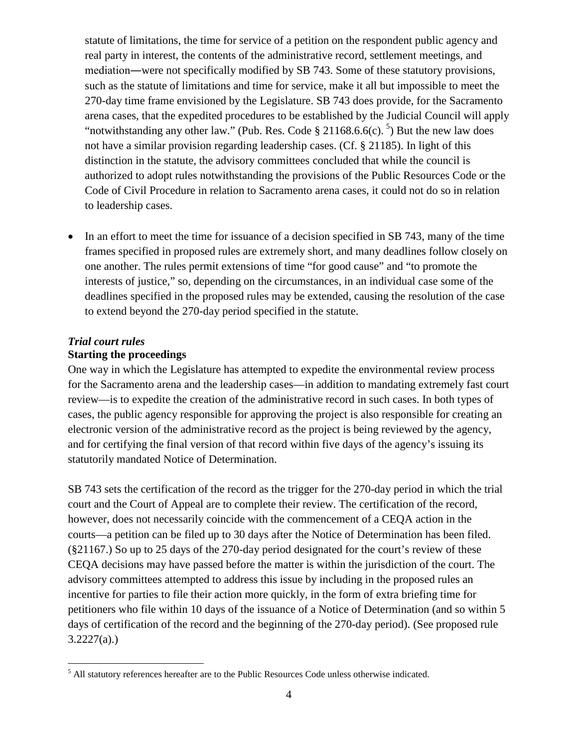statute of limitations, the time for service of a petition on the respondent public agency and real party in interest, the contents of the administrative record, settlement meetings, and mediation―were not specifically modified by SB 743. Some of these statutory provisions, such as the statute of limitations and time for service, make it all but impossible to meet the 270-day time frame envisioned by the Legislature. SB 743 does provide, for the Sacramento arena cases, that the expedited procedures to be established by the Judicial Council will apply "notwithstanding any other law." (Pub. Res. Code  $\S 21168.66(c)$ .  $\frac{5}{3}$  $\frac{5}{3}$  $\frac{5}{3}$ ) But the new law does not have a similar provision regarding leadership cases. (Cf. § 21185). In light of this distinction in the statute, the advisory committees concluded that while the council is authorized to adopt rules notwithstanding the provisions of the Public Resources Code or the Code of Civil Procedure in relation to Sacramento arena cases, it could not do so in relation to leadership cases.

• In an effort to meet the time for issuance of a decision specified in SB 743, many of the time frames specified in proposed rules are extremely short, and many deadlines follow closely on one another. The rules permit extensions of time "for good cause" and "to promote the interests of justice," so, depending on the circumstances, in an individual case some of the deadlines specified in the proposed rules may be extended, causing the resolution of the case to extend beyond the 270-day period specified in the statute.

#### *Trial court rules* **Starting the proceedings**

 $\overline{a}$ 

One way in which the Legislature has attempted to expedite the environmental review process for the Sacramento arena and the leadership cases—in addition to mandating extremely fast court review—is to expedite the creation of the administrative record in such cases. In both types of cases, the public agency responsible for approving the project is also responsible for creating an electronic version of the administrative record as the project is being reviewed by the agency, and for certifying the final version of that record within five days of the agency's issuing its statutorily mandated Notice of Determination.

SB 743 sets the certification of the record as the trigger for the 270-day period in which the trial court and the Court of Appeal are to complete their review. The certification of the record, however, does not necessarily coincide with the commencement of a CEQA action in the courts—a petition can be filed up to 30 days after the Notice of Determination has been filed. (§21167.) So up to 25 days of the 270-day period designated for the court's review of these CEQA decisions may have passed before the matter is within the jurisdiction of the court. The advisory committees attempted to address this issue by including in the proposed rules an incentive for parties to file their action more quickly, in the form of extra briefing time for petitioners who file within 10 days of the issuance of a Notice of Determination (and so within 5 days of certification of the record and the beginning of the 270-day period). (See proposed rule  $3.2227(a)$ .)

<span id="page-3-0"></span><sup>&</sup>lt;sup>5</sup> All statutory references hereafter are to the Public Resources Code unless otherwise indicated.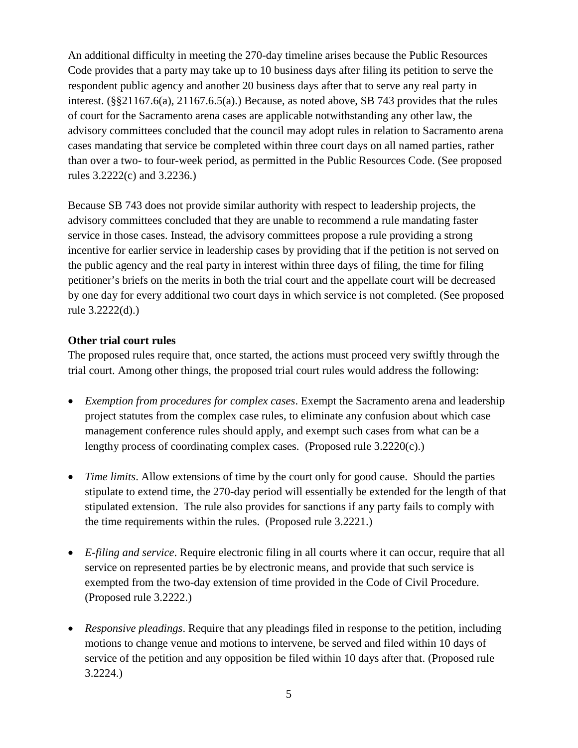An additional difficulty in meeting the 270-day timeline arises because the Public Resources Code provides that a party may take up to 10 business days after filing its petition to serve the respondent public agency and another 20 business days after that to serve any real party in interest. (§§21167.6(a), 21167.6.5(a).) Because, as noted above, SB 743 provides that the rules of court for the Sacramento arena cases are applicable notwithstanding any other law, the advisory committees concluded that the council may adopt rules in relation to Sacramento arena cases mandating that service be completed within three court days on all named parties, rather than over a two- to four-week period, as permitted in the Public Resources Code. (See proposed rules 3.2222(c) and 3.2236.)

Because SB 743 does not provide similar authority with respect to leadership projects, the advisory committees concluded that they are unable to recommend a rule mandating faster service in those cases. Instead, the advisory committees propose a rule providing a strong incentive for earlier service in leadership cases by providing that if the petition is not served on the public agency and the real party in interest within three days of filing, the time for filing petitioner's briefs on the merits in both the trial court and the appellate court will be decreased by one day for every additional two court days in which service is not completed. (See proposed rule 3.2222(d).)

#### **Other trial court rules**

The proposed rules require that, once started, the actions must proceed very swiftly through the trial court. Among other things, the proposed trial court rules would address the following:

- *Exemption from procedures for complex cases*. Exempt the Sacramento arena and leadership project statutes from the complex case rules, to eliminate any confusion about which case management conference rules should apply, and exempt such cases from what can be a lengthy process of coordinating complex cases. (Proposed rule 3.2220(c).)
- *Time limits*. Allow extensions of time by the court only for good cause. Should the parties stipulate to extend time, the 270-day period will essentially be extended for the length of that stipulated extension. The rule also provides for sanctions if any party fails to comply with the time requirements within the rules. (Proposed rule 3.2221.)
- *E-filing and service*. Require electronic filing in all courts where it can occur, require that all service on represented parties be by electronic means, and provide that such service is exempted from the two-day extension of time provided in the Code of Civil Procedure. (Proposed rule 3.2222.)
- *Responsive pleadings*. Require that any pleadings filed in response to the petition, including motions to change venue and motions to intervene, be served and filed within 10 days of service of the petition and any opposition be filed within 10 days after that. (Proposed rule 3.2224.)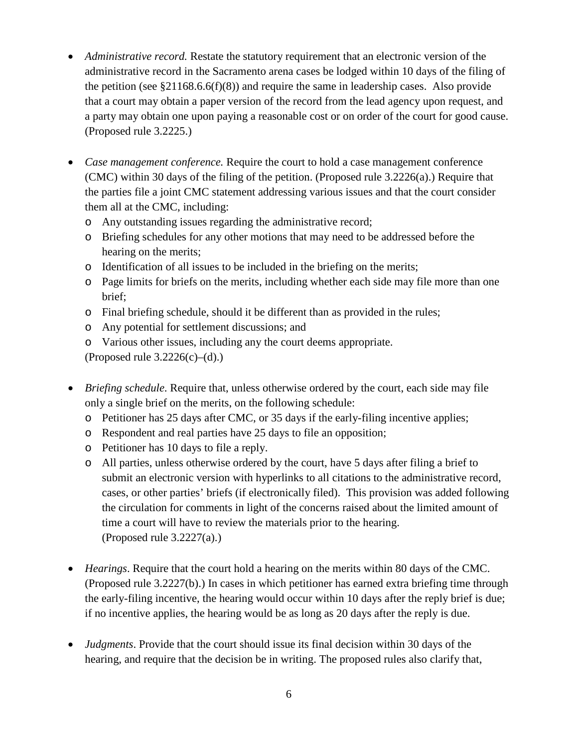- *Administrative record.* Restate the statutory requirement that an electronic version of the administrative record in the Sacramento arena cases be lodged within 10 days of the filing of the petition (see  $\S21168.6.6(f)(8)$ ) and require the same in leadership cases. Also provide that a court may obtain a paper version of the record from the lead agency upon request, and a party may obtain one upon paying a reasonable cost or on order of the court for good cause. (Proposed rule 3.2225.)
- *Case management conference.* Require the court to hold a case management conference (CMC) within 30 days of the filing of the petition. (Proposed rule 3.2226(a).) Require that the parties file a joint CMC statement addressing various issues and that the court consider them all at the CMC, including:
	- o Any outstanding issues regarding the administrative record;
	- o Briefing schedules for any other motions that may need to be addressed before the hearing on the merits;
	- o Identification of all issues to be included in the briefing on the merits;
	- o Page limits for briefs on the merits, including whether each side may file more than one brief;
	- o Final briefing schedule, should it be different than as provided in the rules;
	- o Any potential for settlement discussions; and
	- o Various other issues, including any the court deems appropriate.

(Proposed rule  $3.2226(c)$ –(d).)

- *Briefing schedule*. Require that, unless otherwise ordered by the court, each side may file only a single brief on the merits, on the following schedule:
	- o Petitioner has 25 days after CMC, or 35 days if the early-filing incentive applies;
	- o Respondent and real parties have 25 days to file an opposition;
	- o Petitioner has 10 days to file a reply.
	- o All parties, unless otherwise ordered by the court, have 5 days after filing a brief to submit an electronic version with hyperlinks to all citations to the administrative record, cases, or other parties' briefs (if electronically filed). This provision was added following the circulation for comments in light of the concerns raised about the limited amount of time a court will have to review the materials prior to the hearing. (Proposed rule 3.2227(a).)
- *Hearings*. Require that the court hold a hearing on the merits within 80 days of the CMC. (Proposed rule 3.2227(b).) In cases in which petitioner has earned extra briefing time through the early-filing incentive, the hearing would occur within 10 days after the reply brief is due; if no incentive applies, the hearing would be as long as 20 days after the reply is due.
- *Judgments*. Provide that the court should issue its final decision within 30 days of the hearing, and require that the decision be in writing. The proposed rules also clarify that,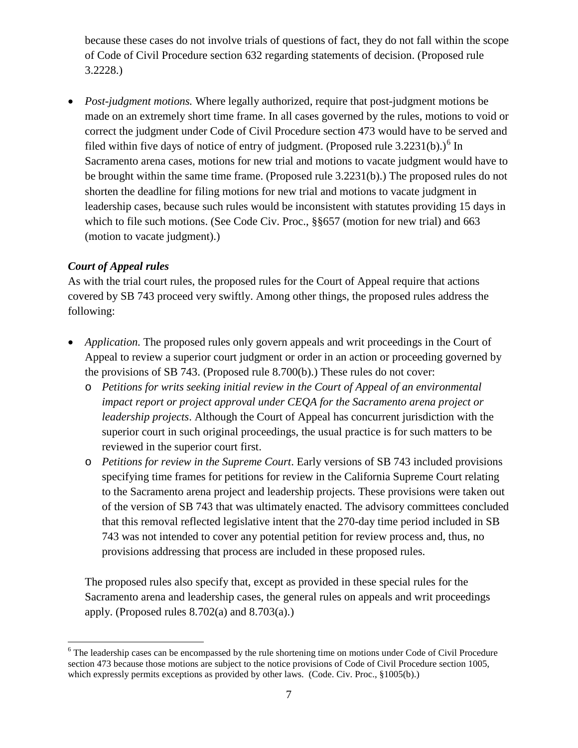because these cases do not involve trials of questions of fact, they do not fall within the scope of Code of Civil Procedure section 632 regarding statements of decision. (Proposed rule 3.2228.)

• *Post-judgment motions.* Where legally authorized, require that post-judgment motions be made on an extremely short time frame. In all cases governed by the rules, motions to void or correct the judgment under Code of Civil Procedure section 473 would have to be served and filed within five days of notice of entry of judgment. (Proposed rule 3.2231(b).)<sup>[6](#page-6-0)</sup> In Sacramento arena cases, motions for new trial and motions to vacate judgment would have to be brought within the same time frame. (Proposed rule 3.2231(b).) The proposed rules do not shorten the deadline for filing motions for new trial and motions to vacate judgment in leadership cases, because such rules would be inconsistent with statutes providing 15 days in which to file such motions. (See Code Civ. Proc., §§657 (motion for new trial) and 663 (motion to vacate judgment).)

#### *Court of Appeal rules*

As with the trial court rules, the proposed rules for the Court of Appeal require that actions covered by SB 743 proceed very swiftly. Among other things, the proposed rules address the following:

- *Application*. The proposed rules only govern appeals and writ proceedings in the Court of Appeal to review a superior court judgment or order in an action or proceeding governed by the provisions of SB 743. (Proposed rule 8.700(b).) These rules do not cover:
	- o *Petitions for writs seeking initial review in the Court of Appeal of an environmental impact report or project approval under CEQA for the Sacramento arena project or leadership projects*. Although the Court of Appeal has concurrent jurisdiction with the superior court in such original proceedings, the usual practice is for such matters to be reviewed in the superior court first.
	- o *Petitions for review in the Supreme Court*. Early versions of SB 743 included provisions specifying time frames for petitions for review in the California Supreme Court relating to the Sacramento arena project and leadership projects. These provisions were taken out of the version of SB 743 that was ultimately enacted. The advisory committees concluded that this removal reflected legislative intent that the 270-day time period included in SB 743 was not intended to cover any potential petition for review process and, thus, no provisions addressing that process are included in these proposed rules.

The proposed rules also specify that, except as provided in these special rules for the Sacramento arena and leadership cases, the general rules on appeals and writ proceedings apply. (Proposed rules  $8.702(a)$  and  $8.703(a)$ .)

<span id="page-6-0"></span><sup>&</sup>lt;sup>6</sup> The leadership cases can be encompassed by the rule shortening time on motions under Code of Civil Procedure section 473 because those motions are subject to the notice provisions of Code of Civil Procedure section 1005, which expressly permits exceptions as provided by other laws. (Code. Civ. Proc., §1005(b).)  $\overline{a}$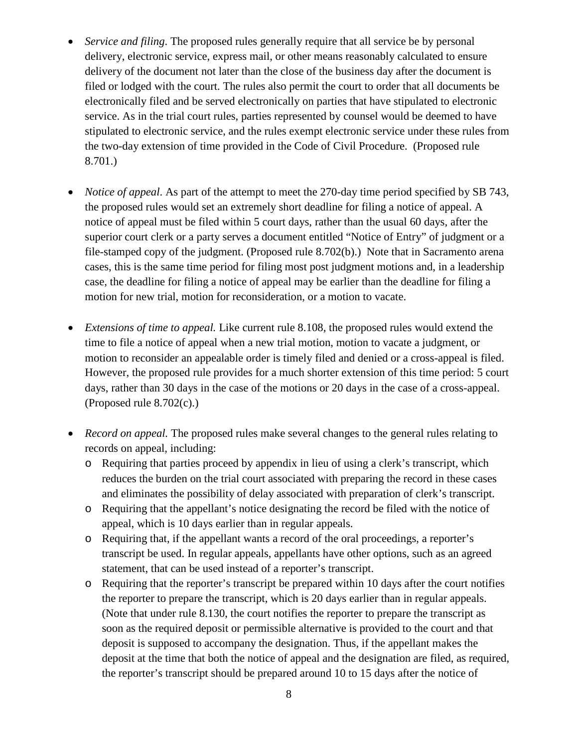- *Service and filing*. The proposed rules generally require that all service be by personal delivery, electronic service, express mail, or other means reasonably calculated to ensure delivery of the document not later than the close of the business day after the document is filed or lodged with the court. The rules also permit the court to order that all documents be electronically filed and be served electronically on parties that have stipulated to electronic service. As in the trial court rules, parties represented by counsel would be deemed to have stipulated to electronic service, and the rules exempt electronic service under these rules from the two-day extension of time provided in the Code of Civil Procedure. (Proposed rule 8.701.)
- *Notice of appeal*. As part of the attempt to meet the 270-day time period specified by SB 743, the proposed rules would set an extremely short deadline for filing a notice of appeal. A notice of appeal must be filed within 5 court days, rather than the usual 60 days, after the superior court clerk or a party serves a document entitled "Notice of Entry" of judgment or a file-stamped copy of the judgment. (Proposed rule 8.702(b).) Note that in Sacramento arena cases, this is the same time period for filing most post judgment motions and, in a leadership case, the deadline for filing a notice of appeal may be earlier than the deadline for filing a motion for new trial, motion for reconsideration, or a motion to vacate.
- *Extensions of time to appeal.* Like current rule 8.108, the proposed rules would extend the time to file a notice of appeal when a new trial motion, motion to vacate a judgment, or motion to reconsider an appealable order is timely filed and denied or a cross-appeal is filed. However, the proposed rule provides for a much shorter extension of this time period: 5 court days, rather than 30 days in the case of the motions or 20 days in the case of a cross-appeal. (Proposed rule  $8.702(c)$ .)
- *Record on appeal*. The proposed rules make several changes to the general rules relating to records on appeal, including:
	- o Requiring that parties proceed by appendix in lieu of using a clerk's transcript, which reduces the burden on the trial court associated with preparing the record in these cases and eliminates the possibility of delay associated with preparation of clerk's transcript.
	- o Requiring that the appellant's notice designating the record be filed with the notice of appeal, which is 10 days earlier than in regular appeals.
	- o Requiring that, if the appellant wants a record of the oral proceedings, a reporter's transcript be used. In regular appeals, appellants have other options, such as an agreed statement, that can be used instead of a reporter's transcript.
	- o Requiring that the reporter's transcript be prepared within 10 days after the court notifies the reporter to prepare the transcript, which is 20 days earlier than in regular appeals. (Note that under rule 8.130, the court notifies the reporter to prepare the transcript as soon as the required deposit or permissible alternative is provided to the court and that deposit is supposed to accompany the designation. Thus, if the appellant makes the deposit at the time that both the notice of appeal and the designation are filed, as required, the reporter's transcript should be prepared around 10 to 15 days after the notice of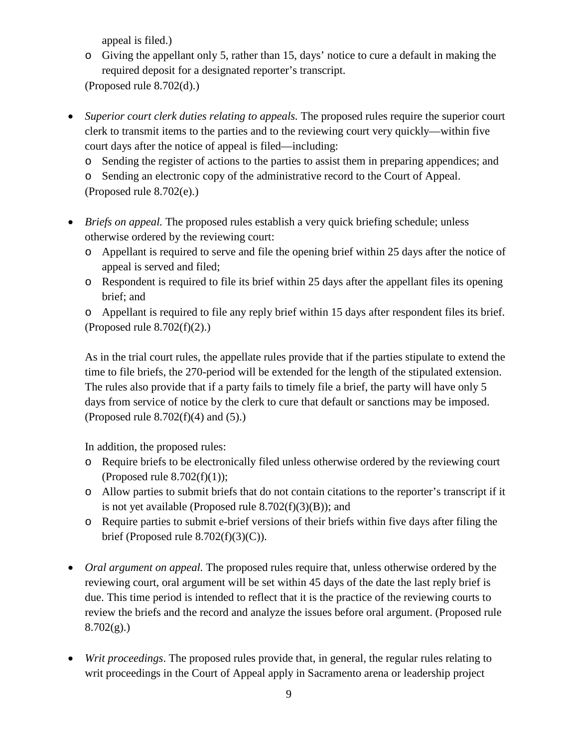appeal is filed.)

- o Giving the appellant only 5, rather than 15, days' notice to cure a default in making the required deposit for a designated reporter's transcript. (Proposed rule 8.702(d).)
- *Superior court clerk duties relating to appeals.* The proposed rules require the superior court clerk to transmit items to the parties and to the reviewing court very quickly—within five court days after the notice of appeal is filed—including:
	- o Sending the register of actions to the parties to assist them in preparing appendices; and

o Sending an electronic copy of the administrative record to the Court of Appeal. (Proposed rule 8.702(e).)

- *Briefs on appeal*. The proposed rules establish a very quick briefing schedule; unless otherwise ordered by the reviewing court:
	- o Appellant is required to serve and file the opening brief within 25 days after the notice of appeal is served and filed;
	- o Respondent is required to file its brief within 25 days after the appellant files its opening brief; and

o Appellant is required to file any reply brief within 15 days after respondent files its brief. (Proposed rule  $8.702(f)(2)$ .)

As in the trial court rules, the appellate rules provide that if the parties stipulate to extend the time to file briefs, the 270-period will be extended for the length of the stipulated extension. The rules also provide that if a party fails to timely file a brief, the party will have only 5 days from service of notice by the clerk to cure that default or sanctions may be imposed. (Proposed rule  $8.702(f)(4)$  and  $(5)$ .)

In addition, the proposed rules:

- o Require briefs to be electronically filed unless otherwise ordered by the reviewing court (Proposed rule  $8.702(f)(1)$ );
- o Allow parties to submit briefs that do not contain citations to the reporter's transcript if it is not yet available (Proposed rule  $8.702(f)(3)(B)$ ); and
- o Require parties to submit e-brief versions of their briefs within five days after filing the brief (Proposed rule  $8.702(f)(3)(C)$ ).
- *Oral argument on appeal*. The proposed rules require that, unless otherwise ordered by the reviewing court, oral argument will be set within 45 days of the date the last reply brief is due. This time period is intended to reflect that it is the practice of the reviewing courts to review the briefs and the record and analyze the issues before oral argument. (Proposed rule  $8.702(g)$ .)
- *Writ proceedings*. The proposed rules provide that, in general, the regular rules relating to writ proceedings in the Court of Appeal apply in Sacramento arena or leadership project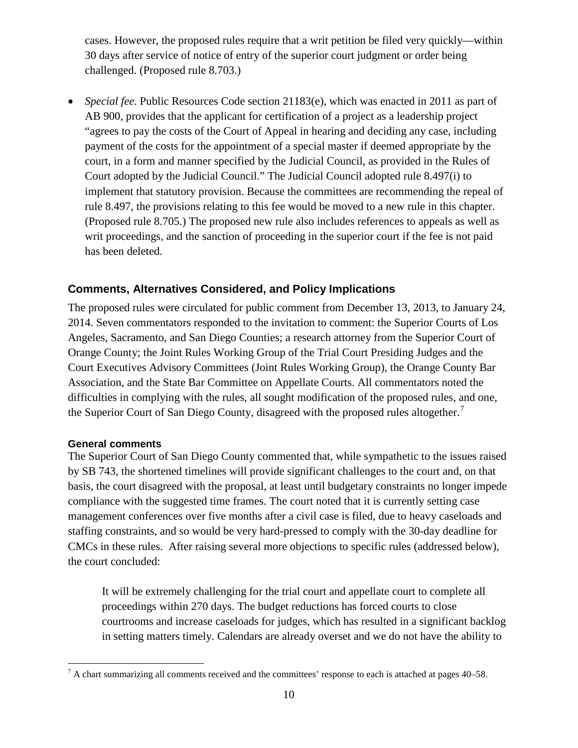cases. However, the proposed rules require that a writ petition be filed very quickly—within 30 days after service of notice of entry of the superior court judgment or order being challenged. (Proposed rule 8.703.)

• *Special fee*. Public Resources Code section 21183(e), which was enacted in 2011 as part of AB 900, provides that the applicant for certification of a project as a leadership project "agrees to pay the costs of the Court of Appeal in hearing and deciding any case, including payment of the costs for the appointment of a special master if deemed appropriate by the court, in a form and manner specified by the Judicial Council, as provided in the Rules of Court adopted by the Judicial Council." The Judicial Council adopted rule 8.497(i) to implement that statutory provision. Because the committees are recommending the repeal of rule 8.497, the provisions relating to this fee would be moved to a new rule in this chapter. (Proposed rule 8.705.) The proposed new rule also includes references to appeals as well as writ proceedings, and the sanction of proceeding in the superior court if the fee is not paid has been deleted.

#### **Comments, Alternatives Considered, and Policy Implications**

The proposed rules were circulated for public comment from December 13, 2013, to January 24, 2014. Seven commentators responded to the invitation to comment: the Superior Courts of Los Angeles, Sacramento, and San Diego Counties; a research attorney from the Superior Court of Orange County; the Joint Rules Working Group of the Trial Court Presiding Judges and the Court Executives Advisory Committees (Joint Rules Working Group), the Orange County Bar Association, and the State Bar Committee on Appellate Courts. All commentators noted the difficulties in complying with the rules, all sought modification of the proposed rules, and one, the Superior Court of San Diego County, disagreed with the proposed rules altogether.<sup>[7](#page-9-0)</sup>

#### **General comments**

 $\overline{a}$ 

The Superior Court of San Diego County commented that, while sympathetic to the issues raised by SB 743, the shortened timelines will provide significant challenges to the court and, on that basis, the court disagreed with the proposal, at least until budgetary constraints no longer impede compliance with the suggested time frames. The court noted that it is currently setting case management conferences over five months after a civil case is filed, due to heavy caseloads and staffing constraints, and so would be very hard-pressed to comply with the 30-day deadline for CMCs in these rules. After raising several more objections to specific rules (addressed below), the court concluded:

It will be extremely challenging for the trial court and appellate court to complete all proceedings within 270 days. The budget reductions has forced courts to close courtrooms and increase caseloads for judges, which has resulted in a significant backlog in setting matters timely. Calendars are already overset and we do not have the ability to

<span id="page-9-0"></span> $<sup>7</sup>$  A chart summarizing all comments received and the committees' response to each is attached at pages 40–58.</sup>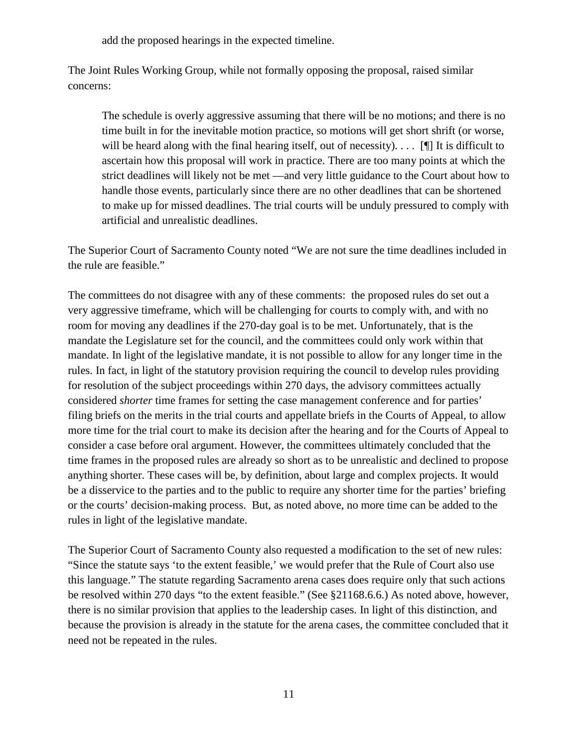add the proposed hearings in the expected timeline.

The Joint Rules Working Group, while not formally opposing the proposal, raised similar concerns:

The schedule is overly aggressive assuming that there will be no motions; and there is no time built in for the inevitable motion practice, so motions will get short shrift (or worse, will be heard along with the final hearing itself, out of necessity).  $\ldots$  [I] It is difficult to ascertain how this proposal will work in practice. There are too many points at which the strict deadlines will likely not be met —and very little guidance to the Court about how to handle those events, particularly since there are no other deadlines that can be shortened to make up for missed deadlines. The trial courts will be unduly pressured to comply with artificial and unrealistic deadlines.

The Superior Court of Sacramento County noted "We are not sure the time deadlines included in the rule are feasible."

The committees do not disagree with any of these comments: the proposed rules do set out a very aggressive timeframe, which will be challenging for courts to comply with, and with no room for moving any deadlines if the 270-day goal is to be met. Unfortunately, that is the mandate the Legislature set for the council, and the committees could only work within that mandate. In light of the legislative mandate, it is not possible to allow for any longer time in the rules. In fact, in light of the statutory provision requiring the council to develop rules providing for resolution of the subject proceedings within 270 days, the advisory committees actually considered *shorter* time frames for setting the case management conference and for parties' filing briefs on the merits in the trial courts and appellate briefs in the Courts of Appeal, to allow more time for the trial court to make its decision after the hearing and for the Courts of Appeal to consider a case before oral argument. However, the committees ultimately concluded that the time frames in the proposed rules are already so short as to be unrealistic and declined to propose anything shorter. These cases will be, by definition, about large and complex projects. It would be a disservice to the parties and to the public to require any shorter time for the parties' briefing or the courts' decision-making process. But, as noted above, no more time can be added to the rules in light of the legislative mandate.

The Superior Court of Sacramento County also requested a modification to the set of new rules: "Since the statute says 'to the extent feasible,' we would prefer that the Rule of Court also use this language." The statute regarding Sacramento arena cases does require only that such actions be resolved within 270 days "to the extent feasible." (See §21168.6.6.) As noted above, however, there is no similar provision that applies to the leadership cases. In light of this distinction, and because the provision is already in the statute for the arena cases, the committee concluded that it need not be repeated in the rules.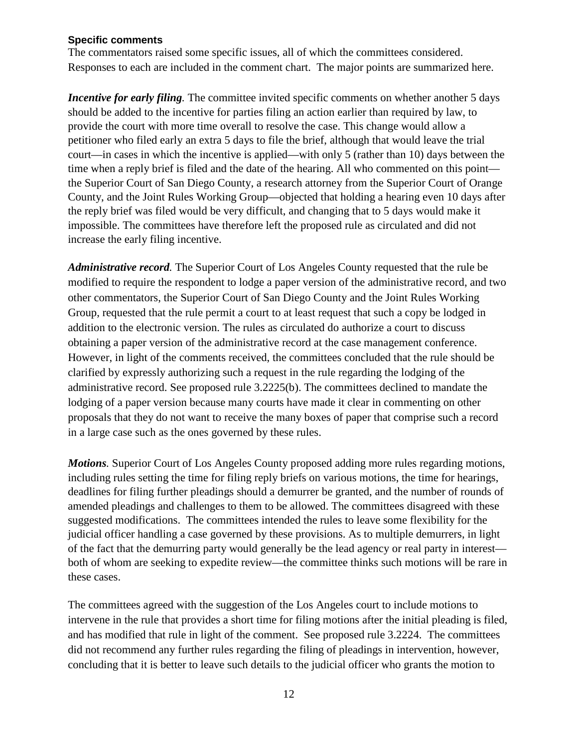#### **Specific comments**

The commentators raised some specific issues, all of which the committees considered. Responses to each are included in the comment chart. The major points are summarized here.

*Incentive for early filing*. The committee invited specific comments on whether another 5 days should be added to the incentive for parties filing an action earlier than required by law, to provide the court with more time overall to resolve the case. This change would allow a petitioner who filed early an extra 5 days to file the brief, although that would leave the trial court—in cases in which the incentive is applied—with only 5 (rather than 10) days between the time when a reply brief is filed and the date of the hearing. All who commented on this point the Superior Court of San Diego County, a research attorney from the Superior Court of Orange County, and the Joint Rules Working Group—objected that holding a hearing even 10 days after the reply brief was filed would be very difficult, and changing that to 5 days would make it impossible. The committees have therefore left the proposed rule as circulated and did not increase the early filing incentive.

*Administrative record.* The Superior Court of Los Angeles County requested that the rule be modified to require the respondent to lodge a paper version of the administrative record, and two other commentators, the Superior Court of San Diego County and the Joint Rules Working Group, requested that the rule permit a court to at least request that such a copy be lodged in addition to the electronic version. The rules as circulated do authorize a court to discuss obtaining a paper version of the administrative record at the case management conference. However, in light of the comments received, the committees concluded that the rule should be clarified by expressly authorizing such a request in the rule regarding the lodging of the administrative record. See proposed rule 3.2225(b). The committees declined to mandate the lodging of a paper version because many courts have made it clear in commenting on other proposals that they do not want to receive the many boxes of paper that comprise such a record in a large case such as the ones governed by these rules.

*Motions.* Superior Court of Los Angeles County proposed adding more rules regarding motions, including rules setting the time for filing reply briefs on various motions, the time for hearings, deadlines for filing further pleadings should a demurrer be granted, and the number of rounds of amended pleadings and challenges to them to be allowed. The committees disagreed with these suggested modifications. The committees intended the rules to leave some flexibility for the judicial officer handling a case governed by these provisions. As to multiple demurrers, in light of the fact that the demurring party would generally be the lead agency or real party in interest both of whom are seeking to expedite review—the committee thinks such motions will be rare in these cases.

The committees agreed with the suggestion of the Los Angeles court to include motions to intervene in the rule that provides a short time for filing motions after the initial pleading is filed, and has modified that rule in light of the comment. See proposed rule 3.2224. The committees did not recommend any further rules regarding the filing of pleadings in intervention, however, concluding that it is better to leave such details to the judicial officer who grants the motion to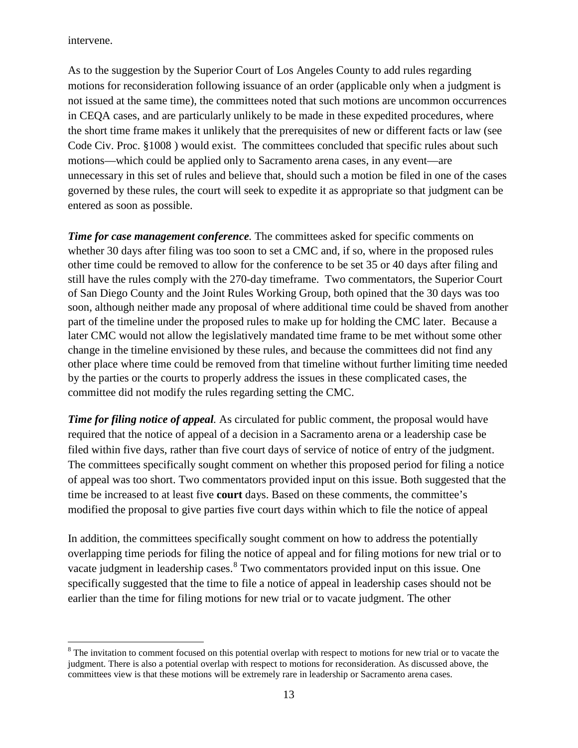intervene.

 $\overline{a}$ 

As to the suggestion by the Superior Court of Los Angeles County to add rules regarding motions for reconsideration following issuance of an order (applicable only when a judgment is not issued at the same time), the committees noted that such motions are uncommon occurrences in CEQA cases, and are particularly unlikely to be made in these expedited procedures, where the short time frame makes it unlikely that the prerequisites of new or different facts or law (see Code Civ. Proc. §1008 ) would exist. The committees concluded that specific rules about such motions—which could be applied only to Sacramento arena cases, in any event—are unnecessary in this set of rules and believe that, should such a motion be filed in one of the cases governed by these rules, the court will seek to expedite it as appropriate so that judgment can be entered as soon as possible.

*Time for case management conference*. The committees asked for specific comments on whether 30 days after filing was too soon to set a CMC and, if so, where in the proposed rules other time could be removed to allow for the conference to be set 35 or 40 days after filing and still have the rules comply with the 270-day timeframe. Two commentators, the Superior Court of San Diego County and the Joint Rules Working Group, both opined that the 30 days was too soon, although neither made any proposal of where additional time could be shaved from another part of the timeline under the proposed rules to make up for holding the CMC later. Because a later CMC would not allow the legislatively mandated time frame to be met without some other change in the timeline envisioned by these rules, and because the committees did not find any other place where time could be removed from that timeline without further limiting time needed by the parties or the courts to properly address the issues in these complicated cases, the committee did not modify the rules regarding setting the CMC.

*Time for filing notice of appeal.* As circulated for public comment, the proposal would have required that the notice of appeal of a decision in a Sacramento arena or a leadership case be filed within five days, rather than five court days of service of notice of entry of the judgment. The committees specifically sought comment on whether this proposed period for filing a notice of appeal was too short. Two commentators provided input on this issue. Both suggested that the time be increased to at least five **court** days. Based on these comments, the committee's modified the proposal to give parties five court days within which to file the notice of appeal

In addition, the committees specifically sought comment on how to address the potentially overlapping time periods for filing the notice of appeal and for filing motions for new trial or to vacate judgment in leadership cases.<sup>[8](#page-12-0)</sup> Two commentators provided input on this issue. One specifically suggested that the time to file a notice of appeal in leadership cases should not be earlier than the time for filing motions for new trial or to vacate judgment. The other

<span id="page-12-0"></span><sup>&</sup>lt;sup>8</sup> The invitation to comment focused on this potential overlap with respect to motions for new trial or to vacate the judgment. There is also a potential overlap with respect to motions for reconsideration. As discussed above, the committees view is that these motions will be extremely rare in leadership or Sacramento arena cases.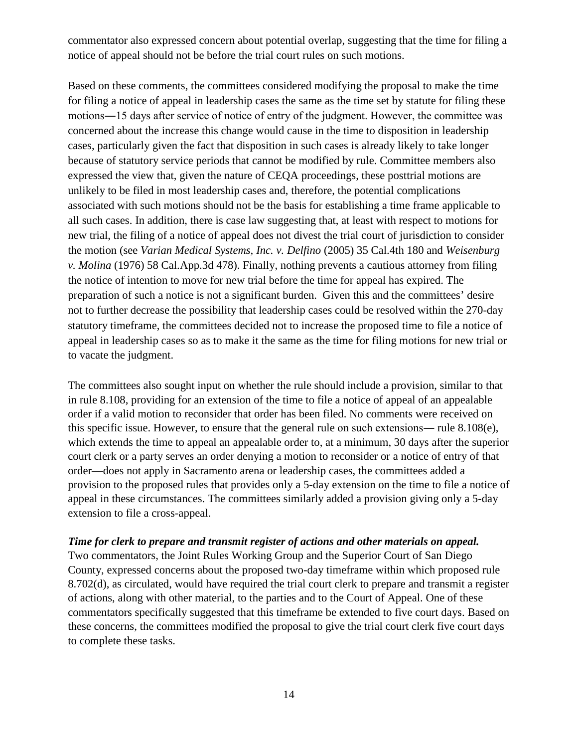commentator also expressed concern about potential overlap, suggesting that the time for filing a notice of appeal should not be before the trial court rules on such motions.

Based on these comments, the committees considered modifying the proposal to make the time for filing a notice of appeal in leadership cases the same as the time set by statute for filing these motions―15 days after service of notice of entry of the judgment. However, the committee was concerned about the increase this change would cause in the time to disposition in leadership cases, particularly given the fact that disposition in such cases is already likely to take longer because of statutory service periods that cannot be modified by rule. Committee members also expressed the view that, given the nature of CEQA proceedings, these posttrial motions are unlikely to be filed in most leadership cases and, therefore, the potential complications associated with such motions should not be the basis for establishing a time frame applicable to all such cases. In addition, there is case law suggesting that, at least with respect to motions for new trial, the filing of a notice of appeal does not divest the trial court of jurisdiction to consider the motion (see *Varian Medical Systems, Inc. v. Delfino* (2005) 35 Cal.4th 180 and *Weisenburg v. Molina* (1976) 58 Cal.App.3d 478). Finally, nothing prevents a cautious attorney from filing the notice of intention to move for new trial before the time for appeal has expired. The preparation of such a notice is not a significant burden. Given this and the committees' desire not to further decrease the possibility that leadership cases could be resolved within the 270-day statutory timeframe, the committees decided not to increase the proposed time to file a notice of appeal in leadership cases so as to make it the same as the time for filing motions for new trial or to vacate the judgment.

The committees also sought input on whether the rule should include a provision, similar to that in rule 8.108, providing for an extension of the time to file a notice of appeal of an appealable order if a valid motion to reconsider that order has been filed. No comments were received on this specific issue. However, to ensure that the general rule on such extensions― rule 8.108(e), which extends the time to appeal an appealable order to, at a minimum, 30 days after the superior court clerk or a party serves an order denying a motion to reconsider or a notice of entry of that order—does not apply in Sacramento arena or leadership cases, the committees added a provision to the proposed rules that provides only a 5-day extension on the time to file a notice of appeal in these circumstances. The committees similarly added a provision giving only a 5-day extension to file a cross-appeal.

#### *Time for clerk to prepare and transmit register of actions and other materials on appeal.*

Two commentators, the Joint Rules Working Group and the Superior Court of San Diego County, expressed concerns about the proposed two-day timeframe within which proposed rule 8.702(d), as circulated, would have required the trial court clerk to prepare and transmit a register of actions, along with other material, to the parties and to the Court of Appeal. One of these commentators specifically suggested that this timeframe be extended to five court days. Based on these concerns, the committees modified the proposal to give the trial court clerk five court days to complete these tasks.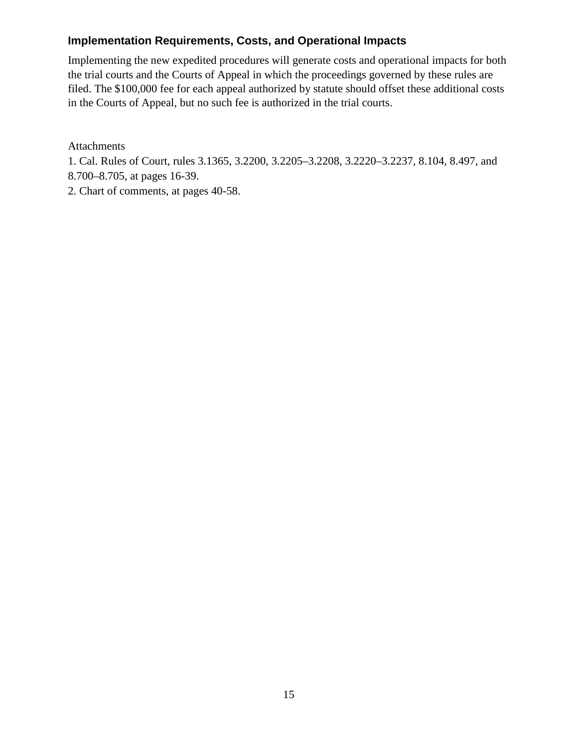#### **Implementation Requirements, Costs, and Operational Impacts**

Implementing the new expedited procedures will generate costs and operational impacts for both the trial courts and the Courts of Appeal in which the proceedings governed by these rules are filed. The \$100,000 fee for each appeal authorized by statute should offset these additional costs in the Courts of Appeal, but no such fee is authorized in the trial courts.

Attachments

1. Cal. Rules of Court, rules 3.1365, 3.2200, 3.2205–3.2208, 3.2220–3.2237, 8.104, 8.497, and 8.700–8.705, at pages 16-39.

2. Chart of comments, at pages 40-58.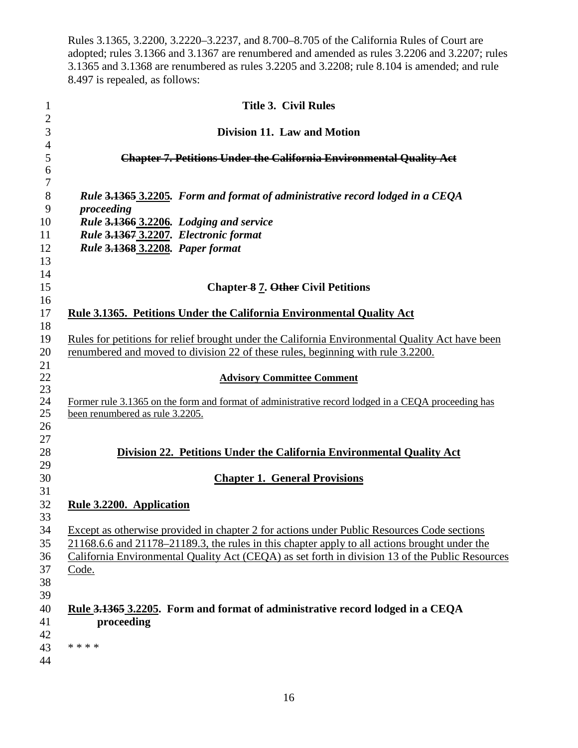Rules 3.1365, 3.2200, 3.2220–3.2237, and 8.700–8.705 of the California Rules of Court are adopted; rules 3.1366 and 3.1367 are renumbered and amended as rules 3.2206 and 3.2207; rules 3.1365 and 3.1368 are renumbered as rules 3.2205 and 3.2208; rule 8.104 is amended; and rule 8.497 is repealed, as follows:

| $\mathbf{1}$               | <b>Title 3. Civil Rules</b>                                                                                                                                                                                                                                                                             |
|----------------------------|---------------------------------------------------------------------------------------------------------------------------------------------------------------------------------------------------------------------------------------------------------------------------------------------------------|
| $\overline{2}$<br>3        | Division 11. Law and Motion                                                                                                                                                                                                                                                                             |
| $\overline{4}$<br>5        | <b>Chapter 7. Petitions Under the California Environmental Quality Act</b>                                                                                                                                                                                                                              |
| 6<br>7                     |                                                                                                                                                                                                                                                                                                         |
| 8<br>9                     | Rule 3.1365 3.2205. Form and format of administrative record lodged in a CEQA<br>proceeding                                                                                                                                                                                                             |
| 10                         | Rule 3.1366 3.2206. Lodging and service                                                                                                                                                                                                                                                                 |
| 11                         | Rule 3.1367 3.2207. Electronic format                                                                                                                                                                                                                                                                   |
| 12                         | Rule 3.1368 3.2208. Paper format                                                                                                                                                                                                                                                                        |
| 13                         |                                                                                                                                                                                                                                                                                                         |
| 14<br>15<br>16             | <b>Chapter-8 7. Other Civil Petitions</b>                                                                                                                                                                                                                                                               |
| 17<br>18                   | <b>Rule 3.1365. Petitions Under the California Environmental Quality Act</b>                                                                                                                                                                                                                            |
| 19<br>20<br>21             | Rules for petitions for relief brought under the California Environmental Quality Act have been<br>renumbered and moved to division 22 of these rules, beginning with rule 3.2200.                                                                                                                      |
| 22<br>23                   | <b>Advisory Committee Comment</b>                                                                                                                                                                                                                                                                       |
| 24<br>25<br>26             | Former rule 3.1365 on the form and format of administrative record lodged in a CEQA proceeding has<br>been renumbered as rule 3.2205.                                                                                                                                                                   |
| 27<br>28<br>29             | Division 22. Petitions Under the California Environmental Quality Act                                                                                                                                                                                                                                   |
| 30<br>31                   | <b>Chapter 1. General Provisions</b>                                                                                                                                                                                                                                                                    |
| 32<br>33                   | Rule 3.2200. Application                                                                                                                                                                                                                                                                                |
| 34<br>35<br>36<br>37<br>38 | Except as otherwise provided in chapter 2 for actions under Public Resources Code sections<br>21168.6.6 and 21178–21189.3, the rules in this chapter apply to all actions brought under the<br>California Environmental Quality Act (CEQA) as set forth in division 13 of the Public Resources<br>Code. |
| 39<br>40<br>41<br>42<br>43 | Rule 3.1365 3.2205. Form and format of administrative record lodged in a CEQA<br>proceeding<br>* * * *                                                                                                                                                                                                  |
| 44                         |                                                                                                                                                                                                                                                                                                         |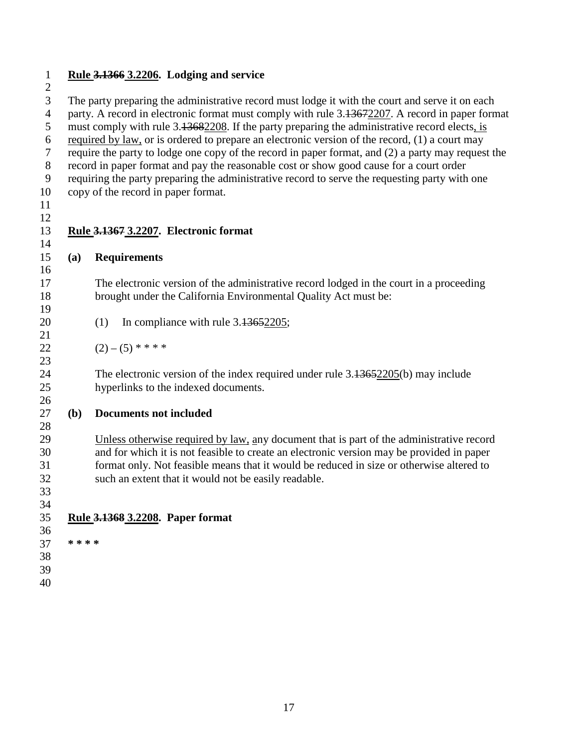**Rule 3.1366 3.2206. Lodging and service** 

 $\frac{2}{3}$ The party preparing the administrative record must lodge it with the court and serve it on each party. A record in electronic format must comply with rule 3.13672207. A record in paper format 5 must comply with rule 3.13682208. If the party preparing the administrative record elects, is required by law, or is ordered to prepare an electronic version of the record, (1) a court may require the party to lodge one copy of the record in paper format, and (2) a party may request the record in paper format and pay the reasonable cost or show good cause for a court order requiring the party preparing the administrative record to serve the requesting party with one copy of the record in paper format. **Rule 3.1367 3.2207. Electronic format (a) Requirements** The electronic version of the administrative record lodged in the court in a proceeding brought under the California Environmental Quality Act must be: 

- 20 (1) In compliance with rule 3.13652205;
- 22  $(2) (5) * * * * *$

 The electronic version of the index required under rule 3.13652205(b) may include hyperlinks to the indexed documents.

**(b) Documents not included**

 Unless otherwise required by law, any document that is part of the administrative record and for which it is not feasible to create an electronic version may be provided in paper format only. Not feasible means that it would be reduced in size or otherwise altered to such an extent that it would not be easily readable.

 **Rule 3.1368 3.2208. Paper format** 

 **\* \* \* \***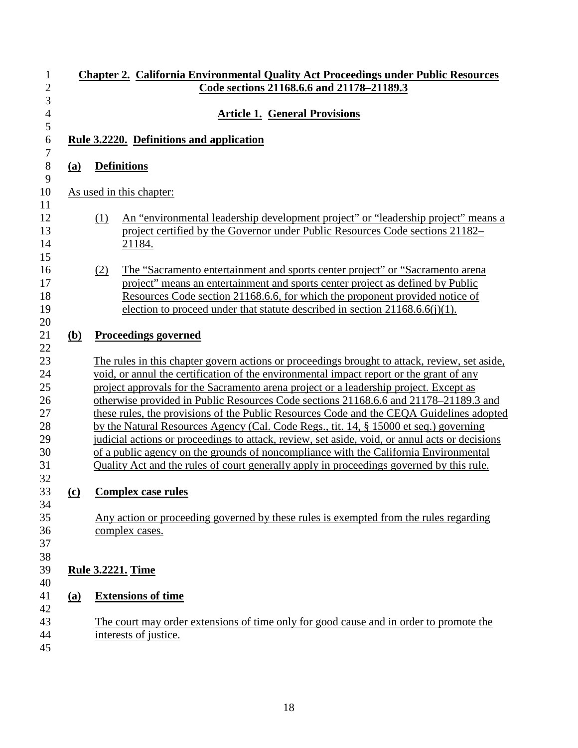|            | <b>Chapter 2. California Environmental Quality Act Proceedings under Public Resources</b><br>Code sections 21168.6.6 and 21178-21189.3                                                                                                                                                                                                                                                                                                                                                                                                                                                                                                                                                                                                                                                                                                               |
|------------|------------------------------------------------------------------------------------------------------------------------------------------------------------------------------------------------------------------------------------------------------------------------------------------------------------------------------------------------------------------------------------------------------------------------------------------------------------------------------------------------------------------------------------------------------------------------------------------------------------------------------------------------------------------------------------------------------------------------------------------------------------------------------------------------------------------------------------------------------|
|            | <b>Article 1. General Provisions</b>                                                                                                                                                                                                                                                                                                                                                                                                                                                                                                                                                                                                                                                                                                                                                                                                                 |
|            | Rule 3.2220. Definitions and application                                                                                                                                                                                                                                                                                                                                                                                                                                                                                                                                                                                                                                                                                                                                                                                                             |
| (a)        | <b>Definitions</b>                                                                                                                                                                                                                                                                                                                                                                                                                                                                                                                                                                                                                                                                                                                                                                                                                                   |
|            | As used in this chapter:                                                                                                                                                                                                                                                                                                                                                                                                                                                                                                                                                                                                                                                                                                                                                                                                                             |
|            | An "environmental leadership development project" or "leadership project" means a<br>(1)<br>project certified by the Governor under Public Resources Code sections 21182–<br>21184.                                                                                                                                                                                                                                                                                                                                                                                                                                                                                                                                                                                                                                                                  |
|            | The "Sacramento entertainment and sports center project" or "Sacramento arena<br>(2)<br>project" means an entertainment and sports center project as defined by Public<br>Resources Code section 21168.6.6, for which the proponent provided notice of<br>election to proceed under that statute described in section $21168.6.6(j)(1)$ .                                                                                                                                                                                                                                                                                                                                                                                                                                                                                                            |
| <u>(b)</u> | <b>Proceedings governed</b>                                                                                                                                                                                                                                                                                                                                                                                                                                                                                                                                                                                                                                                                                                                                                                                                                          |
|            | The rules in this chapter govern actions or proceedings brought to attack, review, set aside,<br>void, or annul the certification of the environmental impact report or the grant of any<br>project approvals for the Sacramento arena project or a leadership project. Except as<br>otherwise provided in Public Resources Code sections 21168.6.6 and 21178-21189.3 and<br>these rules, the provisions of the Public Resources Code and the CEQA Guidelines adopted<br>by the Natural Resources Agency (Cal. Code Regs., tit. 14, § 15000 et seq.) governing<br>judicial actions or proceedings to attack, review, set aside, void, or annul acts or decisions<br>of a public agency on the grounds of noncompliance with the California Environmental<br>Quality Act and the rules of court generally apply in proceedings governed by this rule. |
| $\Omega$   | <b>Complex case rules</b>                                                                                                                                                                                                                                                                                                                                                                                                                                                                                                                                                                                                                                                                                                                                                                                                                            |
|            | Any action or proceeding governed by these rules is exempted from the rules regarding<br>complex cases.                                                                                                                                                                                                                                                                                                                                                                                                                                                                                                                                                                                                                                                                                                                                              |
|            | <b>Rule 3.2221. Time</b>                                                                                                                                                                                                                                                                                                                                                                                                                                                                                                                                                                                                                                                                                                                                                                                                                             |
| (a)        | <b>Extensions of time</b>                                                                                                                                                                                                                                                                                                                                                                                                                                                                                                                                                                                                                                                                                                                                                                                                                            |
|            | The court may order extensions of time only for good cause and in order to promote the<br>interests of justice.                                                                                                                                                                                                                                                                                                                                                                                                                                                                                                                                                                                                                                                                                                                                      |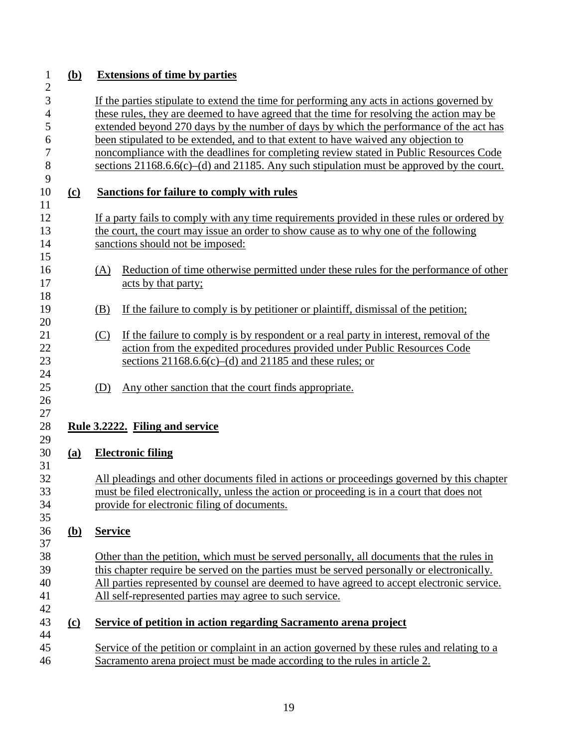| $\mathbf{1}$                          | ( <b>b</b> ) | <b>Extensions of time by parties</b>                                                                                                                                                    |                                                                                                                                                                                                                                        |  |  |  |  |
|---------------------------------------|--------------|-----------------------------------------------------------------------------------------------------------------------------------------------------------------------------------------|----------------------------------------------------------------------------------------------------------------------------------------------------------------------------------------------------------------------------------------|--|--|--|--|
| $\overline{c}$<br>3<br>$\overline{4}$ |              | If the parties stipulate to extend the time for performing any acts in actions governed by<br>these rules, they are deemed to have agreed that the time for resolving the action may be |                                                                                                                                                                                                                                        |  |  |  |  |
| 5                                     |              |                                                                                                                                                                                         | extended beyond 270 days by the number of days by which the performance of the act has                                                                                                                                                 |  |  |  |  |
| 6                                     |              |                                                                                                                                                                                         | been stipulated to be extended, and to that extent to have waived any objection to                                                                                                                                                     |  |  |  |  |
| 7<br>8                                |              | noncompliance with the deadlines for completing review stated in Public Resources Code<br>sections $21168.66(c)$ –(d) and $21185$ . Any such stipulation must be approved by the court. |                                                                                                                                                                                                                                        |  |  |  |  |
| 9<br>10                               | <u>(c)</u>   |                                                                                                                                                                                         | Sanctions for failure to comply with rules                                                                                                                                                                                             |  |  |  |  |
| 11<br>12<br>13<br>14                  |              |                                                                                                                                                                                         | If a party fails to comply with any time requirements provided in these rules or ordered by<br>the court, the court may issue an order to show cause as to why one of the following<br>sanctions should not be imposed:                |  |  |  |  |
| 15<br>16<br>17<br>18                  |              | (A)                                                                                                                                                                                     | Reduction of time otherwise permitted under these rules for the performance of other<br>acts by that party;                                                                                                                            |  |  |  |  |
| 19<br>20                              |              | (B)                                                                                                                                                                                     | If the failure to comply is by petitioner or plaintiff, dismissal of the petition;                                                                                                                                                     |  |  |  |  |
| 21<br>22<br>23                        |              | (C)                                                                                                                                                                                     | If the failure to comply is by respondent or a real party in interest, removal of the<br>action from the expedited procedures provided under Public Resources Code<br>sections $21168.66(c)$ –(d) and $21185$ and these rules; or      |  |  |  |  |
| 24<br>25<br>26                        |              | (D)                                                                                                                                                                                     | Any other sanction that the court finds appropriate.                                                                                                                                                                                   |  |  |  |  |
| 27<br>28                              |              |                                                                                                                                                                                         | Rule 3.2222. Filing and service                                                                                                                                                                                                        |  |  |  |  |
| 29<br>30                              | (a)          |                                                                                                                                                                                         | <b>Electronic filing</b>                                                                                                                                                                                                               |  |  |  |  |
| 31<br>32<br>33<br>34<br>35            |              |                                                                                                                                                                                         | All pleadings and other documents filed in actions or proceedings governed by this chapter<br>must be filed electronically, unless the action or proceeding is in a court that does not<br>provide for electronic filing of documents. |  |  |  |  |
| 36<br>37                              | <u>(b)</u>   | <b>Service</b>                                                                                                                                                                          |                                                                                                                                                                                                                                        |  |  |  |  |
| 38                                    |              |                                                                                                                                                                                         | Other than the petition, which must be served personally, all documents that the rules in                                                                                                                                              |  |  |  |  |
| 39                                    |              |                                                                                                                                                                                         | this chapter require be served on the parties must be served personally or electronically.                                                                                                                                             |  |  |  |  |
| 40<br>41                              |              |                                                                                                                                                                                         | All parties represented by counsel are deemed to have agreed to accept electronic service.<br>All self-represented parties may agree to such service.                                                                                  |  |  |  |  |
| 42<br>43                              | <u>(c)</u>   |                                                                                                                                                                                         | Service of petition in action regarding Sacramento arena project                                                                                                                                                                       |  |  |  |  |
| 44                                    |              |                                                                                                                                                                                         |                                                                                                                                                                                                                                        |  |  |  |  |
| 45                                    |              |                                                                                                                                                                                         | Service of the petition or complaint in an action governed by these rules and relating to a                                                                                                                                            |  |  |  |  |
| 46                                    |              |                                                                                                                                                                                         | Sacramento arena project must be made according to the rules in article 2.                                                                                                                                                             |  |  |  |  |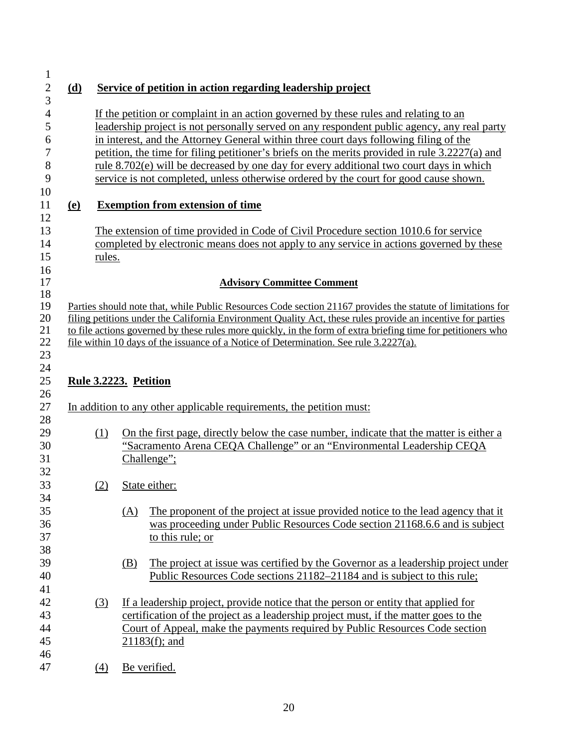| (d)        |        | Service of petition in action regarding leadership project                                                                                                                                                                                                                                                                                                                                                                                                                                                                                                         |
|------------|--------|--------------------------------------------------------------------------------------------------------------------------------------------------------------------------------------------------------------------------------------------------------------------------------------------------------------------------------------------------------------------------------------------------------------------------------------------------------------------------------------------------------------------------------------------------------------------|
|            |        | If the petition or complaint in an action governed by these rules and relating to an<br>leadership project is not personally served on any respondent public agency, any real party<br>in interest, and the Attorney General within three court days following filing of the<br>petition, the time for filing petitioner's briefs on the merits provided in rule 3.2227(a) and<br>rule 8.702(e) will be decreased by one day for every additional two court days in which<br>service is not completed, unless otherwise ordered by the court for good cause shown. |
| <u>(e)</u> |        | <b>Exemption from extension of time</b>                                                                                                                                                                                                                                                                                                                                                                                                                                                                                                                            |
|            | rules. | The extension of time provided in Code of Civil Procedure section 1010.6 for service<br>completed by electronic means does not apply to any service in actions governed by these                                                                                                                                                                                                                                                                                                                                                                                   |
|            |        | <b>Advisory Committee Comment</b>                                                                                                                                                                                                                                                                                                                                                                                                                                                                                                                                  |
|            |        |                                                                                                                                                                                                                                                                                                                                                                                                                                                                                                                                                                    |
|            |        | file within 10 days of the issuance of a Notice of Determination. See rule 3.2227(a).<br>Rule 3.2223. Petition                                                                                                                                                                                                                                                                                                                                                                                                                                                     |
|            |        | In addition to any other applicable requirements, the petition must:                                                                                                                                                                                                                                                                                                                                                                                                                                                                                               |
|            | (1)    | "Sacramento Arena CEQA Challenge" or an "Environmental Leadership CEQA<br>Challenge";                                                                                                                                                                                                                                                                                                                                                                                                                                                                              |
|            | (2)    | to file actions governed by these rules more quickly, in the form of extra briefing time for petitioners who<br>On the first page, directly below the case number, indicate that the matter is either a<br>State either:                                                                                                                                                                                                                                                                                                                                           |
|            |        | The proponent of the project at issue provided notice to the lead agency that it<br>(A)<br>was proceeding under Public Resources Code section 21168.6.6 and is subject<br>to this rule; or                                                                                                                                                                                                                                                                                                                                                                         |
|            |        | The project at issue was certified by the Governor as a leadership project under<br>(B)<br>Public Resources Code sections 21182–21184 and is subject to this rule;                                                                                                                                                                                                                                                                                                                                                                                                 |
|            | (3)    | If a leadership project, provide notice that the person or entity that applied for<br>certification of the project as a leadership project must, if the matter goes to the<br>Court of Appeal, make the payments required by Public Resources Code section<br>$21183(f)$ ; and                                                                                                                                                                                                                                                                                     |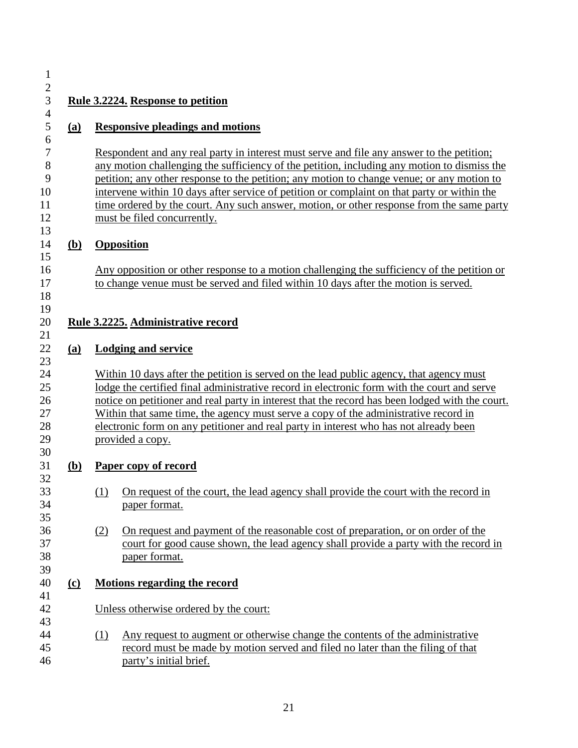| (a)          | <b>Responsive pleadings and motions</b>                                                                                                                                                                                                                                                                                                                                                                                                                                                                           |
|--------------|-------------------------------------------------------------------------------------------------------------------------------------------------------------------------------------------------------------------------------------------------------------------------------------------------------------------------------------------------------------------------------------------------------------------------------------------------------------------------------------------------------------------|
|              | Respondent and any real party in interest must serve and file any answer to the petition;<br>any motion challenging the sufficiency of the petition, including any motion to dismiss the<br>petition; any other response to the petition; any motion to change venue; or any motion to<br>intervene within 10 days after service of petition or complaint on that party or within the<br>time ordered by the court. Any such answer, motion, or other response from the same party<br>must be filed concurrently. |
| <u>(b)</u>   | <b>Opposition</b>                                                                                                                                                                                                                                                                                                                                                                                                                                                                                                 |
|              | Any opposition or other response to a motion challenging the sufficiency of the petition or<br>to change venue must be served and filed within 10 days after the motion is served.                                                                                                                                                                                                                                                                                                                                |
|              | Rule 3.2225. Administrative record                                                                                                                                                                                                                                                                                                                                                                                                                                                                                |
| (a)          | <b>Lodging and service</b>                                                                                                                                                                                                                                                                                                                                                                                                                                                                                        |
|              | Within 10 days after the petition is served on the lead public agency, that agency must<br>lodge the certified final administrative record in electronic form with the court and serve<br>notice on petitioner and real party in interest that the record has been lodged with the court.<br>Within that same time, the agency must serve a copy of the administrative record in<br>electronic form on any petitioner and real party in interest who has not already been<br>provided a copy.                     |
| ( <b>b</b> ) | Paper copy of record                                                                                                                                                                                                                                                                                                                                                                                                                                                                                              |
|              | (1) On request of the court, the lead agency shall provide the court with the record in<br>paper format.                                                                                                                                                                                                                                                                                                                                                                                                          |
|              | On request and payment of the reasonable cost of preparation, or on order of the<br>(2)<br>court for good cause shown, the lead agency shall provide a party with the record in<br>paper format.                                                                                                                                                                                                                                                                                                                  |
| $\Omega$     | <b>Motions regarding the record</b>                                                                                                                                                                                                                                                                                                                                                                                                                                                                               |
|              | Unless otherwise ordered by the court:                                                                                                                                                                                                                                                                                                                                                                                                                                                                            |
|              | Any request to augment or otherwise change the contents of the administrative<br>(1)<br>record must be made by motion served and filed no later than the filing of that                                                                                                                                                                                                                                                                                                                                           |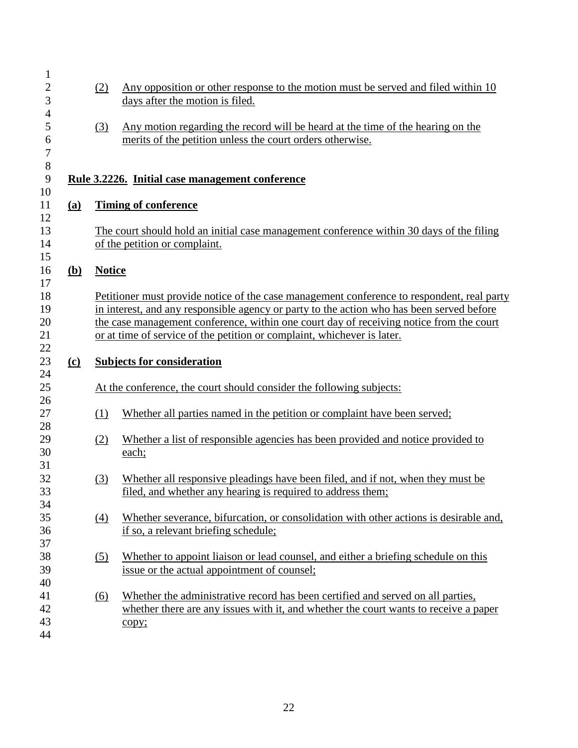| $\mathbf{1}$<br>$\overline{2}$<br>3<br>4 |            | (2)               | Any opposition or other response to the motion must be served and filed within 10<br>days after the motion is filed.                                                                                                                                                                                                                                          |
|------------------------------------------|------------|-------------------|---------------------------------------------------------------------------------------------------------------------------------------------------------------------------------------------------------------------------------------------------------------------------------------------------------------------------------------------------------------|
| 5<br>6<br>$\overline{7}$                 |            | (3)               | Any motion regarding the record will be heard at the time of the hearing on the<br>merits of the petition unless the court orders otherwise.                                                                                                                                                                                                                  |
| 8<br>$\mathbf{9}$<br>10                  |            |                   | <u>Rule 3.2226. Initial case management conference</u>                                                                                                                                                                                                                                                                                                        |
| 11<br>12                                 | (a)        |                   | <b>Timing of conference</b>                                                                                                                                                                                                                                                                                                                                   |
| 13<br>14                                 |            |                   | The court should hold an initial case management conference within 30 days of the filing<br>of the petition or complaint.                                                                                                                                                                                                                                     |
| 15<br>16                                 | <u>(b)</u> | <b>Notice</b>     |                                                                                                                                                                                                                                                                                                                                                               |
| 17<br>18<br>19<br>20<br>21               |            |                   | Petitioner must provide notice of the case management conference to respondent, real party<br>in interest, and any responsible agency or party to the action who has been served before<br>the case management conference, within one court day of receiving notice from the court<br>or at time of service of the petition or complaint, whichever is later. |
| 22<br>23                                 | $\Omega$   |                   | <b>Subjects for consideration</b>                                                                                                                                                                                                                                                                                                                             |
| 24<br>25                                 |            |                   | At the conference, the court should consider the following subjects:                                                                                                                                                                                                                                                                                          |
| 26<br>27<br>28                           |            | (1)               | Whether all parties named in the petition or complaint have been served;                                                                                                                                                                                                                                                                                      |
| 29<br>30                                 |            | (2)               | Whether a list of responsible agencies has been provided and notice provided to<br>each;                                                                                                                                                                                                                                                                      |
| 31<br>32<br>33                           |            | (3)               | Whether all responsive pleadings have been filed, and if not, when they must be<br>filed, and whether any hearing is required to address them;                                                                                                                                                                                                                |
| 34<br>35<br>36                           |            | (4)               | Whether severance, bifurcation, or consolidation with other actions is desirable and,<br>if so, a relevant briefing schedule;                                                                                                                                                                                                                                 |
| 37<br>38<br>39                           |            | $\left( 5\right)$ | Whether to appoint liaison or lead counsel, and either a briefing schedule on this<br>issue or the actual appointment of counsel;                                                                                                                                                                                                                             |
| 40<br>41<br>42<br>43<br>44               |            | (6)               | Whether the administrative record has been certified and served on all parties,<br>whether there are any issues with it, and whether the court wants to receive a paper<br>copy;                                                                                                                                                                              |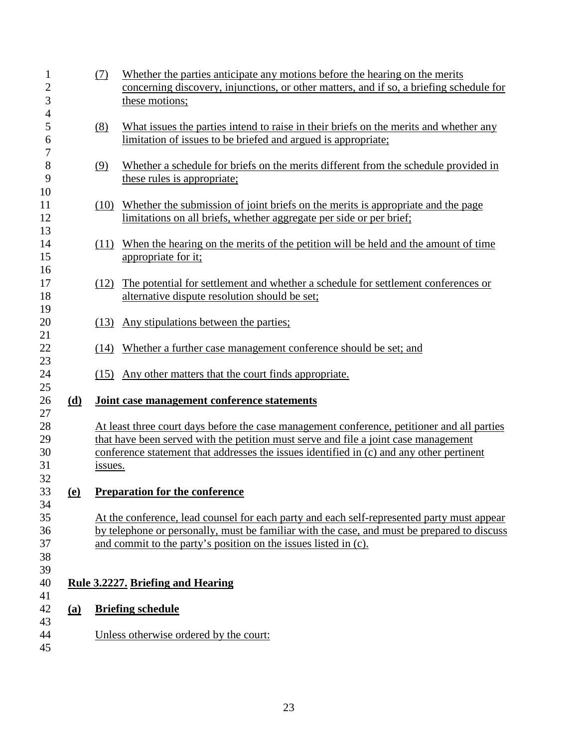| $\mathbf{1}$        |            | (7)     | Whether the parties anticipate any motions before the hearing on the merits                               |
|---------------------|------------|---------|-----------------------------------------------------------------------------------------------------------|
| $\overline{c}$<br>3 |            |         | concerning discovery, injunctions, or other matters, and if so, a briefing schedule for<br>these motions; |
| $\overline{4}$      |            |         |                                                                                                           |
| 5                   |            | (8)     | What issues the parties intend to raise in their briefs on the merits and whether any                     |
| 6<br>7              |            |         | limitation of issues to be briefed and argued is appropriate;                                             |
| 8                   |            | (9)     | Whether a schedule for briefs on the merits different from the schedule provided in                       |
| 9                   |            |         | these rules is appropriate;                                                                               |
| 10                  |            |         |                                                                                                           |
| 11                  |            |         | (10) Whether the submission of joint briefs on the merits is appropriate and the page                     |
| 12<br>13            |            |         | limitations on all briefs, whether aggregate per side or per brief;                                       |
| 14                  |            |         | (11) When the hearing on the merits of the petition will be held and the amount of time                   |
| 15                  |            |         | appropriate for it;                                                                                       |
| 16                  |            |         |                                                                                                           |
| 17                  |            |         | (12) The potential for settlement and whether a schedule for settlement conferences or                    |
| 18<br>19            |            |         | alternative dispute resolution should be set;                                                             |
| 20                  |            | (13)    | Any stipulations between the parties;                                                                     |
| 21                  |            |         |                                                                                                           |
| 22<br>23            |            | (14)    | Whether a further case management conference should be set; and                                           |
| 24                  |            |         | (15) Any other matters that the court finds appropriate.                                                  |
| 25<br>26            | (d)        |         | Joint case management conference statements                                                               |
| 27<br>28            |            |         | At least three court days before the case management conference, petitioner and all parties               |
| 29                  |            |         | that have been served with the petition must serve and file a joint case management                       |
| 30                  |            |         | conference statement that addresses the issues identified in (c) and any other pertinent                  |
| 31                  |            | issues. |                                                                                                           |
| 32                  |            |         |                                                                                                           |
| 33<br>34            | <u>(e)</u> |         | <b>Preparation for the conference</b>                                                                     |
| 35                  |            |         | At the conference, lead counsel for each party and each self-represented party must appear                |
| 36                  |            |         | by telephone or personally, must be familiar with the case, and must be prepared to discuss               |
| 37                  |            |         | and commit to the party's position on the issues listed in (c).                                           |
| 38<br>39            |            |         |                                                                                                           |
| 40                  |            |         | <b>Rule 3.2227. Briefing and Hearing</b>                                                                  |
| 41                  |            |         |                                                                                                           |
| 42                  | (a)        |         | <b>Briefing schedule</b>                                                                                  |
| 43<br>44            |            |         | Unless otherwise ordered by the court:                                                                    |
| 45                  |            |         |                                                                                                           |
|                     |            |         |                                                                                                           |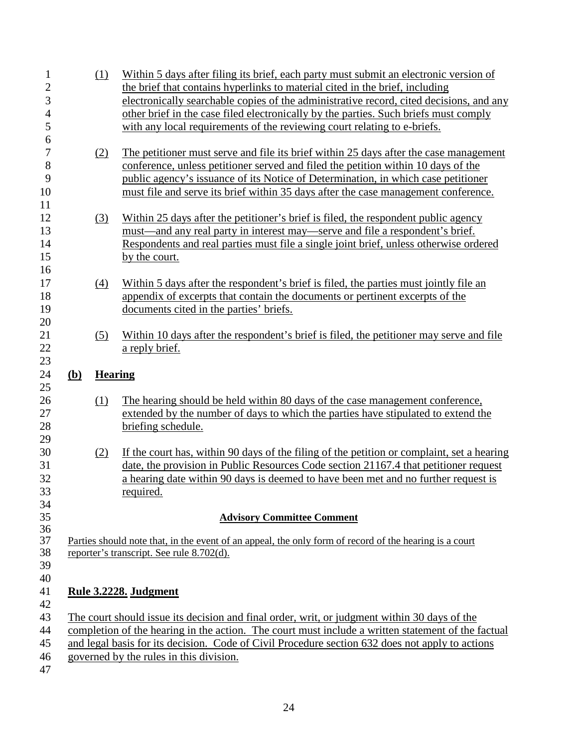| $\mathbf{1}$                     |              | (1)                                                                                                                                                 | Within 5 days after filing its brief, each party must submit an electronic version of                                                                            |  |  |  |
|----------------------------------|--------------|-----------------------------------------------------------------------------------------------------------------------------------------------------|------------------------------------------------------------------------------------------------------------------------------------------------------------------|--|--|--|
| $\overline{2}$<br>$\overline{3}$ |              |                                                                                                                                                     | the brief that contains hyperlinks to material cited in the brief, including                                                                                     |  |  |  |
| $\overline{4}$                   |              |                                                                                                                                                     | electronically searchable copies of the administrative record, cited decisions, and any                                                                          |  |  |  |
|                                  |              |                                                                                                                                                     | other brief in the case filed electronically by the parties. Such briefs must comply<br>with any local requirements of the reviewing court relating to e-briefs. |  |  |  |
| 5<br>6                           |              |                                                                                                                                                     |                                                                                                                                                                  |  |  |  |
| $\overline{7}$                   |              | (2)                                                                                                                                                 | The petitioner must serve and file its brief within 25 days after the case management                                                                            |  |  |  |
| 8                                |              |                                                                                                                                                     | conference, unless petitioner served and filed the petition within 10 days of the                                                                                |  |  |  |
| 9                                |              |                                                                                                                                                     | public agency's issuance of its Notice of Determination, in which case petitioner                                                                                |  |  |  |
| 10                               |              |                                                                                                                                                     | must file and serve its brief within 35 days after the case management conference.                                                                               |  |  |  |
| 11                               |              |                                                                                                                                                     |                                                                                                                                                                  |  |  |  |
| 12                               |              | (3)                                                                                                                                                 | Within 25 days after the petitioner's brief is filed, the respondent public agency                                                                               |  |  |  |
| 13                               |              |                                                                                                                                                     | must—and any real party in interest may—serve and file a respondent's brief.                                                                                     |  |  |  |
| 14                               |              |                                                                                                                                                     | Respondents and real parties must file a single joint brief, unless otherwise ordered                                                                            |  |  |  |
| 15                               |              |                                                                                                                                                     | by the court.                                                                                                                                                    |  |  |  |
| 16                               |              |                                                                                                                                                     |                                                                                                                                                                  |  |  |  |
| 17                               |              | $\left(4\right)$                                                                                                                                    | Within 5 days after the respondent's brief is filed, the parties must jointly file an                                                                            |  |  |  |
| 18                               |              |                                                                                                                                                     | appendix of excerpts that contain the documents or pertinent excerpts of the                                                                                     |  |  |  |
| 19                               |              |                                                                                                                                                     | documents cited in the parties' briefs.                                                                                                                          |  |  |  |
| 20                               |              |                                                                                                                                                     |                                                                                                                                                                  |  |  |  |
| 21                               |              | (5)                                                                                                                                                 | Within 10 days after the respondent's brief is filed, the petitioner may serve and file                                                                          |  |  |  |
| 22                               |              |                                                                                                                                                     | a reply brief.                                                                                                                                                   |  |  |  |
| 23                               |              |                                                                                                                                                     |                                                                                                                                                                  |  |  |  |
| 24                               | ( <b>b</b> ) | <b>Hearing</b>                                                                                                                                      |                                                                                                                                                                  |  |  |  |
| 25                               |              |                                                                                                                                                     |                                                                                                                                                                  |  |  |  |
| 26                               |              | (1)                                                                                                                                                 | The hearing should be held within 80 days of the case management conference,                                                                                     |  |  |  |
| 27                               |              |                                                                                                                                                     | extended by the number of days to which the parties have stipulated to extend the                                                                                |  |  |  |
| 28                               |              |                                                                                                                                                     | briefing schedule.                                                                                                                                               |  |  |  |
| 29                               |              |                                                                                                                                                     |                                                                                                                                                                  |  |  |  |
| 30                               |              | (2)                                                                                                                                                 | If the court has, within 90 days of the filing of the petition or complaint, set a hearing                                                                       |  |  |  |
| 31                               |              |                                                                                                                                                     | date, the provision in Public Resources Code section 21167.4 that petitioner request                                                                             |  |  |  |
| 32                               |              |                                                                                                                                                     | a hearing date within 90 days is deemed to have been met and no further request is                                                                               |  |  |  |
| 33                               |              |                                                                                                                                                     | required.                                                                                                                                                        |  |  |  |
| 34                               |              |                                                                                                                                                     |                                                                                                                                                                  |  |  |  |
| 35                               |              |                                                                                                                                                     | <b>Advisory Committee Comment</b>                                                                                                                                |  |  |  |
| 36                               |              |                                                                                                                                                     |                                                                                                                                                                  |  |  |  |
| 37<br>38                         |              | Parties should note that, in the event of an appeal, the only form of record of the hearing is a court<br>reporter's transcript. See rule 8.702(d). |                                                                                                                                                                  |  |  |  |
| 39                               |              |                                                                                                                                                     |                                                                                                                                                                  |  |  |  |
| 40                               |              |                                                                                                                                                     |                                                                                                                                                                  |  |  |  |
| 41                               |              |                                                                                                                                                     | Rule 3.2228. Judgment                                                                                                                                            |  |  |  |
| 42                               |              |                                                                                                                                                     |                                                                                                                                                                  |  |  |  |
| 43                               |              |                                                                                                                                                     | The court should issue its decision and final order, writ, or judgment within 30 days of the                                                                     |  |  |  |
|                                  |              |                                                                                                                                                     |                                                                                                                                                                  |  |  |  |
| 44                               |              |                                                                                                                                                     | completion of the hearing in the action. The court must include a written statement of the factual                                                               |  |  |  |
| 45                               |              |                                                                                                                                                     | and legal basis for its decision. Code of Civil Procedure section 632 does not apply to actions                                                                  |  |  |  |
| 46                               |              |                                                                                                                                                     | governed by the rules in this division.                                                                                                                          |  |  |  |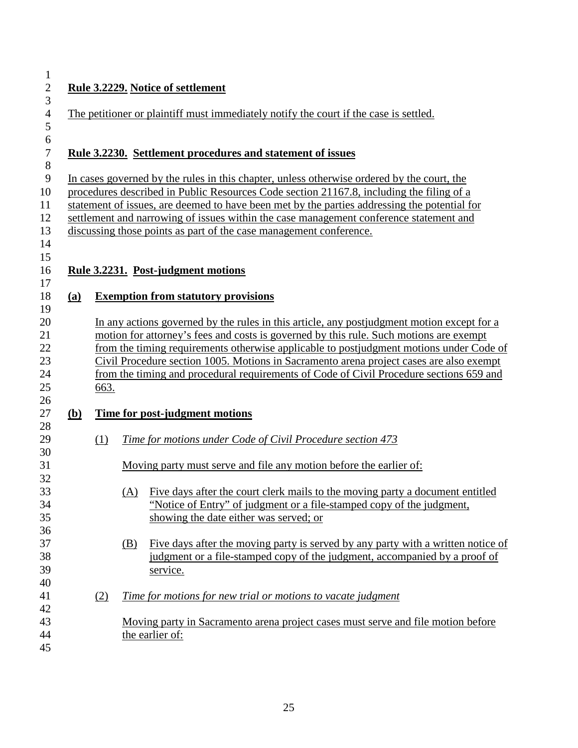| 2 |  |
|---|--|
| 3 |  |
| 4 |  |

#### **Rule 3.2229. Notice of settlement**

| 5                |              |                                                                                            |            |                                                                                              |  |  |  |  |
|------------------|--------------|--------------------------------------------------------------------------------------------|------------|----------------------------------------------------------------------------------------------|--|--|--|--|
| $\sqrt{6}$       |              |                                                                                            |            |                                                                                              |  |  |  |  |
| $\boldsymbol{7}$ |              | <u>Rule 3.2230. Settlement procedures and statement of issues</u>                          |            |                                                                                              |  |  |  |  |
| $\,8\,$          |              |                                                                                            |            |                                                                                              |  |  |  |  |
| 9                |              | In cases governed by the rules in this chapter, unless otherwise ordered by the court, the |            |                                                                                              |  |  |  |  |
| 10               |              |                                                                                            |            | procedures described in Public Resources Code section 21167.8, including the filing of a     |  |  |  |  |
| 11               |              |                                                                                            |            | statement of issues, are deemed to have been met by the parties addressing the potential for |  |  |  |  |
| 12               |              |                                                                                            |            | settlement and narrowing of issues within the case management conference statement and       |  |  |  |  |
| 13               |              |                                                                                            |            | discussing those points as part of the case management conference.                           |  |  |  |  |
| 14               |              |                                                                                            |            |                                                                                              |  |  |  |  |
| 15               |              |                                                                                            |            |                                                                                              |  |  |  |  |
| 16               |              |                                                                                            |            | Rule 3.2231. Post-judgment motions                                                           |  |  |  |  |
| 17               |              |                                                                                            |            |                                                                                              |  |  |  |  |
| 18               | (a)          |                                                                                            |            | <b>Exemption from statutory provisions</b>                                                   |  |  |  |  |
| 19               |              |                                                                                            |            |                                                                                              |  |  |  |  |
| 20               |              |                                                                                            |            | In any actions governed by the rules in this article, any postiudgment motion except for a   |  |  |  |  |
| 21               |              |                                                                                            |            | motion for attorney's fees and costs is governed by this rule. Such motions are exempt       |  |  |  |  |
| 22               |              |                                                                                            |            | from the timing requirements otherwise applicable to postjudgment motions under Code of      |  |  |  |  |
| 23               |              |                                                                                            |            | Civil Procedure section 1005. Motions in Sacramento arena project cases are also exempt      |  |  |  |  |
| 24               |              |                                                                                            |            | from the timing and procedural requirements of Code of Civil Procedure sections 659 and      |  |  |  |  |
| 25               |              | 663.                                                                                       |            |                                                                                              |  |  |  |  |
| 26               |              |                                                                                            |            |                                                                                              |  |  |  |  |
| 27               | ( <b>b</b> ) |                                                                                            |            | Time for post-judgment motions                                                               |  |  |  |  |
| 28               |              |                                                                                            |            |                                                                                              |  |  |  |  |
| 29               |              | (1)                                                                                        |            | Time for motions under Code of Civil Procedure section 473                                   |  |  |  |  |
| 30               |              |                                                                                            |            |                                                                                              |  |  |  |  |
| 31               |              |                                                                                            |            | Moving party must serve and file any motion before the earlier of:                           |  |  |  |  |
| 32               |              |                                                                                            |            |                                                                                              |  |  |  |  |
| 33               |              |                                                                                            | (A)        | Five days after the court clerk mails to the moving party a document entitled                |  |  |  |  |
| 34               |              |                                                                                            |            | "Notice of Entry" of judgment or a file-stamped copy of the judgment,                        |  |  |  |  |
| 35               |              |                                                                                            |            | showing the date either was served; or                                                       |  |  |  |  |
| 36               |              |                                                                                            |            |                                                                                              |  |  |  |  |
| 37               |              |                                                                                            | <u>(B)</u> | Five days after the moving party is served by any party with a written notice of             |  |  |  |  |
| 38               |              |                                                                                            |            | judgment or a file-stamped copy of the judgment, accompanied by a proof of                   |  |  |  |  |
| 39               |              |                                                                                            |            | service.                                                                                     |  |  |  |  |
| 40               |              |                                                                                            |            |                                                                                              |  |  |  |  |
| 41               |              | (2)                                                                                        |            | Time for motions for new trial or motions to vacate judgment                                 |  |  |  |  |
| 42               |              |                                                                                            |            |                                                                                              |  |  |  |  |
| 43               |              |                                                                                            |            | Moving party in Sacramento arena project cases must serve and file motion before             |  |  |  |  |
| 44               |              |                                                                                            |            | the earlier of:                                                                              |  |  |  |  |
| 45               |              |                                                                                            |            |                                                                                              |  |  |  |  |

The petitioner or plaintiff must immediately notify the court if the case is settled.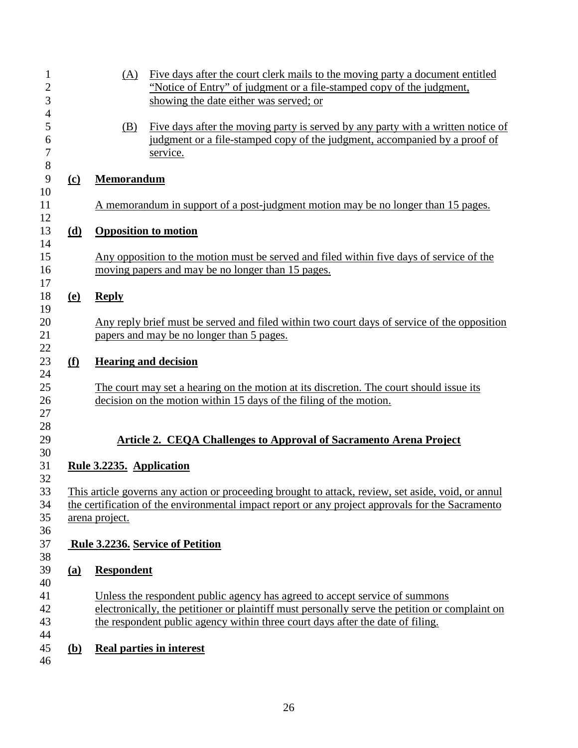| $\mathbf 1$<br>$\overline{c}$      |                                                                                                                    | Five days after the court clerk mails to the moving party a document entitled<br>(A)<br>"Notice of Entry" of judgment or a file-stamped copy of the judgment,                                                                                                   |  |  |  |  |
|------------------------------------|--------------------------------------------------------------------------------------------------------------------|-----------------------------------------------------------------------------------------------------------------------------------------------------------------------------------------------------------------------------------------------------------------|--|--|--|--|
| 3                                  |                                                                                                                    | showing the date either was served; or                                                                                                                                                                                                                          |  |  |  |  |
| $\overline{4}$<br>5<br>6<br>$\tau$ |                                                                                                                    | Five days after the moving party is served by any party with a written notice of<br>(B)<br>judgment or a file-stamped copy of the judgment, accompanied by a proof of<br>service.                                                                               |  |  |  |  |
| 8<br>9                             | $\Omega$                                                                                                           | <b>Memorandum</b>                                                                                                                                                                                                                                               |  |  |  |  |
| 10<br>11<br>12                     |                                                                                                                    | A memorandum in support of a post-judgment motion may be no longer than 15 pages.                                                                                                                                                                               |  |  |  |  |
| 13<br>14                           | (d)                                                                                                                | <b>Opposition to motion</b>                                                                                                                                                                                                                                     |  |  |  |  |
| 15<br>16<br>17                     |                                                                                                                    | Any opposition to the motion must be served and filed within five days of service of the<br>moving papers and may be no longer than 15 pages.                                                                                                                   |  |  |  |  |
| 18<br>19                           | <u>(e)</u>                                                                                                         | <b>Reply</b>                                                                                                                                                                                                                                                    |  |  |  |  |
| 20<br>21<br>22                     |                                                                                                                    | Any reply brief must be served and filed within two court days of service of the opposition<br>papers and may be no longer than 5 pages.                                                                                                                        |  |  |  |  |
| 23<br>24                           | <u>(f)</u>                                                                                                         | <b>Hearing and decision</b>                                                                                                                                                                                                                                     |  |  |  |  |
| 25<br>26<br>27                     |                                                                                                                    | The court may set a hearing on the motion at its discretion. The court should issue its<br>decision on the motion within 15 days of the filing of the motion.                                                                                                   |  |  |  |  |
| 28<br>29                           |                                                                                                                    | <b>Article 2. CEQA Challenges to Approval of Sacramento Arena Project</b>                                                                                                                                                                                       |  |  |  |  |
| 30<br>31                           |                                                                                                                    | Rule 3.2235. Application                                                                                                                                                                                                                                        |  |  |  |  |
| 32<br>33                           |                                                                                                                    | This article governs any action or proceeding brought to attack, review, set aside, void, or annul                                                                                                                                                              |  |  |  |  |
| 34<br>35                           | the certification of the environmental impact report or any project approvals for the Sacramento<br>arena project. |                                                                                                                                                                                                                                                                 |  |  |  |  |
| 36<br>37                           |                                                                                                                    | Rule 3.2236. Service of Petition                                                                                                                                                                                                                                |  |  |  |  |
| 38<br>39<br>40                     | (a)                                                                                                                | <b>Respondent</b>                                                                                                                                                                                                                                               |  |  |  |  |
| 41<br>42<br>43<br>44               |                                                                                                                    | Unless the respondent public agency has agreed to accept service of summons<br>electronically, the petitioner or plaintiff must personally serve the petition or complaint on<br>the respondent public agency within three court days after the date of filing. |  |  |  |  |
| 45<br>46                           | <b>(b)</b>                                                                                                         | <b>Real parties in interest</b>                                                                                                                                                                                                                                 |  |  |  |  |
|                                    |                                                                                                                    |                                                                                                                                                                                                                                                                 |  |  |  |  |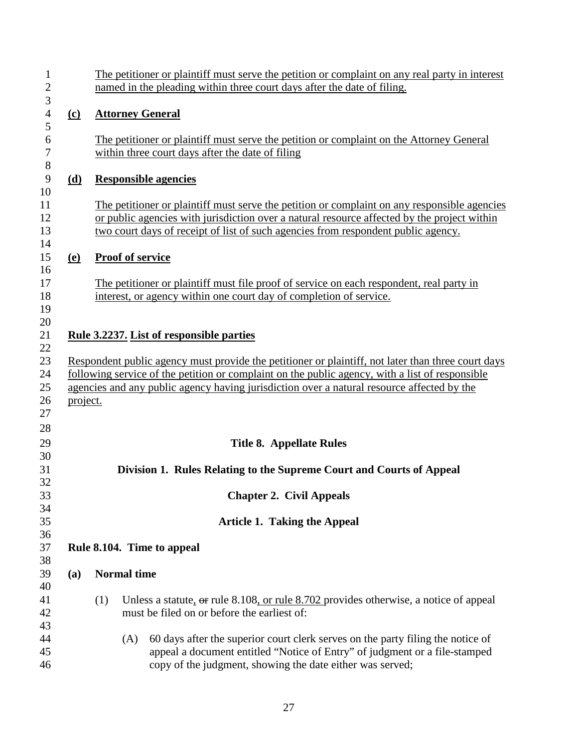| 1<br>$\mathbf{2}$<br>3                 |            | The petitioner or plaintiff must serve the petition or complaint on any real party in interest<br>named in the pleading within three court days after the date of filing. |                                                                                                                                                                                                                                                                                                     |  |  |  |  |
|----------------------------------------|------------|---------------------------------------------------------------------------------------------------------------------------------------------------------------------------|-----------------------------------------------------------------------------------------------------------------------------------------------------------------------------------------------------------------------------------------------------------------------------------------------------|--|--|--|--|
| $\overline{4}$<br>5                    | $\Omega$   | <b>Attorney General</b>                                                                                                                                                   |                                                                                                                                                                                                                                                                                                     |  |  |  |  |
| 6<br>$\boldsymbol{7}$<br>$8\,$         |            | The petitioner or plaintiff must serve the petition or complaint on the Attorney General<br>within three court days after the date of filing                              |                                                                                                                                                                                                                                                                                                     |  |  |  |  |
| $\overline{9}$<br>10                   | (d)        |                                                                                                                                                                           | <b>Responsible agencies</b>                                                                                                                                                                                                                                                                         |  |  |  |  |
| 11<br>12<br>13<br>14                   |            |                                                                                                                                                                           | The petitioner or plaintiff must serve the petition or complaint on any responsible agencies<br>or public agencies with jurisdiction over a natural resource affected by the project within<br>two court days of receipt of list of such agencies from respondent public agency.                    |  |  |  |  |
| 15                                     | <u>(e)</u> |                                                                                                                                                                           | <b>Proof of service</b>                                                                                                                                                                                                                                                                             |  |  |  |  |
| 16<br>17<br>18<br>19                   |            |                                                                                                                                                                           | The petitioner or plaintiff must file proof of service on each respondent, real party in<br>interest, or agency within one court day of completion of service.                                                                                                                                      |  |  |  |  |
| 20<br>21                               |            |                                                                                                                                                                           | Rule 3.2237. List of responsible parties                                                                                                                                                                                                                                                            |  |  |  |  |
| 22<br>23<br>24<br>25<br>26<br>27<br>28 | project.   |                                                                                                                                                                           | Respondent public agency must provide the petitioner or plaintiff, not later than three court days<br>following service of the petition or complaint on the public agency, with a list of responsible<br>agencies and any public agency having jurisdiction over a natural resource affected by the |  |  |  |  |
| 29                                     |            |                                                                                                                                                                           | <b>Title 8. Appellate Rules</b>                                                                                                                                                                                                                                                                     |  |  |  |  |
| 30<br>31                               |            | Division 1. Rules Relating to the Supreme Court and Courts of Appeal                                                                                                      |                                                                                                                                                                                                                                                                                                     |  |  |  |  |
| 32<br>33                               |            |                                                                                                                                                                           | <b>Chapter 2. Civil Appeals</b>                                                                                                                                                                                                                                                                     |  |  |  |  |
| 34<br>35                               |            |                                                                                                                                                                           | <b>Article 1. Taking the Appeal</b>                                                                                                                                                                                                                                                                 |  |  |  |  |
| 36<br>37<br>38                         |            | Rule 8.104. Time to appeal                                                                                                                                                |                                                                                                                                                                                                                                                                                                     |  |  |  |  |
| 39                                     | (a)        |                                                                                                                                                                           | <b>Normal</b> time                                                                                                                                                                                                                                                                                  |  |  |  |  |
| 40<br>41<br>42                         |            | (1)                                                                                                                                                                       | Unless a statute, or rule 8.108, or rule 8.702 provides otherwise, a notice of appeal<br>must be filed on or before the earliest of:                                                                                                                                                                |  |  |  |  |
| 43<br>44<br>45<br>46                   |            |                                                                                                                                                                           | 60 days after the superior court clerk serves on the party filing the notice of<br>(A)<br>appeal a document entitled "Notice of Entry" of judgment or a file-stamped<br>copy of the judgment, showing the date either was served;                                                                   |  |  |  |  |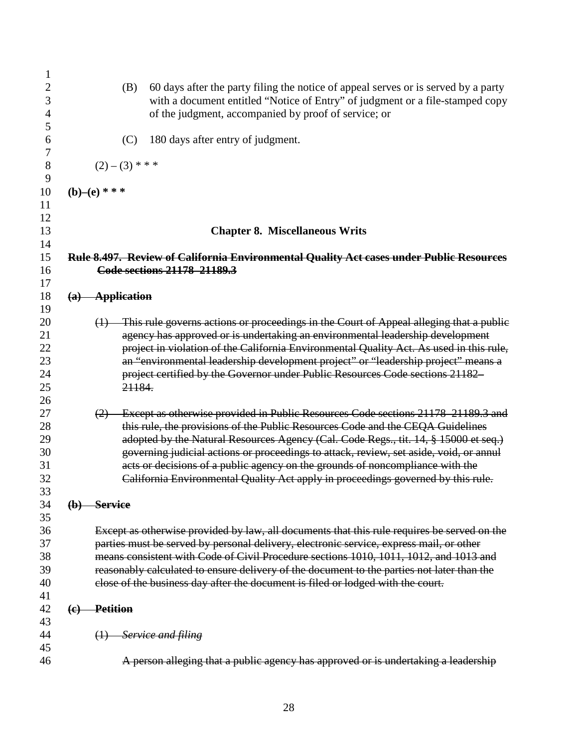| 1                   |                                                                                                                                                                            |
|---------------------|----------------------------------------------------------------------------------------------------------------------------------------------------------------------------|
| $\overline{c}$<br>3 | 60 days after the party filing the notice of appeal serves or is served by a party<br>(B)<br>with a document entitled "Notice of Entry" of judgment or a file-stamped copy |
| 4<br>5              | of the judgment, accompanied by proof of service; or                                                                                                                       |
| 6<br>7              | 180 days after entry of judgment.<br>(C)                                                                                                                                   |
| $8\,$<br>9          | $(2)-(3)$ * * *                                                                                                                                                            |
| 10<br>11            | $(b)$ – $(e)$ ***                                                                                                                                                          |
| 12<br>13            | <b>Chapter 8. Miscellaneous Writs</b>                                                                                                                                      |
| 14                  |                                                                                                                                                                            |
| 15<br>16            | Rule 8.497. Review of California Environmental Quality Act cases under Public Resources<br>Code sections 21178 21189.3                                                     |
| 17                  |                                                                                                                                                                            |
| 18                  | $(a)$ Application                                                                                                                                                          |
| 19                  |                                                                                                                                                                            |
| 20                  | $(1)$ This rule governs actions or proceedings in the Court of Appeal alleging that a public                                                                               |
| 21                  | agency has approved or is undertaking an environmental leadership development                                                                                              |
| 22                  | project in violation of the California Environmental Quality Act. As used in this rule,                                                                                    |
| 23                  | an "environmental leadership development project" or "leadership project" means a                                                                                          |
| 24                  | project certified by the Governor under Public Resources Code sections 21182                                                                                               |
| 25                  | 21184.                                                                                                                                                                     |
| 26                  |                                                                                                                                                                            |
| 27                  | Except as otherwise provided in Public Resources Code sections 21178-21189.3 and<br>(2)                                                                                    |
| 28                  | this rule, the provisions of the Public Resources Code and the CEQA Guidelines                                                                                             |
| 29                  | adopted by the Natural Resources Agency (Cal. Code Regs., tit. 14, § 15000 et seq.)                                                                                        |
| 30                  | governing judicial actions or proceedings to attack, review, set aside, void, or annul                                                                                     |
| 31                  | acts or decisions of a public agency on the grounds of noncompliance with the                                                                                              |
| 32                  | California Environmental Quality Act apply in proceedings governed by this rule.                                                                                           |
| 33                  |                                                                                                                                                                            |
| 34                  | $(b)$ Service                                                                                                                                                              |
| 35                  |                                                                                                                                                                            |
| 36                  | Except as otherwise provided by law, all documents that this rule requires be served on the                                                                                |
| 37                  | parties must be served by personal delivery, electronic service, express mail, or other                                                                                    |
| 38                  | means consistent with Code of Civil Procedure sections 1010, 1011, 1012, and 1013 and                                                                                      |
| 39                  | reasonably calculated to ensure delivery of the document to the parties not later than the                                                                                 |
| 40                  | close of the business day after the document is filed or lodged with the court.                                                                                            |
| 41                  |                                                                                                                                                                            |
| 42                  | <b>Petition</b><br>$\left($ e $\right)$                                                                                                                                    |
| 43                  |                                                                                                                                                                            |
| 44                  | $(1)$ Service and filing                                                                                                                                                   |
| 45                  |                                                                                                                                                                            |
| 46                  | A person alleging that a public agency has approved or is undertaking a leadership                                                                                         |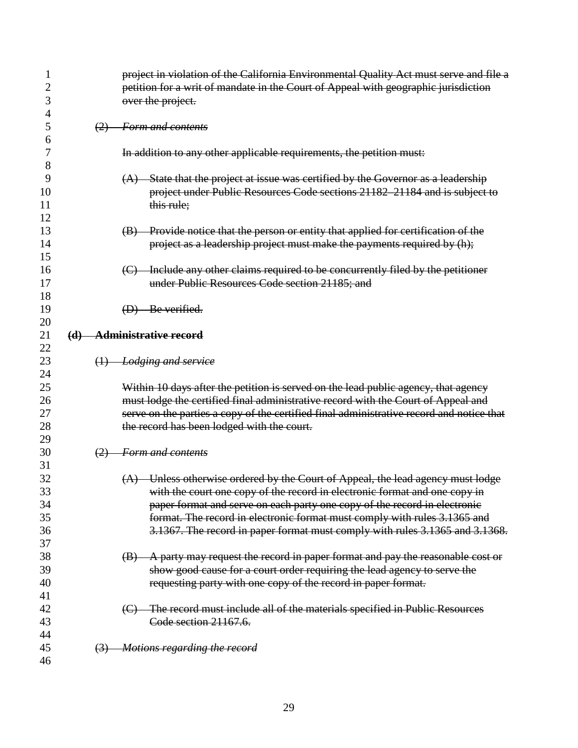| 1        |     | project in violation of the California Environmental Quality Act must serve and file a   |
|----------|-----|------------------------------------------------------------------------------------------|
| 2        |     | petition for a writ of mandate in the Court of Appeal with geographic jurisdiction       |
| 3        |     | over the project.                                                                        |
| 4        |     |                                                                                          |
| 5        |     | (2) Form and contents                                                                    |
| 6        |     |                                                                                          |
| 7        |     | In addition to any other applicable requirements, the petition must:                     |
| 8        |     |                                                                                          |
| 9        |     | (A) State that the project at issue was certified by the Governor as a leadership        |
| 10       |     | project under Public Resources Code sections 21182-21184 and is subject to               |
| 11       |     | this rule;                                                                               |
| 12       |     |                                                                                          |
| 13       |     | (B) Provide notice that the person or entity that applied for certification of the       |
| 14       |     | project as a leadership project must make the payments required by (h);                  |
| 15       |     |                                                                                          |
| 16       |     | (C) Include any other claims required to be concurrently filed by the petitioner         |
| 17       |     | under Public Resources Code section 21185; and                                           |
| 18       |     |                                                                                          |
| 19       |     | (D) Be verified.                                                                         |
| 20       |     |                                                                                          |
| 21       | (d) | <b>Administrative record</b>                                                             |
| 22       |     |                                                                                          |
| 23       |     | $(1)$ Lodging and service                                                                |
| 24       |     |                                                                                          |
| 25       |     | Within 10 days after the petition is served on the lead public agency, that agency       |
| 26       |     | must lodge the certified final administrative record with the Court of Appeal and        |
| 27       |     | serve on the parties a copy of the certified final administrative record and notice that |
| 28       |     | the record has been lodged with the court.                                               |
| 29       |     |                                                                                          |
| 30       | (2) | Form and contents                                                                        |
| 31       |     |                                                                                          |
| 32       |     | (A) Unless otherwise ordered by the Court of Appeal, the lead agency must lodge          |
| 33       |     | with the court one copy of the record in electronic format and one copy in               |
| 34       |     | paper format and serve on each party one copy of the record in electronic                |
| 35       |     | format. The record in electronic format must comply with rules 3.1365 and                |
| 36       |     | 3.1367. The record in paper format must comply with rules 3.1365 and 3.1368.             |
| 37<br>38 |     |                                                                                          |
| 39       |     | (B) A party may request the record in paper format and pay the reasonable cost or        |
| 40       |     | show good cause for a court order requiring the lead agency to serve the                 |
| 41       |     | requesting party with one copy of the record in paper format.                            |
| 42       |     | (C) The record must include all of the materials specified in Public Resources           |
| 43       |     | Code section 21167.6.                                                                    |
| 44       |     |                                                                                          |
| 45       |     | (3) Motions regarding the record                                                         |
| 46       |     |                                                                                          |
|          |     |                                                                                          |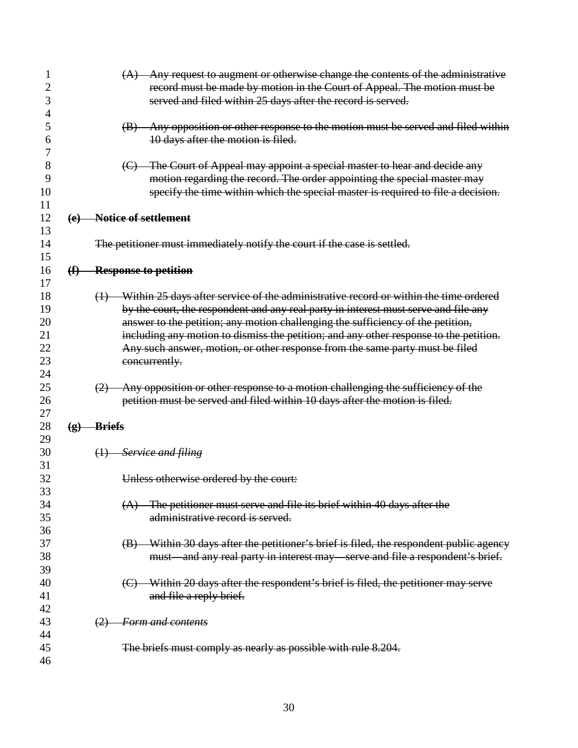| 2<br>3<br>4                            |                         |                | (A) Any request to augment or otherwise change the contents of the administrative<br>record must be made by motion in the Court of Appeal. The motion must be<br>served and filed within 25 days after the record is served.                                                                                                                                                                                                                                 |
|----------------------------------------|-------------------------|----------------|--------------------------------------------------------------------------------------------------------------------------------------------------------------------------------------------------------------------------------------------------------------------------------------------------------------------------------------------------------------------------------------------------------------------------------------------------------------|
| 5<br>6<br>7                            |                         |                | (B) Any opposition or other response to the motion must be served and filed within<br>10 days after the motion is filed.                                                                                                                                                                                                                                                                                                                                     |
| 8<br>9<br>10<br>11                     |                         |                | (C) The Court of Appeal may appoint a special master to hear and decide any<br>motion regarding the record. The order appointing the special master may<br>specify the time within which the special master is required to file a decision.                                                                                                                                                                                                                  |
| 12<br>13                               | (e)                     |                | Notice of settlement                                                                                                                                                                                                                                                                                                                                                                                                                                         |
| 14<br>15                               |                         |                | The petitioner must immediately notify the court if the case is settled.                                                                                                                                                                                                                                                                                                                                                                                     |
| 16<br>17                               | (f)                     |                | <b>Response to petition</b>                                                                                                                                                                                                                                                                                                                                                                                                                                  |
| 18<br>19<br>20<br>21<br>22<br>23<br>24 |                         |                | (1) Within 25 days after service of the administrative record or within the time ordered<br>by the court, the respondent and any real party in interest must serve and file any<br>answer to the petition; any motion challenging the sufficiency of the petition,<br>including any motion to dismiss the petition; and any other response to the petition.<br>Any such answer, motion, or other response from the same party must be filed<br>concurrently. |
| 25<br>26<br>27                         |                         | (2)            | Any opposition or other response to a motion challenging the sufficiency of the<br>petition must be served and filed within 10 days after the motion is filed.                                                                                                                                                                                                                                                                                               |
| 28<br>29                               | $\left( \bf{g} \right)$ | <u>-Briefs</u> |                                                                                                                                                                                                                                                                                                                                                                                                                                                              |
| 30<br>31                               |                         |                | $(1)$ Service and filing                                                                                                                                                                                                                                                                                                                                                                                                                                     |
| 32<br>33                               |                         |                | Unless otherwise ordered by the court:                                                                                                                                                                                                                                                                                                                                                                                                                       |
| 34<br>35<br>36                         |                         |                | $(A)$ The petitioner must serve and file its brief within 40 days after the<br>administrative record is served.                                                                                                                                                                                                                                                                                                                                              |
| 37<br>38<br>39                         |                         |                | (B) Within 30 days after the petitioner's brief is filed, the respondent public agency<br>must and any real party in interest may serve and file a respondent's brief.                                                                                                                                                                                                                                                                                       |
| 40<br>41<br>42                         |                         |                | (C) Within 20 days after the respondent's brief is filed, the petitioner may serve<br>and file a reply brief.                                                                                                                                                                                                                                                                                                                                                |
| 43<br>44                               |                         | (2)            | <b>Form and contents</b>                                                                                                                                                                                                                                                                                                                                                                                                                                     |
| 45<br>46                               |                         |                | The briefs must comply as nearly as possible with rule 8.204.                                                                                                                                                                                                                                                                                                                                                                                                |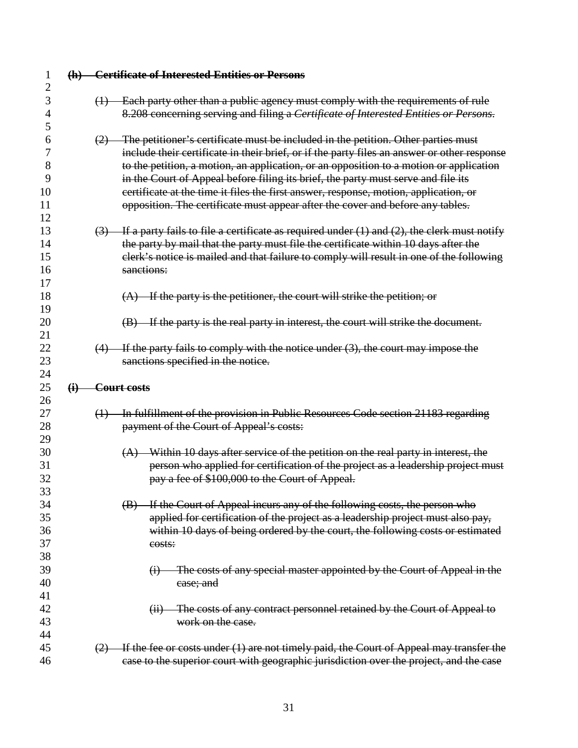|             | (h) Certificate of Interested Entities or Persons                                                                                                                         |
|-------------|---------------------------------------------------------------------------------------------------------------------------------------------------------------------------|
|             | Each party other than a public agency must comply with the requirements of rule<br>$\leftrightarrow$                                                                      |
|             | 8.208 concerning serving and filing a Certificate of Interested Entities or Persons.                                                                                      |
|             | The petitioner's certificate must be included in the petition. Other parties must<br>(2)                                                                                  |
|             | include their certificate in their brief, or if the party files an answer or other response                                                                               |
|             | to the petition, a motion, an application, or an opposition to a motion or application                                                                                    |
|             | in the Court of Appeal before filing its brief, the party must serve and file its<br>certificate at the time it files the first answer, response, motion, application, or |
|             | opposition. The certificate must appear after the cover and before any tables.                                                                                            |
|             | $(3)$ If a party fails to file a certificate as required under (1) and (2), the clerk must notify                                                                         |
|             | the party by mail that the party must file the certificate within 10 days after the                                                                                       |
|             | elerk's notice is mailed and that failure to comply will result in one of the following                                                                                   |
|             | sanctions:                                                                                                                                                                |
|             | $(A)$ If the party is the petitioner, the court will strike the petition; or                                                                                              |
|             |                                                                                                                                                                           |
|             | (B) If the party is the real party in interest, the court will strike the document.                                                                                       |
|             |                                                                                                                                                                           |
|             | $(4)$ If the party fails to comply with the notice under $(3)$ , the court may impose the<br>sanctions specified in the notice.                                           |
|             |                                                                                                                                                                           |
| $\bigoplus$ | <del>Court costs</del>                                                                                                                                                    |
|             | In fulfillment of the provision in Public Resources Code section 21183 regarding<br>$\left(\frac{1}{2}\right)$                                                            |
|             | payment of the Court of Appeal's costs:                                                                                                                                   |
|             |                                                                                                                                                                           |
|             | (A) Within 10 days after service of the petition on the real party in interest, the                                                                                       |
|             | person who applied for certification of the project as a leadership project must                                                                                          |
|             | pay a fee of \$100,000 to the Court of Appeal.                                                                                                                            |
|             | (B) If the Court of Appeal incurs any of the following costs, the person who                                                                                              |
|             | applied for certification of the project as a leadership project must also pay,                                                                                           |
|             | within 10 days of being ordered by the court, the following costs or estimated                                                                                            |
|             | costs:                                                                                                                                                                    |
|             |                                                                                                                                                                           |
|             | The costs of any special master appointed by the Court of Appeal in the<br>$\ddot{\theta}$                                                                                |
|             | case; and                                                                                                                                                                 |
|             | (ii) The costs of any contract personnel retained by the Court of Appeal to                                                                                               |
|             | work on the case.                                                                                                                                                         |
|             |                                                                                                                                                                           |
|             | If the fee or costs under (1) are not timely paid, the Court of Appeal may transfer the<br>(2)                                                                            |
|             | case to the superior court with geographic jurisdiction over the project, and the case                                                                                    |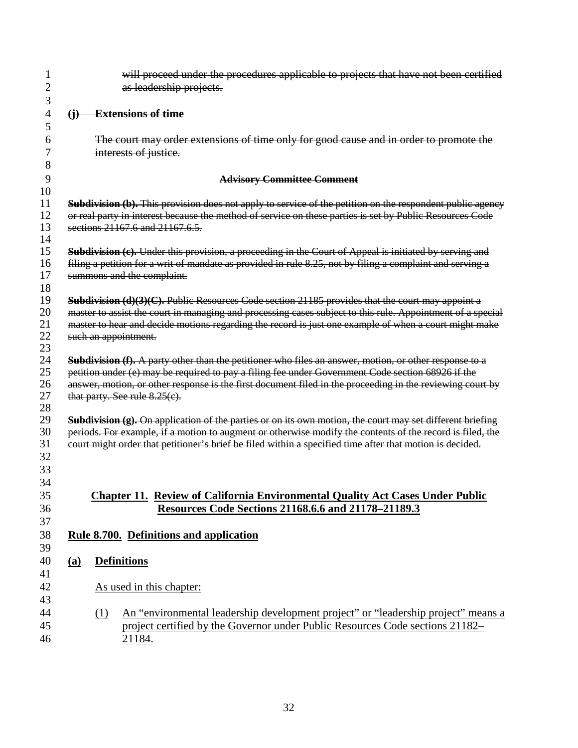| 1                   |            | will proceed under the procedures applicable to projects that have not been certified                                                                                                                                 |
|---------------------|------------|-----------------------------------------------------------------------------------------------------------------------------------------------------------------------------------------------------------------------|
| $\overline{c}$<br>3 |            | as leadership projects.                                                                                                                                                                                               |
| 4                   |            | <b>Extensions of time</b>                                                                                                                                                                                             |
| 5                   | $\Theta$   |                                                                                                                                                                                                                       |
| 6                   |            | The court may order extensions of time only for good cause and in order to promote the                                                                                                                                |
| 7                   |            | interests of justice.                                                                                                                                                                                                 |
| 8                   |            |                                                                                                                                                                                                                       |
| 9                   |            | <b>Advisory Committee Comment</b>                                                                                                                                                                                     |
| 10<br>11            |            |                                                                                                                                                                                                                       |
| 12                  |            | Subdivision (b). This provision does not apply to service of the petition on the respondent public agency<br>or real party in interest because the method of service on these parties is set by Public Resources Code |
| 13                  |            | sections 21167.6 and 21167.6.5.                                                                                                                                                                                       |
| 14                  |            |                                                                                                                                                                                                                       |
| 15                  |            | Subdivision (e). Under this provision, a proceeding in the Court of Appeal is initiated by serving and                                                                                                                |
| 16                  |            | filing a petition for a writ of mandate as provided in rule 8.25, not by filing a complaint and serving a                                                                                                             |
| 17                  |            | summons and the complaint.                                                                                                                                                                                            |
| 18                  |            |                                                                                                                                                                                                                       |
| 19                  |            | <b>Subdivision (d)(3)(C).</b> Public Resources Code section $21185$ provides that the court may appoint a                                                                                                             |
| 20                  |            | master to assist the court in managing and processing cases subject to this rule. Appointment of a special                                                                                                            |
| 21                  |            | master to hear and decide motions regarding the record is just one example of when a court might make                                                                                                                 |
| 22                  |            | such an appointment.                                                                                                                                                                                                  |
| 23                  |            |                                                                                                                                                                                                                       |
| 24                  |            | Subdivision (f). A party other than the petitioner who files an answer, motion, or other response to a                                                                                                                |
| 25<br>26            |            | petition under (e) may be required to pay a filing fee under Government Code section 68926 if the<br>answer, motion, or other response is the first document filed in the proceeding in the reviewing court by        |
| 27                  |            | that party. See rule $8.25(e)$ .                                                                                                                                                                                      |
| 28                  |            |                                                                                                                                                                                                                       |
| 29                  |            | <b>Subdivision (g).</b> On application of the parties or on its own motion, the court may set different briefing                                                                                                      |
| 30                  |            | periods. For example, if a motion to augment or otherwise modify the contents of the record is filed, the                                                                                                             |
| 31                  |            | court might order that petitioner's brief be filed within a specified time after that motion is decided.                                                                                                              |
| 32                  |            |                                                                                                                                                                                                                       |
| 33                  |            |                                                                                                                                                                                                                       |
| 34                  |            |                                                                                                                                                                                                                       |
| 35                  |            | <b>Chapter 11. Review of California Environmental Quality Act Cases Under Public</b>                                                                                                                                  |
| 36                  |            | <b>Resources Code Sections 21168.6.6 and 21178-21189.3</b>                                                                                                                                                            |
| 37                  |            |                                                                                                                                                                                                                       |
| 38                  |            | Rule 8.700. Definitions and application                                                                                                                                                                               |
| 39                  |            |                                                                                                                                                                                                                       |
| 40                  | <u>(a)</u> | <b>Definitions</b>                                                                                                                                                                                                    |
| 41<br>42            |            | As used in this chapter:                                                                                                                                                                                              |
| 43                  |            |                                                                                                                                                                                                                       |
| 44                  |            | An "environmental leadership development project" or "leadership project" means a<br>(1)                                                                                                                              |
| 45                  |            | project certified by the Governor under Public Resources Code sections 21182–                                                                                                                                         |
| 46                  |            | 21184.                                                                                                                                                                                                                |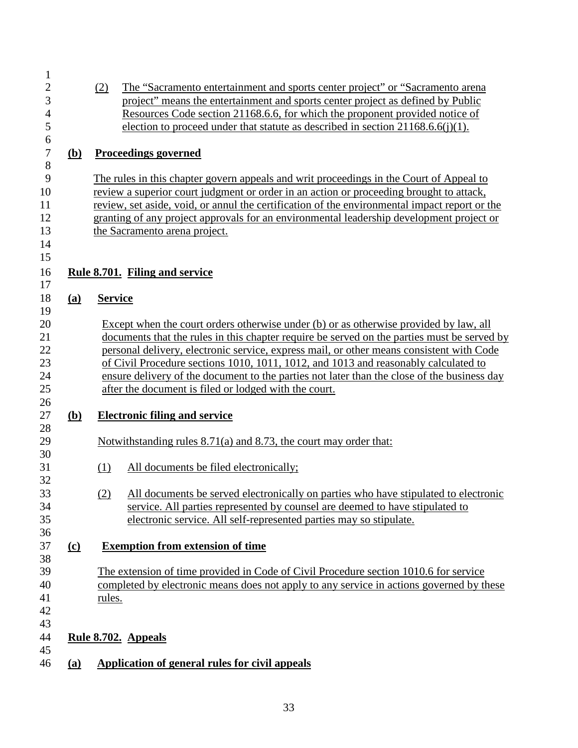| $\mathbf 1$    |            |                |                                                                                               |
|----------------|------------|----------------|-----------------------------------------------------------------------------------------------|
| $\overline{c}$ |            | (2)            | The "Sacramento entertainment and sports center project" or "Sacramento arena                 |
| 3              |            |                | project" means the entertainment and sports center project as defined by Public               |
| $\overline{4}$ |            |                | Resources Code section 21168.6.6, for which the proponent provided notice of                  |
| 5              |            |                | election to proceed under that statute as described in section $21168.6.6(j)(1)$ .            |
| 6              |            |                |                                                                                               |
| $\tau$<br>8    | <u>(b)</u> |                | <b>Proceedings governed</b>                                                                   |
| 9              |            |                | The rules in this chapter govern appeals and writ proceedings in the Court of Appeal to       |
| 10             |            |                | review a superior court judgment or order in an action or proceeding brought to attack,       |
| 11             |            |                | review, set aside, void, or annul the certification of the environmental impact report or the |
| 12             |            |                | granting of any project approvals for an environmental leadership development project or      |
| 13             |            |                | the Sacramento arena project.                                                                 |
| 14             |            |                |                                                                                               |
| 15             |            |                |                                                                                               |
| 16             |            |                | Rule 8.701. Filing and service                                                                |
| 17             |            |                |                                                                                               |
| 18             | (a)        | <b>Service</b> |                                                                                               |
| 19             |            |                |                                                                                               |
| 20             |            |                | Except when the court orders otherwise under (b) or as otherwise provided by law, all         |
| 21             |            |                | documents that the rules in this chapter require be served on the parties must be served by   |
| 22             |            |                | personal delivery, electronic service, express mail, or other means consistent with Code      |
| 23             |            |                | of Civil Procedure sections 1010, 1011, 1012, and 1013 and reasonably calculated to           |
| 24             |            |                | ensure delivery of the document to the parties not later than the close of the business day   |
| 25             |            |                | after the document is filed or lodged with the court.                                         |
| 26<br>27       |            |                |                                                                                               |
| 28             | <u>(b)</u> |                | <b>Electronic filing and service</b>                                                          |
| 29             |            |                | Notwithstanding rules $8.71(a)$ and $8.73$ , the court may order that:                        |
| 30             |            |                |                                                                                               |
| 31             |            | (1)            | All documents be filed electronically;                                                        |
| 32             |            |                |                                                                                               |
| 33             |            | (2)            | All documents be served electronically on parties who have stipulated to electronic           |
| 34             |            |                | service. All parties represented by counsel are deemed to have stipulated to                  |
| 35             |            |                | electronic service. All self-represented parties may so stipulate.                            |
| 36             |            |                |                                                                                               |
| 37             | $\Omega$   |                | <b>Exemption from extension of time</b>                                                       |
| 38             |            |                |                                                                                               |
| 39             |            |                | The extension of time provided in Code of Civil Procedure section 1010.6 for service          |
| 40             |            |                | completed by electronic means does not apply to any service in actions governed by these      |
| 41             |            | rules.         |                                                                                               |
| 42             |            |                |                                                                                               |
| 43             |            |                |                                                                                               |
| 44             |            |                | Rule 8.702. Appeals                                                                           |
| 45<br>46       |            |                | Application of general rules for civil appeals                                                |
|                | <u>(a)</u> |                |                                                                                               |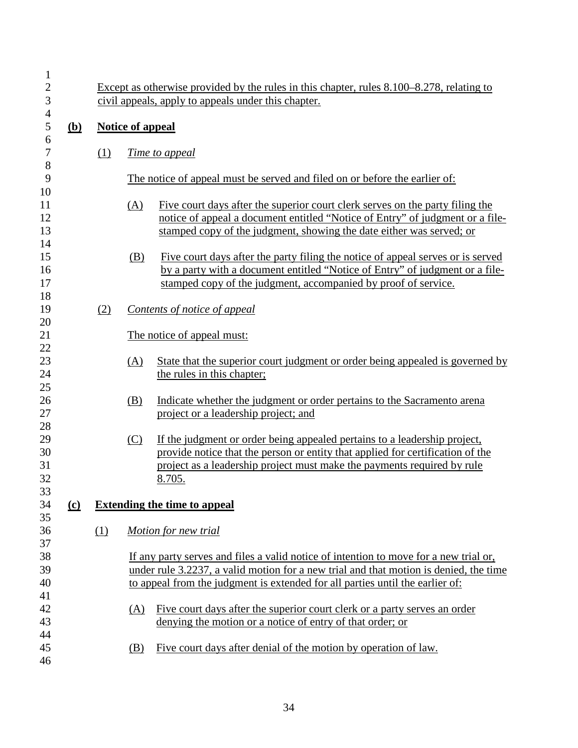| $\mathbf{1}$<br>$\overline{2}$<br>$\mathfrak{Z}$ |            |     | Except as otherwise provided by the rules in this chapter, rules 8.100–8.278, relating to<br>civil appeals, apply to appeals under this chapter. |                                                                                                                                                                                                                                                                 |  |
|--------------------------------------------------|------------|-----|--------------------------------------------------------------------------------------------------------------------------------------------------|-----------------------------------------------------------------------------------------------------------------------------------------------------------------------------------------------------------------------------------------------------------------|--|
| $\overline{\mathcal{A}}$<br>$\mathfrak s$        | <u>(b)</u> |     | <b>Notice of appeal</b>                                                                                                                          |                                                                                                                                                                                                                                                                 |  |
| 6<br>$\boldsymbol{7}$<br>8                       |            | (1) |                                                                                                                                                  | <i>Time to appeal</i>                                                                                                                                                                                                                                           |  |
| 9<br>10                                          |            |     |                                                                                                                                                  | The notice of appeal must be served and filed on or before the earlier of:                                                                                                                                                                                      |  |
| 11<br>12<br>13                                   |            |     | (A)                                                                                                                                              | Five court days after the superior court clerk serves on the party filing the<br>notice of appeal a document entitled "Notice of Entry" of judgment or a file-<br>stamped copy of the judgment, showing the date either was served; or                          |  |
| 14<br>15<br>16<br>17<br>18                       |            |     | (B)                                                                                                                                              | Five court days after the party filing the notice of appeal serves or is served<br>by a party with a document entitled "Notice of Entry" of judgment or a file-<br>stamped copy of the judgment, accompanied by proof of service.                               |  |
| 19                                               |            | (2) |                                                                                                                                                  | Contents of notice of appeal                                                                                                                                                                                                                                    |  |
| 20<br>21                                         |            |     |                                                                                                                                                  | The notice of appeal must:                                                                                                                                                                                                                                      |  |
| 22<br>23<br>24                                   |            |     | (A)                                                                                                                                              | State that the superior court judgment or order being appealed is governed by<br>the rules in this chapter;                                                                                                                                                     |  |
| 25<br>26<br>27<br>28                             |            |     | (B)                                                                                                                                              | Indicate whether the judgment or order pertains to the Sacramento arena<br>project or a leadership project; and                                                                                                                                                 |  |
| 29<br>30<br>31<br>32                             |            |     | (C)                                                                                                                                              | If the judgment or order being appealed pertains to a leadership project,<br>provide notice that the person or entity that applied for certification of the<br>project as a leadership project must make the payments required by rule<br>8.705.                |  |
| 33<br>34                                         | $\Omega$   |     |                                                                                                                                                  | <b>Extending the time to appeal</b>                                                                                                                                                                                                                             |  |
| 35<br>36                                         |            | (1) |                                                                                                                                                  | Motion for new trial                                                                                                                                                                                                                                            |  |
| 37<br>38<br>39<br>40                             |            |     |                                                                                                                                                  | If any party serves and files a valid notice of intention to move for a new trial or,<br>under rule 3.2237, a valid motion for a new trial and that motion is denied, the time<br>to appeal from the judgment is extended for all parties until the earlier of: |  |
| 41<br>42<br>43                                   |            |     | (A)                                                                                                                                              | Five court days after the superior court clerk or a party serves an order<br>denying the motion or a notice of entry of that order; or                                                                                                                          |  |
| 44<br>45<br>46                                   |            |     | (B)                                                                                                                                              | Five court days after denial of the motion by operation of law.                                                                                                                                                                                                 |  |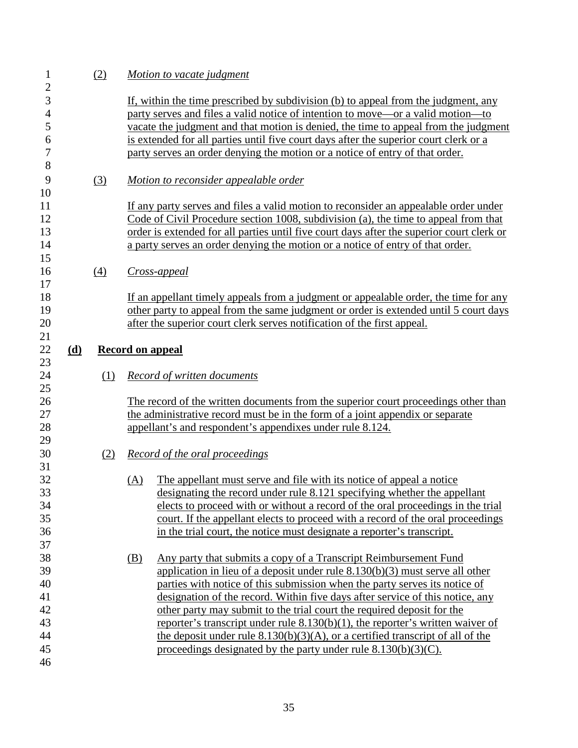| $\mathbf{1}$<br>$\overline{c}$ |     | (2)               | Motion to vacate judgment                                                                 |
|--------------------------------|-----|-------------------|-------------------------------------------------------------------------------------------|
| 3                              |     |                   | If, within the time prescribed by subdivision (b) to appeal from the judgment, any        |
| $\overline{4}$                 |     |                   | party serves and files a valid notice of intention to move—or a valid motion—to           |
| 5                              |     |                   | vacate the judgment and that motion is denied, the time to appeal from the judgment       |
| 6                              |     |                   | is extended for all parties until five court days after the superior court clerk or a     |
| $\boldsymbol{7}$               |     |                   | party serves an order denying the motion or a notice of entry of that order.              |
| 8                              |     |                   |                                                                                           |
| 9                              |     | (3)               | Motion to reconsider appealable order                                                     |
| 10                             |     |                   |                                                                                           |
| 11                             |     |                   | If any party serves and files a valid motion to reconsider an appealable order under      |
| 12                             |     |                   | Code of Civil Procedure section 1008, subdivision (a), the time to appeal from that       |
| 13                             |     |                   | order is extended for all parties until five court days after the superior court clerk or |
| 14                             |     |                   | a party serves an order denying the motion or a notice of entry of that order.            |
| 15                             |     |                   |                                                                                           |
| 16                             |     | $\underline{(4)}$ | Cross-appeal                                                                              |
| 17                             |     |                   |                                                                                           |
| 18                             |     |                   | If an appellant timely appeals from a judgment or appealable order, the time for any      |
| 19                             |     |                   | other party to appeal from the same judgment or order is extended until 5 court days      |
| 20                             |     |                   | after the superior court clerk serves notification of the first appeal.                   |
| 21<br>22                       | (d) |                   | <b>Record on appeal</b>                                                                   |
| 23                             |     |                   |                                                                                           |
| 24                             |     | (1)               | Record of written documents                                                               |
| 25                             |     |                   |                                                                                           |
| 26                             |     |                   | The record of the written documents from the superior court proceedings other than        |
| 27                             |     |                   | the administrative record must be in the form of a joint appendix or separate             |
| 28                             |     |                   | appellant's and respondent's appendixes under rule 8.124.                                 |
| 29<br>30                       |     | (2)               | <b>Record of the oral proceedings</b>                                                     |
| 31                             |     |                   |                                                                                           |
| 32                             |     |                   | The appellant must serve and file with its notice of appeal a notice<br>(A)               |
| 33                             |     |                   | designating the record under rule 8.121 specifying whether the appellant                  |
| 34                             |     |                   | elects to proceed with or without a record of the oral proceedings in the trial           |
| 35                             |     |                   | court. If the appellant elects to proceed with a record of the oral proceedings           |
| 36                             |     |                   | in the trial court, the notice must designate a reporter's transcript.                    |
| 37                             |     |                   |                                                                                           |
| 38                             |     |                   | Any party that submits a copy of a Transcript Reimbursement Fund<br>(B)                   |
| 39                             |     |                   | application in lieu of a deposit under rule $8.130(b)(3)$ must serve all other            |
| 40                             |     |                   | parties with notice of this submission when the party serves its notice of                |
| 41                             |     |                   | designation of the record. Within five days after service of this notice, any             |
| 42                             |     |                   | other party may submit to the trial court the required deposit for the                    |
| 43                             |     |                   | reporter's transcript under rule 8.130(b)(1), the reporter's written waiver of            |
|                                |     |                   |                                                                                           |
| 44                             |     |                   | the deposit under rule $8.130(b)(3)(A)$ , or a certified transcript of all of the         |
| 45                             |     |                   | proceedings designated by the party under rule $8.130(b)(3)(C)$ .                         |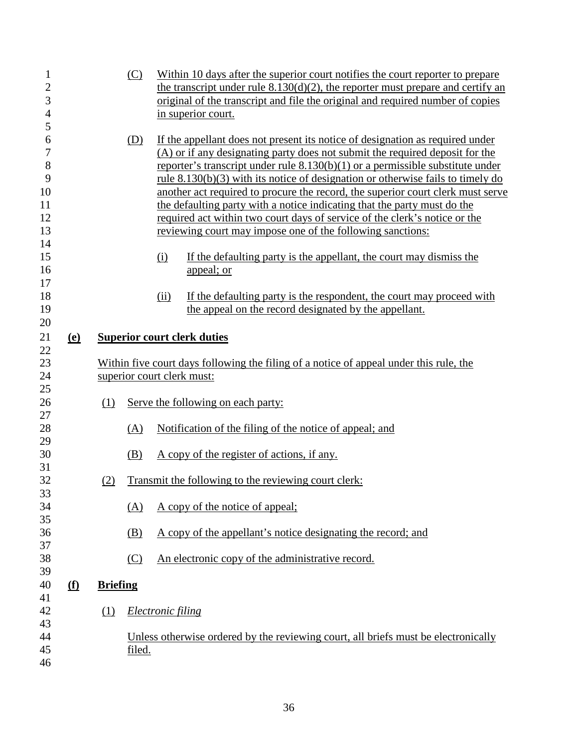| $\mathbf{1}$   |            |                 | (C)           | Within 10 days after the superior court notifies the court reporter to prepare                                                         |
|----------------|------------|-----------------|---------------|----------------------------------------------------------------------------------------------------------------------------------------|
| $\mathbf{2}$   |            |                 |               | the transcript under rule $8.130(d)(2)$ , the reporter must prepare and certify an                                                     |
| 3              |            |                 |               | original of the transcript and file the original and required number of copies                                                         |
| $\overline{4}$ |            |                 |               | in superior court.                                                                                                                     |
| 5              |            |                 |               |                                                                                                                                        |
| 6              |            |                 | (D)           | If the appellant does not present its notice of designation as required under                                                          |
| 7              |            |                 |               | (A) or if any designating party does not submit the required deposit for the                                                           |
| $\,8\,$        |            |                 |               | reporter's transcript under rule $8.130(b)(1)$ or a permissible substitute under                                                       |
| 9              |            |                 |               | rule $8.130(b)(3)$ with its notice of designation or otherwise fails to timely do                                                      |
| 10             |            |                 |               | another act required to procure the record, the superior court clerk must serve                                                        |
| 11             |            |                 |               | the defaulting party with a notice indicating that the party must do the                                                               |
| 12             |            |                 |               | required act within two court days of service of the clerk's notice or the                                                             |
| 13             |            |                 |               | reviewing court may impose one of the following sanctions:                                                                             |
| 14             |            |                 |               |                                                                                                                                        |
| 15             |            |                 |               | If the defaulting party is the appellant, the court may dismiss the<br>(i)                                                             |
| 16             |            |                 |               | appeal; or                                                                                                                             |
| 17             |            |                 |               |                                                                                                                                        |
| 18<br>19       |            |                 |               | (ii)<br>If the defaulting party is the respondent, the court may proceed with<br>the appeal on the record designated by the appellant. |
| 20             |            |                 |               |                                                                                                                                        |
| 21             | <u>(e)</u> |                 |               | <b>Superior court clerk duties</b>                                                                                                     |
| 22             |            |                 |               |                                                                                                                                        |
| 23             |            |                 |               | Within five court days following the filing of a notice of appeal under this rule, the                                                 |
| 24             |            |                 |               | superior court clerk must:                                                                                                             |
| 25             |            |                 |               |                                                                                                                                        |
| 26             |            | (1)             |               | Serve the following on each party:                                                                                                     |
| 27             |            |                 |               |                                                                                                                                        |
| 28             |            |                 | (A)           | Notification of the filing of the notice of appeal; and                                                                                |
| 29             |            |                 |               |                                                                                                                                        |
| 30             |            |                 | (B)           | A copy of the register of actions, if any.                                                                                             |
| 31             |            |                 |               |                                                                                                                                        |
| 32             |            | (2)             |               | Transmit the following to the reviewing court clerk:                                                                                   |
| 33             |            |                 |               |                                                                                                                                        |
| 34             |            |                 | (A)           | A copy of the notice of appeal;                                                                                                        |
| 35             |            |                 |               |                                                                                                                                        |
| 36             |            |                 | (B)           | A copy of the appellant's notice designating the record; and                                                                           |
| 37             |            |                 |               |                                                                                                                                        |
| 38<br>39       |            |                 | (C)           | An electronic copy of the administrative record.                                                                                       |
| 40             |            |                 |               |                                                                                                                                        |
| 41             | <u>(f)</u> | <b>Briefing</b> |               |                                                                                                                                        |
| 42             |            | (1)             |               | <b>Electronic filing</b>                                                                                                               |
| 43             |            |                 |               |                                                                                                                                        |
| 44             |            |                 |               | Unless otherwise ordered by the reviewing court, all briefs must be electronically                                                     |
| 45             |            |                 | <u>filed.</u> |                                                                                                                                        |
|                |            |                 |               |                                                                                                                                        |
| 46             |            |                 |               |                                                                                                                                        |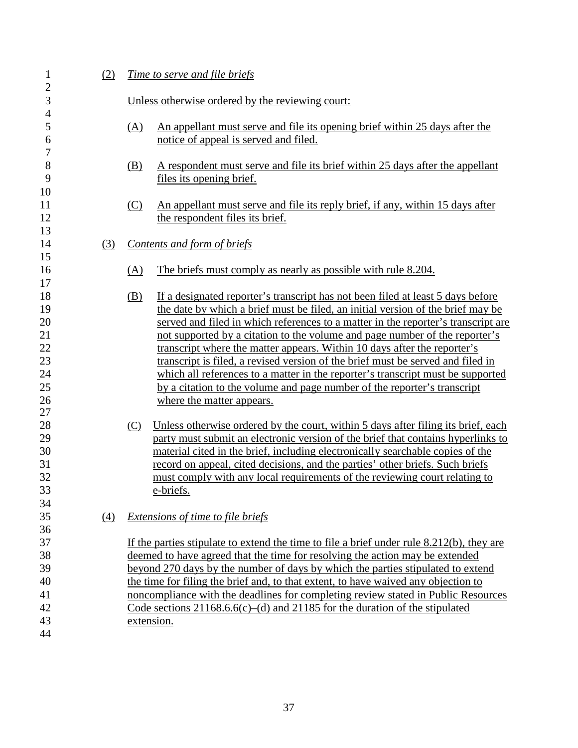| $\mathbf{1}$                                                                                     | (2) | <u>Time to serve and file briefs</u>                                                                                                                                                                                                                                                                                                                                                                                                                                                                                                                                                                                                                                                                                                                                                                                                                                                                                                                                                                                                                                                                                                                   |  |  |
|--------------------------------------------------------------------------------------------------|-----|--------------------------------------------------------------------------------------------------------------------------------------------------------------------------------------------------------------------------------------------------------------------------------------------------------------------------------------------------------------------------------------------------------------------------------------------------------------------------------------------------------------------------------------------------------------------------------------------------------------------------------------------------------------------------------------------------------------------------------------------------------------------------------------------------------------------------------------------------------------------------------------------------------------------------------------------------------------------------------------------------------------------------------------------------------------------------------------------------------------------------------------------------------|--|--|
| $\overline{\mathbf{c}}$<br>3                                                                     |     | Unless otherwise ordered by the reviewing court:                                                                                                                                                                                                                                                                                                                                                                                                                                                                                                                                                                                                                                                                                                                                                                                                                                                                                                                                                                                                                                                                                                       |  |  |
| $\overline{4}$<br>5<br>$\boldsymbol{6}$                                                          |     | An appellant must serve and file its opening brief within 25 days after the<br>(A)<br>notice of appeal is served and filed.                                                                                                                                                                                                                                                                                                                                                                                                                                                                                                                                                                                                                                                                                                                                                                                                                                                                                                                                                                                                                            |  |  |
| $\tau$<br>8<br>9                                                                                 |     | A respondent must serve and file its brief within 25 days after the appellant<br>(B)<br>files its opening brief.                                                                                                                                                                                                                                                                                                                                                                                                                                                                                                                                                                                                                                                                                                                                                                                                                                                                                                                                                                                                                                       |  |  |
| 10<br>11<br>12<br>13                                                                             |     | (C)<br>An appellant must serve and file its reply brief, if any, within 15 days after<br>the respondent files its brief.                                                                                                                                                                                                                                                                                                                                                                                                                                                                                                                                                                                                                                                                                                                                                                                                                                                                                                                                                                                                                               |  |  |
| 14                                                                                               | (3) | Contents and form of briefs                                                                                                                                                                                                                                                                                                                                                                                                                                                                                                                                                                                                                                                                                                                                                                                                                                                                                                                                                                                                                                                                                                                            |  |  |
| 15<br>16<br>17                                                                                   |     | (A)<br>The briefs must comply as nearly as possible with rule 8.204.                                                                                                                                                                                                                                                                                                                                                                                                                                                                                                                                                                                                                                                                                                                                                                                                                                                                                                                                                                                                                                                                                   |  |  |
| 18<br>19<br>20<br>21<br>22<br>23<br>24<br>25<br>26<br>27<br>28<br>29<br>$30\,$<br>31<br>32<br>33 |     | (B)<br>If a designated reporter's transcript has not been filed at least 5 days before<br>the date by which a brief must be filed, an initial version of the brief may be<br>served and filed in which references to a matter in the reporter's transcript are<br>not supported by a citation to the volume and page number of the reporter's<br>transcript where the matter appears. Within 10 days after the reporter's<br>transcript is filed, a revised version of the brief must be served and filed in<br>which all references to a matter in the reporter's transcript must be supported<br>by a citation to the volume and page number of the reporter's transcript<br>where the matter appears.<br>Unless otherwise ordered by the court, within 5 days after filing its brief, each<br>(C)<br>party must submit an electronic version of the brief that contains hyperlinks to<br>material cited in the brief, including electronically searchable copies of the<br>record on appeal, cited decisions, and the parties' other briefs. Such briefs<br>must comply with any local requirements of the reviewing court relating to<br>e-briefs. |  |  |
| 34<br>35<br>36                                                                                   | (4) | Extensions of time to file briefs                                                                                                                                                                                                                                                                                                                                                                                                                                                                                                                                                                                                                                                                                                                                                                                                                                                                                                                                                                                                                                                                                                                      |  |  |
| 37<br>38<br>39<br>40<br>41<br>42<br>43                                                           |     | If the parties stipulate to extend the time to file a brief under rule $8.212(b)$ , they are<br>deemed to have agreed that the time for resolving the action may be extended<br>beyond 270 days by the number of days by which the parties stipulated to extend<br>the time for filing the brief and, to that extent, to have waived any objection to<br>noncompliance with the deadlines for completing review stated in Public Resources<br>Code sections $21168.66(c)$ –(d) and $21185$ for the duration of the stipulated<br>extension.                                                                                                                                                                                                                                                                                                                                                                                                                                                                                                                                                                                                            |  |  |
| 44                                                                                               |     |                                                                                                                                                                                                                                                                                                                                                                                                                                                                                                                                                                                                                                                                                                                                                                                                                                                                                                                                                                                                                                                                                                                                                        |  |  |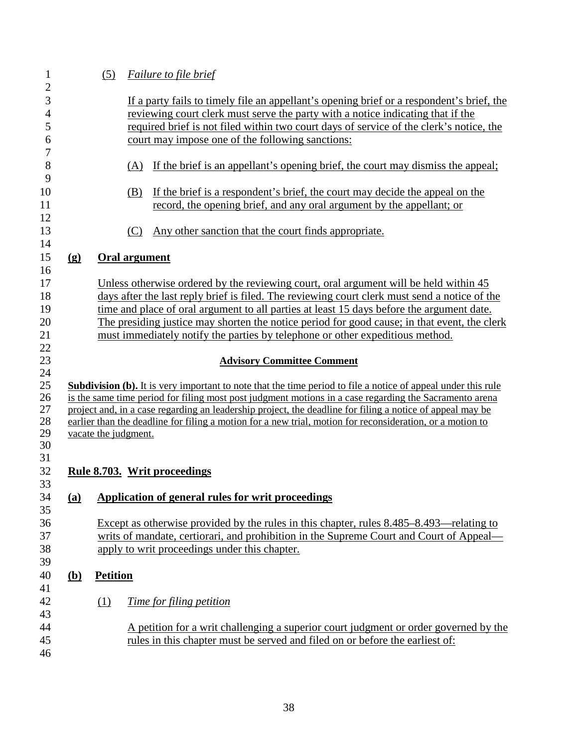| $\mathbf{1}$        |                             | (5)             | <b>Failure to file brief</b>                                                                                                                                                                                           |
|---------------------|-----------------------------|-----------------|------------------------------------------------------------------------------------------------------------------------------------------------------------------------------------------------------------------------|
| $\overline{c}$<br>3 |                             |                 | If a party fails to timely file an appellant's opening brief or a respondent's brief, the                                                                                                                              |
| $\overline{4}$      |                             |                 | reviewing court clerk must serve the party with a notice indicating that if the                                                                                                                                        |
| 5                   |                             |                 | required brief is not filed within two court days of service of the clerk's notice, the                                                                                                                                |
| 6                   |                             |                 | court may impose one of the following sanctions:                                                                                                                                                                       |
| $\boldsymbol{7}$    |                             |                 |                                                                                                                                                                                                                        |
| 8<br>9              |                             |                 | (A) If the brief is an appellant's opening brief, the court may dismiss the appeal;                                                                                                                                    |
| 10<br>11            |                             |                 | If the brief is a respondent's brief, the court may decide the appeal on the<br>(B)<br>record, the opening brief, and any oral argument by the appellant; or                                                           |
| 12<br>13<br>14      |                             |                 | Any other sanction that the court finds appropriate.<br>(C)                                                                                                                                                            |
| 15<br>16            | $\left( \mathbf{g} \right)$ |                 | Oral argument                                                                                                                                                                                                          |
| 17                  |                             |                 | Unless otherwise ordered by the reviewing court, oral argument will be held within 45                                                                                                                                  |
| 18                  |                             |                 | days after the last reply brief is filed. The reviewing court clerk must send a notice of the                                                                                                                          |
| 19                  |                             |                 | time and place of oral argument to all parties at least 15 days before the argument date.                                                                                                                              |
| 20                  |                             |                 | The presiding justice may shorten the notice period for good cause; in that event, the clerk                                                                                                                           |
| 21                  |                             |                 | must immediately notify the parties by telephone or other expeditious method.                                                                                                                                          |
| 22<br>23            |                             |                 | <b>Advisory Committee Comment</b>                                                                                                                                                                                      |
| 24                  |                             |                 |                                                                                                                                                                                                                        |
| 25                  |                             |                 | <b>Subdivision (b).</b> It is very important to note that the time period to file a notice of appeal under this rule                                                                                                   |
| 26<br>27            |                             |                 | is the same time period for filing most post judgment motions in a case regarding the Sacramento arena                                                                                                                 |
| 28                  |                             |                 | project and, in a case regarding an leadership project, the deadline for filing a notice of appeal may be<br>earlier than the deadline for filing a motion for a new trial, motion for reconsideration, or a motion to |
| 29                  |                             |                 | vacate the judgment.                                                                                                                                                                                                   |
| 30                  |                             |                 |                                                                                                                                                                                                                        |
| 31                  |                             |                 |                                                                                                                                                                                                                        |
| 32                  |                             |                 | <u>Rule 8.703. Writ proceedings</u>                                                                                                                                                                                    |
| 33                  |                             |                 |                                                                                                                                                                                                                        |
| 34<br>35            | <u>(a)</u>                  |                 | <b>Application of general rules for writ proceedings</b>                                                                                                                                                               |
| 36                  |                             |                 | Except as otherwise provided by the rules in this chapter, rules 8.485–8.493—relating to                                                                                                                               |
| 37                  |                             |                 | writs of mandate, certiorari, and prohibition in the Supreme Court and Court of Appeal—                                                                                                                                |
| 38                  |                             |                 | apply to writ proceedings under this chapter.                                                                                                                                                                          |
| 39<br>40            |                             |                 |                                                                                                                                                                                                                        |
| 41                  | <u>(b)</u>                  | <b>Petition</b> |                                                                                                                                                                                                                        |
| 42<br>43            |                             | (1)             | <u>Time for filing petition</u>                                                                                                                                                                                        |
| 44<br>45<br>46      |                             |                 | A petition for a writ challenging a superior court judgment or order governed by the<br>rules in this chapter must be served and filed on or before the earliest of:                                                   |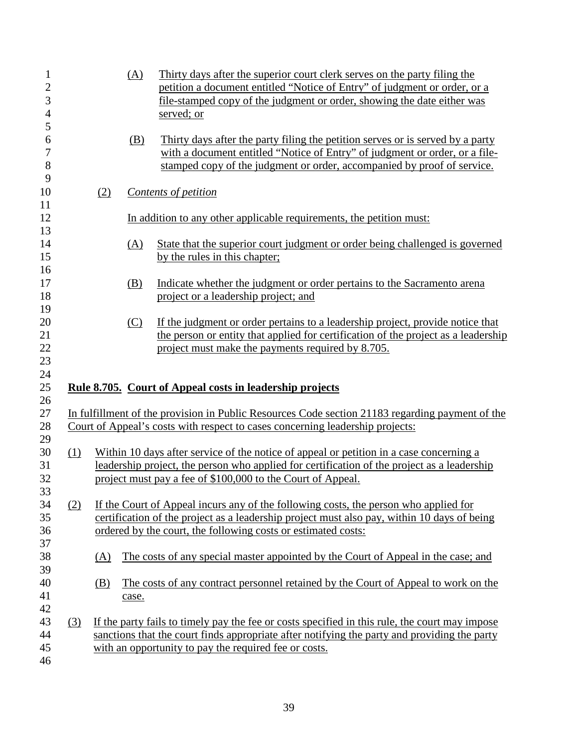| 1<br>$\mathbf{2}$<br>3<br>$\overline{4}$<br>5 |     |            | (A)   | Thirty days after the superior court clerk serves on the party filing the<br>petition a document entitled "Notice of Entry" of judgment or order, or a<br>file-stamped copy of the judgment or order, showing the date either was<br>served; or         |
|-----------------------------------------------|-----|------------|-------|---------------------------------------------------------------------------------------------------------------------------------------------------------------------------------------------------------------------------------------------------------|
| 6<br>$\tau$<br>$8\,$<br>9                     |     |            | (B)   | Thirty days after the party filing the petition serves or is served by a party<br>with a document entitled "Notice of Entry" of judgment or order, or a file-<br>stamped copy of the judgment or order, accompanied by proof of service.                |
| 10<br>11                                      |     | (2)        |       | Contents of petition                                                                                                                                                                                                                                    |
| 12                                            |     |            |       | In addition to any other applicable requirements, the petition must:                                                                                                                                                                                    |
| 13<br>14<br>15                                |     |            | (A)   | State that the superior court judgment or order being challenged is governed<br>by the rules in this chapter;                                                                                                                                           |
| 16<br>17<br>18                                |     |            | (B)   | Indicate whether the judgment or order pertains to the Sacramento arena<br>project or a leadership project; and                                                                                                                                         |
| 19<br>20<br>21<br>22<br>23                    |     |            | (C)   | If the judgment or order pertains to a leadership project, provide notice that<br>the person or entity that applied for certification of the project as a leadership<br>project must make the payments required by 8.705.                               |
| 24<br>25<br>26                                |     |            |       | Rule 8.705. Court of Appeal costs in leadership projects                                                                                                                                                                                                |
| 27<br>28                                      |     |            |       | In fulfillment of the provision in Public Resources Code section 21183 regarding payment of the<br>Court of Appeal's costs with respect to cases concerning leadership projects:                                                                        |
| 29<br>30<br>31<br>32<br>33                    | (1) |            |       | Within 10 days after service of the notice of appeal or petition in a case concerning a<br>leadership project, the person who applied for certification of the project as a leadership<br>project must pay a fee of \$100,000 to the Court of Appeal.   |
| 34<br>35<br>36<br>37                          | (2) |            |       | If the Court of Appeal incurs any of the following costs, the person who applied for<br>certification of the project as a leadership project must also pay, within 10 days of being<br>ordered by the court, the following costs or estimated costs:    |
| 38                                            |     | (A)        |       | The costs of any special master appointed by the Court of Appeal in the case; and                                                                                                                                                                       |
| 39<br>40<br>41                                |     | <u>(B)</u> | case. | The costs of any contract personnel retained by the Court of Appeal to work on the                                                                                                                                                                      |
| 42<br>43<br>44<br>45<br>46                    | (3) |            |       | If the party fails to timely pay the fee or costs specified in this rule, the court may impose<br>sanctions that the court finds appropriate after notifying the party and providing the party<br>with an opportunity to pay the required fee or costs. |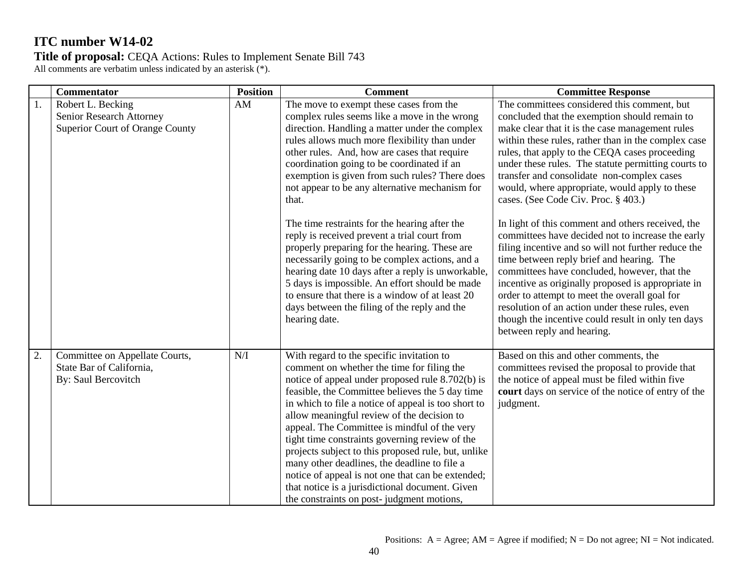|    | <b>Commentator</b>                                                                | <b>Position</b> | <b>Comment</b>                                                                                                                                                                                                                                                                                                                                                                                                                                                                                                                                                                                                                                                                                                                                                                                                                       | <b>Committee Response</b>                                                                                                                                                                                                                                                                                                                                                                                                                                                                                                                                                                                                                                                                                                                                                                                                                                                                                                                                          |
|----|-----------------------------------------------------------------------------------|-----------------|--------------------------------------------------------------------------------------------------------------------------------------------------------------------------------------------------------------------------------------------------------------------------------------------------------------------------------------------------------------------------------------------------------------------------------------------------------------------------------------------------------------------------------------------------------------------------------------------------------------------------------------------------------------------------------------------------------------------------------------------------------------------------------------------------------------------------------------|--------------------------------------------------------------------------------------------------------------------------------------------------------------------------------------------------------------------------------------------------------------------------------------------------------------------------------------------------------------------------------------------------------------------------------------------------------------------------------------------------------------------------------------------------------------------------------------------------------------------------------------------------------------------------------------------------------------------------------------------------------------------------------------------------------------------------------------------------------------------------------------------------------------------------------------------------------------------|
| 1. | Robert L. Becking<br>Senior Research Attorney<br>Superior Court of Orange County  | AM              | The move to exempt these cases from the<br>complex rules seems like a move in the wrong<br>direction. Handling a matter under the complex<br>rules allows much more flexibility than under<br>other rules. And, how are cases that require<br>coordination going to be coordinated if an<br>exemption is given from such rules? There does<br>not appear to be any alternative mechanism for<br>that.<br>The time restraints for the hearing after the<br>reply is received prevent a trial court from<br>properly preparing for the hearing. These are<br>necessarily going to be complex actions, and a<br>hearing date 10 days after a reply is unworkable,<br>5 days is impossible. An effort should be made<br>to ensure that there is a window of at least 20<br>days between the filing of the reply and the<br>hearing date. | The committees considered this comment, but<br>concluded that the exemption should remain to<br>make clear that it is the case management rules<br>within these rules, rather than in the complex case<br>rules, that apply to the CEQA cases proceeding<br>under these rules. The statute permitting courts to<br>transfer and consolidate non-complex cases<br>would, where appropriate, would apply to these<br>cases. (See Code Civ. Proc. § 403.)<br>In light of this comment and others received, the<br>committees have decided not to increase the early<br>filing incentive and so will not further reduce the<br>time between reply brief and hearing. The<br>committees have concluded, however, that the<br>incentive as originally proposed is appropriate in<br>order to attempt to meet the overall goal for<br>resolution of an action under these rules, even<br>though the incentive could result in only ten days<br>between reply and hearing. |
| 2. | Committee on Appellate Courts,<br>State Bar of California,<br>By: Saul Bercovitch | N/I             | With regard to the specific invitation to<br>comment on whether the time for filing the<br>notice of appeal under proposed rule 8.702(b) is<br>feasible, the Committee believes the 5 day time<br>in which to file a notice of appeal is too short to<br>allow meaningful review of the decision to<br>appeal. The Committee is mindful of the very<br>tight time constraints governing review of the<br>projects subject to this proposed rule, but, unlike<br>many other deadlines, the deadline to file a<br>notice of appeal is not one that can be extended;<br>that notice is a jurisdictional document. Given<br>the constraints on post-judgment motions,                                                                                                                                                                    | Based on this and other comments, the<br>committees revised the proposal to provide that<br>the notice of appeal must be filed within five<br>court days on service of the notice of entry of the<br>judgment.                                                                                                                                                                                                                                                                                                                                                                                                                                                                                                                                                                                                                                                                                                                                                     |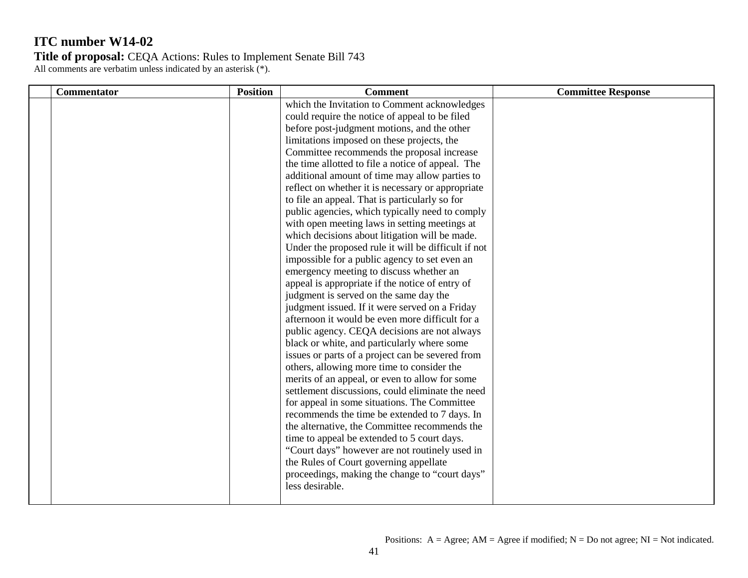| <b>Commentator</b> | <b>Position</b> | <b>Comment</b>                                                                                                                                                                                                                                                                                                                                                                                                                                                                                                                                                                                                                                                                                                                                                                                                                                                                                                                                                                                                                                                    | <b>Committee Response</b> |
|--------------------|-----------------|-------------------------------------------------------------------------------------------------------------------------------------------------------------------------------------------------------------------------------------------------------------------------------------------------------------------------------------------------------------------------------------------------------------------------------------------------------------------------------------------------------------------------------------------------------------------------------------------------------------------------------------------------------------------------------------------------------------------------------------------------------------------------------------------------------------------------------------------------------------------------------------------------------------------------------------------------------------------------------------------------------------------------------------------------------------------|---------------------------|
|                    |                 | which the Invitation to Comment acknowledges<br>could require the notice of appeal to be filed<br>before post-judgment motions, and the other<br>limitations imposed on these projects, the<br>Committee recommends the proposal increase<br>the time allotted to file a notice of appeal. The<br>additional amount of time may allow parties to<br>reflect on whether it is necessary or appropriate<br>to file an appeal. That is particularly so for<br>public agencies, which typically need to comply<br>with open meeting laws in setting meetings at<br>which decisions about litigation will be made.<br>Under the proposed rule it will be difficult if not<br>impossible for a public agency to set even an<br>emergency meeting to discuss whether an<br>appeal is appropriate if the notice of entry of<br>judgment is served on the same day the<br>judgment issued. If it were served on a Friday<br>afternoon it would be even more difficult for a<br>public agency. CEQA decisions are not always<br>black or white, and particularly where some |                           |
|                    |                 | issues or parts of a project can be severed from<br>others, allowing more time to consider the<br>merits of an appeal, or even to allow for some<br>settlement discussions, could eliminate the need<br>for appeal in some situations. The Committee<br>recommends the time be extended to 7 days. In<br>the alternative, the Committee recommends the<br>time to appeal be extended to 5 court days.<br>"Court days" however are not routinely used in<br>the Rules of Court governing appellate<br>proceedings, making the change to "court days"<br>less desirable.                                                                                                                                                                                                                                                                                                                                                                                                                                                                                            |                           |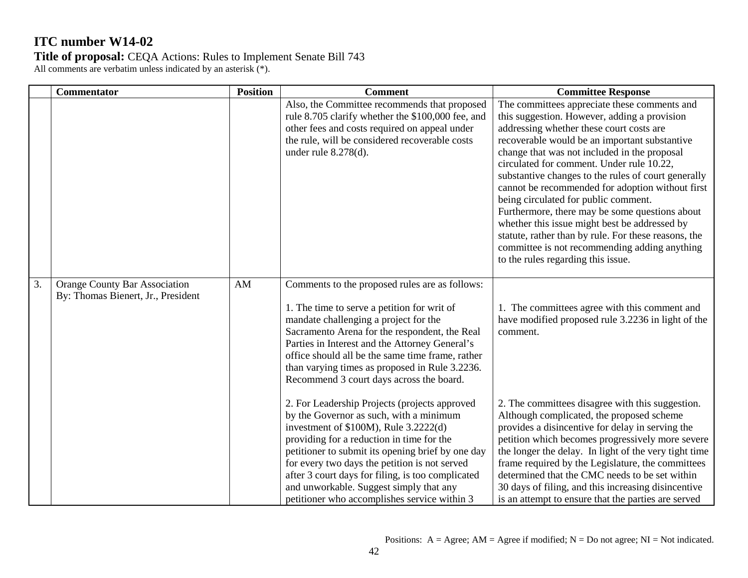| <b>Position</b> | <b>Comment</b>                                                                                                                                                                                                                                                                                                                                                                                                                                                                                                                                                                                                                                                                                                                               | <b>Committee Response</b>                                                                                                                                                                                                                                                                                                                                                                                                                                                                                                                                                                                                                                                                   |
|-----------------|----------------------------------------------------------------------------------------------------------------------------------------------------------------------------------------------------------------------------------------------------------------------------------------------------------------------------------------------------------------------------------------------------------------------------------------------------------------------------------------------------------------------------------------------------------------------------------------------------------------------------------------------------------------------------------------------------------------------------------------------|---------------------------------------------------------------------------------------------------------------------------------------------------------------------------------------------------------------------------------------------------------------------------------------------------------------------------------------------------------------------------------------------------------------------------------------------------------------------------------------------------------------------------------------------------------------------------------------------------------------------------------------------------------------------------------------------|
|                 | Also, the Committee recommends that proposed<br>rule 8.705 clarify whether the \$100,000 fee, and<br>other fees and costs required on appeal under<br>the rule, will be considered recoverable costs<br>under rule $8.278(d)$ .                                                                                                                                                                                                                                                                                                                                                                                                                                                                                                              | The committees appreciate these comments and<br>this suggestion. However, adding a provision<br>addressing whether these court costs are<br>recoverable would be an important substantive<br>change that was not included in the proposal<br>circulated for comment. Under rule 10.22,<br>substantive changes to the rules of court generally<br>cannot be recommended for adoption without first<br>being circulated for public comment.<br>Furthermore, there may be some questions about<br>whether this issue might best be addressed by<br>statute, rather than by rule. For these reasons, the<br>committee is not recommending adding anything<br>to the rules regarding this issue. |
| AM              | Comments to the proposed rules are as follows:<br>1. The time to serve a petition for writ of<br>mandate challenging a project for the<br>Sacramento Arena for the respondent, the Real<br>Parties in Interest and the Attorney General's<br>office should all be the same time frame, rather<br>than varying times as proposed in Rule 3.2236.<br>Recommend 3 court days across the board.<br>2. For Leadership Projects (projects approved<br>by the Governor as such, with a minimum<br>investment of $$100M$ ), Rule $3.2222(d)$<br>providing for a reduction in time for the<br>petitioner to submit its opening brief by one day<br>for every two days the petition is not served<br>after 3 court days for filing, is too complicated | 1. The committees agree with this comment and<br>have modified proposed rule 3.2236 in light of the<br>comment.<br>2. The committees disagree with this suggestion.<br>Although complicated, the proposed scheme<br>provides a disincentive for delay in serving the<br>petition which becomes progressively more severe<br>the longer the delay. In light of the very tight time<br>frame required by the Legislature, the committees<br>determined that the CMC needs to be set within<br>30 days of filing, and this increasing disincentive                                                                                                                                             |
|                 | <b>Orange County Bar Association</b><br>By: Thomas Bienert, Jr., President                                                                                                                                                                                                                                                                                                                                                                                                                                                                                                                                                                                                                                                                   | and unworkable. Suggest simply that any                                                                                                                                                                                                                                                                                                                                                                                                                                                                                                                                                                                                                                                     |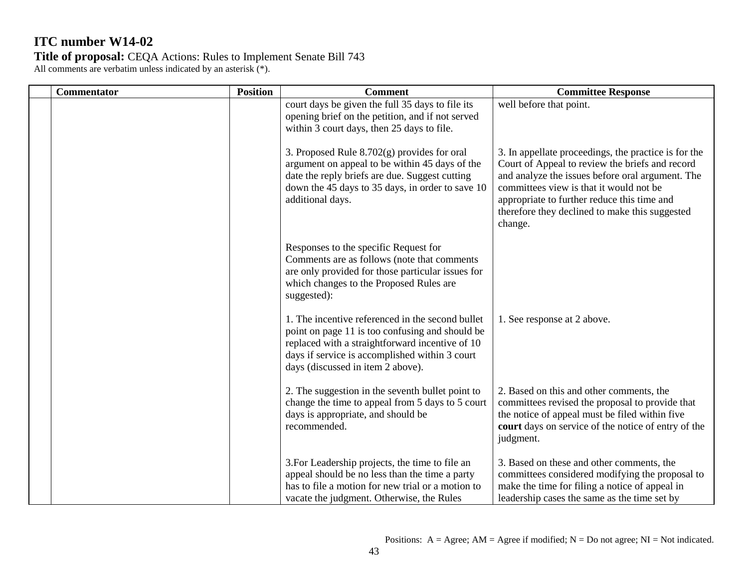**Title of proposal:** CEQA Actions: Rules to Implement Senate Bill 743 All comments are verbatim unless indicated by an asterisk (\*).

**Commentator Position Position Comment Comment Committee Response** court days be given the full 35 days to file its opening brief on the petition, and if not served within 3 court days, then 25 days to file. 3. Proposed Rule 8.702(g) provides for oral argument on appeal to be within 45 days of the date the reply briefs are due. Suggest cutting down the 45 days to 35 days, in order to save 10 additional days. Responses to the specific Request for Comments are as follows (note that comments are only provided for those particular issues for which changes to the Proposed Rules are suggested): 1. The incentive referenced in the second bullet point on page 11 is too confusing and should be replaced with a straightforward incentive of 10 days if service is accomplished within 3 court days (discussed in item 2 above). 2. The suggestion in the seventh bullet point to change the time to appeal from 5 days to 5 court days is appropriate, and should be recommended. 3.For Leadership projects, the time to file an appeal should be no less than the time a party has to file a motion for new trial or a motion to vacate the judgment. Otherwise, the Rules well before that point. 3. In appellate proceedings, the practice is for the Court of Appeal to review the briefs and record and analyze the issues before oral argument. The committees view is that it would not be appropriate to further reduce this time and therefore they declined to make this suggested change. 1. See response at 2 above. 2. Based on this and other comments, the committees revised the proposal to provide that the notice of appeal must be filed within five **court** days on service of the notice of entry of the judgment. 3. Based on these and other comments, the committees considered modifying the proposal to make the time for filing a notice of appeal in leadership cases the same as the time set by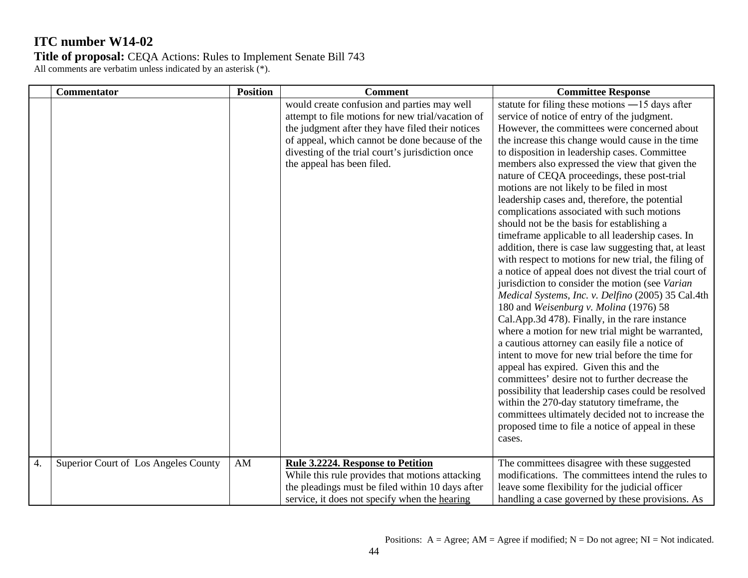**Title of proposal:** CEQA Actions: Rules to Implement Senate Bill 743 All comments are verbatim unless indicated by an asterisk (\*).

**Commentator Position Position Comment Comment Committee Response** would create confusion and parties may well attempt to file motions for new trial/vacation of the judgment after they have filed their notices of appeal, which cannot be done because of the divesting of the trial court's jurisdiction once the appeal has been filed. statute for filing these motions ―15 days after service of notice of entry of the judgment. However, the committees were concerned about the increase this change would cause in the time to disposition in leadership cases. Committee members also expressed the view that given the nature of CEQA proceedings, these post-trial motions are not likely to be filed in most leadership cases and, therefore, the potential complications associated with such motions should not be the basis for establishing a timeframe applicable to all leadership cases. In addition, there is case law suggesting that, at least with respect to motions for new trial, the filing of a notice of appeal does not divest the trial court of jurisdiction to consider the motion (see *Varian Medical Systems, Inc. v. Delfino* (2005) 35 Cal.4th 180 and *Weisenburg v. Molina* (1976) 58 Cal.App.3d 478). Finally, in the rare instance where a motion for new trial might be warranted, a cautious attorney can easily file a notice of intent to move for new trial before the time for appeal has expired. Given this and the committees' desire not to further decrease the possibility that leadership cases could be resolved within the 270-day statutory timeframe, the committees ultimately decided not to increase the proposed time to file a notice of appeal in these cases. 4. Superior Court of Los Angeles County AM **Rule 3.2224. Response to Petition**  While this rule provides that motions attacking the pleadings must be filed within 10 days after service, it does not specify when the hearing The committees disagree with these suggested modifications. The committees intend the rules to leave some flexibility for the judicial officer handling a case governed by these provisions. As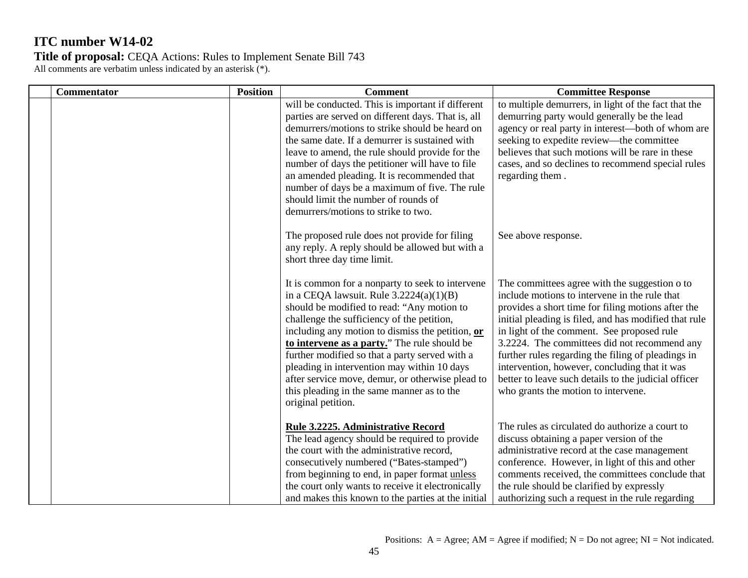| <b>Commentator</b> | <b>Position</b> | <b>Comment</b>                                                                                                                                                                                                                                                                                                                                                                                                                                                                                                         | <b>Committee Response</b>                                                                                                                                                                                                                                                                                                                                                                                                                                                                                         |
|--------------------|-----------------|------------------------------------------------------------------------------------------------------------------------------------------------------------------------------------------------------------------------------------------------------------------------------------------------------------------------------------------------------------------------------------------------------------------------------------------------------------------------------------------------------------------------|-------------------------------------------------------------------------------------------------------------------------------------------------------------------------------------------------------------------------------------------------------------------------------------------------------------------------------------------------------------------------------------------------------------------------------------------------------------------------------------------------------------------|
|                    |                 | will be conducted. This is important if different<br>parties are served on different days. That is, all<br>demurrers/motions to strike should be heard on<br>the same date. If a demurrer is sustained with<br>leave to amend, the rule should provide for the<br>number of days the petitioner will have to file<br>an amended pleading. It is recommended that<br>number of days be a maximum of five. The rule<br>should limit the number of rounds of<br>demurrers/motions to strike to two.                       | to multiple demurrers, in light of the fact that the<br>demurring party would generally be the lead<br>agency or real party in interest—both of whom are<br>seeking to expedite review—the committee<br>believes that such motions will be rare in these<br>cases, and so declines to recommend special rules<br>regarding them.                                                                                                                                                                                  |
|                    |                 | The proposed rule does not provide for filing<br>any reply. A reply should be allowed but with a<br>short three day time limit.                                                                                                                                                                                                                                                                                                                                                                                        | See above response.                                                                                                                                                                                                                                                                                                                                                                                                                                                                                               |
|                    |                 | It is common for a nonparty to seek to intervene<br>in a CEQA lawsuit. Rule $3.2224(a)(1)(B)$<br>should be modified to read: "Any motion to<br>challenge the sufficiency of the petition,<br>including any motion to dismiss the petition, or<br>to intervene as a party." The rule should be<br>further modified so that a party served with a<br>pleading in intervention may within 10 days<br>after service move, demur, or otherwise plead to<br>this pleading in the same manner as to the<br>original petition. | The committees agree with the suggestion o to<br>include motions to intervene in the rule that<br>provides a short time for filing motions after the<br>initial pleading is filed, and has modified that rule<br>in light of the comment. See proposed rule<br>3.2224. The committees did not recommend any<br>further rules regarding the filing of pleadings in<br>intervention, however, concluding that it was<br>better to leave such details to the judicial officer<br>who grants the motion to intervene. |
|                    |                 | Rule 3.2225. Administrative Record<br>The lead agency should be required to provide<br>the court with the administrative record,<br>consecutively numbered ("Bates-stamped")<br>from beginning to end, in paper format unless<br>the court only wants to receive it electronically<br>and makes this known to the parties at the initial                                                                                                                                                                               | The rules as circulated do authorize a court to<br>discuss obtaining a paper version of the<br>administrative record at the case management<br>conference. However, in light of this and other<br>comments received, the committees conclude that<br>the rule should be clarified by expressly<br>authorizing such a request in the rule regarding                                                                                                                                                                |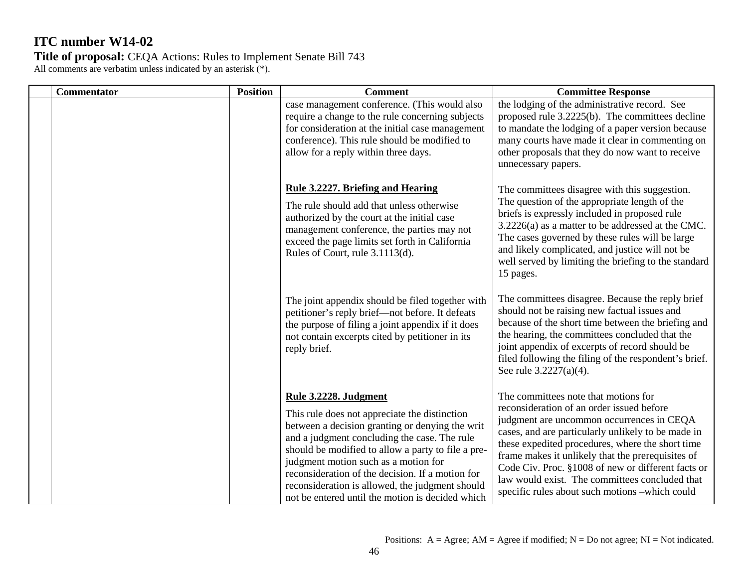| <b>Commentator</b> | <b>Position</b> | <b>Comment</b>                                                                                                                                                                                                                                                                                                                                                                                                                     | <b>Committee Response</b>                                                                                                                                                                                                                                                                                                                                                                                                                               |
|--------------------|-----------------|------------------------------------------------------------------------------------------------------------------------------------------------------------------------------------------------------------------------------------------------------------------------------------------------------------------------------------------------------------------------------------------------------------------------------------|---------------------------------------------------------------------------------------------------------------------------------------------------------------------------------------------------------------------------------------------------------------------------------------------------------------------------------------------------------------------------------------------------------------------------------------------------------|
|                    |                 | case management conference. (This would also<br>require a change to the rule concerning subjects<br>for consideration at the initial case management<br>conference). This rule should be modified to<br>allow for a reply within three days.                                                                                                                                                                                       | the lodging of the administrative record. See<br>proposed rule 3.2225(b). The committees decline<br>to mandate the lodging of a paper version because<br>many courts have made it clear in commenting on<br>other proposals that they do now want to receive<br>unnecessary papers.                                                                                                                                                                     |
|                    |                 | Rule 3.2227. Briefing and Hearing<br>The rule should add that unless otherwise<br>authorized by the court at the initial case<br>management conference, the parties may not<br>exceed the page limits set forth in California<br>Rules of Court, rule 3.1113(d).                                                                                                                                                                   | The committees disagree with this suggestion.<br>The question of the appropriate length of the<br>briefs is expressly included in proposed rule<br>3.2226(a) as a matter to be addressed at the CMC.<br>The cases governed by these rules will be large<br>and likely complicated, and justice will not be<br>well served by limiting the briefing to the standard<br>15 pages.                                                                         |
|                    |                 | The joint appendix should be filed together with<br>petitioner's reply brief-not before. It defeats<br>the purpose of filing a joint appendix if it does<br>not contain excerpts cited by petitioner in its<br>reply brief.                                                                                                                                                                                                        | The committees disagree. Because the reply brief<br>should not be raising new factual issues and<br>because of the short time between the briefing and<br>the hearing, the committees concluded that the<br>joint appendix of excerpts of record should be<br>filed following the filing of the respondent's brief.<br>See rule 3.2227(a)(4).                                                                                                           |
|                    |                 | Rule 3.2228. Judgment<br>This rule does not appreciate the distinction<br>between a decision granting or denying the writ<br>and a judgment concluding the case. The rule<br>should be modified to allow a party to file a pre-<br>judgment motion such as a motion for<br>reconsideration of the decision. If a motion for<br>reconsideration is allowed, the judgment should<br>not be entered until the motion is decided which | The committees note that motions for<br>reconsideration of an order issued before<br>judgment are uncommon occurrences in CEQA<br>cases, and are particularly unlikely to be made in<br>these expedited procedures, where the short time<br>frame makes it unlikely that the prerequisites of<br>Code Civ. Proc. §1008 of new or different facts or<br>law would exist. The committees concluded that<br>specific rules about such motions -which could |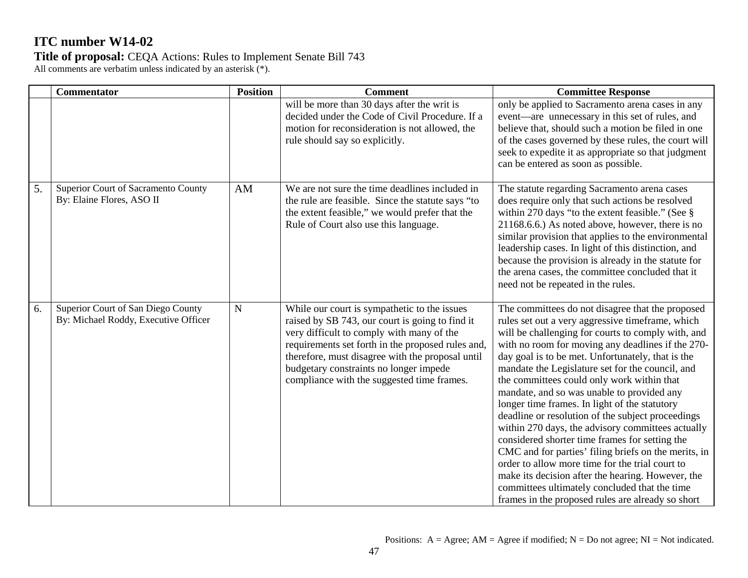**Title of proposal:** CEQA Actions: Rules to Implement Senate Bill 743

All comments are verbatim unless indicated by an asterisk (\*).

|    | <b>Commentator</b>                                                         | <b>Position</b> | <b>Comment</b>                                                                                                                                                                                                                                                                                                                                | <b>Committee Response</b>                                                                                                                                                                                                                                                                                                                                                                                                                                                                                                                                                                                                                                                                                                                                                                                                                                                                               |
|----|----------------------------------------------------------------------------|-----------------|-----------------------------------------------------------------------------------------------------------------------------------------------------------------------------------------------------------------------------------------------------------------------------------------------------------------------------------------------|---------------------------------------------------------------------------------------------------------------------------------------------------------------------------------------------------------------------------------------------------------------------------------------------------------------------------------------------------------------------------------------------------------------------------------------------------------------------------------------------------------------------------------------------------------------------------------------------------------------------------------------------------------------------------------------------------------------------------------------------------------------------------------------------------------------------------------------------------------------------------------------------------------|
|    |                                                                            |                 | will be more than 30 days after the writ is<br>decided under the Code of Civil Procedure. If a<br>motion for reconsideration is not allowed, the<br>rule should say so explicitly.                                                                                                                                                            | only be applied to Sacramento arena cases in any<br>event—are unnecessary in this set of rules, and<br>believe that, should such a motion be filed in one<br>of the cases governed by these rules, the court will<br>seek to expedite it as appropriate so that judgment<br>can be entered as soon as possible.                                                                                                                                                                                                                                                                                                                                                                                                                                                                                                                                                                                         |
| 5. | Superior Court of Sacramento County<br>By: Elaine Flores, ASO II           | AM              | We are not sure the time deadlines included in<br>the rule are feasible. Since the statute says "to<br>the extent feasible," we would prefer that the<br>Rule of Court also use this language.                                                                                                                                                | The statute regarding Sacramento arena cases<br>does require only that such actions be resolved<br>within 270 days "to the extent feasible." (See $\S$<br>21168.6.6.) As noted above, however, there is no<br>similar provision that applies to the environmental<br>leadership cases. In light of this distinction, and<br>because the provision is already in the statute for<br>the arena cases, the committee concluded that it<br>need not be repeated in the rules.                                                                                                                                                                                                                                                                                                                                                                                                                               |
| 6. | Superior Court of San Diego County<br>By: Michael Roddy, Executive Officer | ${\bf N}$       | While our court is sympathetic to the issues<br>raised by SB 743, our court is going to find it<br>very difficult to comply with many of the<br>requirements set forth in the proposed rules and,<br>therefore, must disagree with the proposal until<br>budgetary constraints no longer impede<br>compliance with the suggested time frames. | The committees do not disagree that the proposed<br>rules set out a very aggressive timeframe, which<br>will be challenging for courts to comply with, and<br>with no room for moving any deadlines if the 270-<br>day goal is to be met. Unfortunately, that is the<br>mandate the Legislature set for the council, and<br>the committees could only work within that<br>mandate, and so was unable to provided any<br>longer time frames. In light of the statutory<br>deadline or resolution of the subject proceedings<br>within 270 days, the advisory committees actually<br>considered shorter time frames for setting the<br>CMC and for parties' filing briefs on the merits, in<br>order to allow more time for the trial court to<br>make its decision after the hearing. However, the<br>committees ultimately concluded that the time<br>frames in the proposed rules are already so short |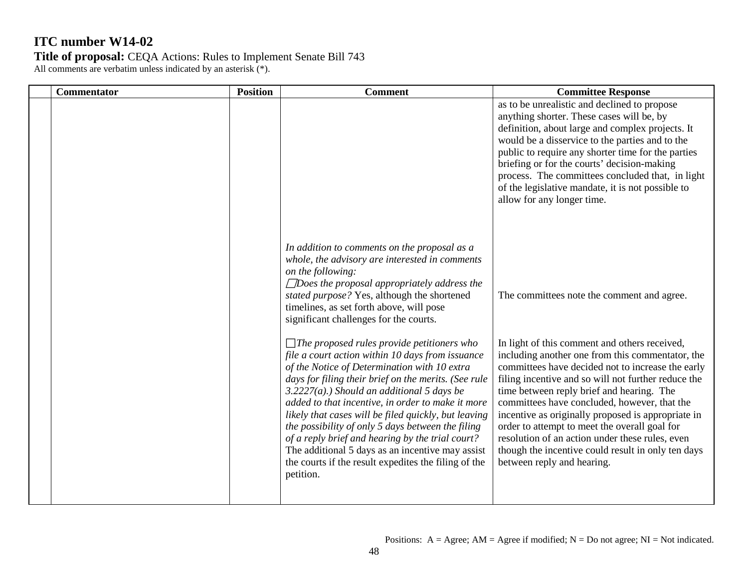| <b>Commentator</b> | <b>Position</b> | <b>Comment</b>                                                                                                                                                                                                                                                                                                                                                                                                                                                                                                                                                                                                | <b>Committee Response</b>                                                                                                                                                                                                                                                                                                                                                                                                                                                                                                                                |
|--------------------|-----------------|---------------------------------------------------------------------------------------------------------------------------------------------------------------------------------------------------------------------------------------------------------------------------------------------------------------------------------------------------------------------------------------------------------------------------------------------------------------------------------------------------------------------------------------------------------------------------------------------------------------|----------------------------------------------------------------------------------------------------------------------------------------------------------------------------------------------------------------------------------------------------------------------------------------------------------------------------------------------------------------------------------------------------------------------------------------------------------------------------------------------------------------------------------------------------------|
|                    |                 |                                                                                                                                                                                                                                                                                                                                                                                                                                                                                                                                                                                                               | as to be unrealistic and declined to propose<br>anything shorter. These cases will be, by<br>definition, about large and complex projects. It<br>would be a disservice to the parties and to the<br>public to require any shorter time for the parties<br>briefing or for the courts' decision-making<br>process. The committees concluded that, in light<br>of the legislative mandate, it is not possible to<br>allow for any longer time.                                                                                                             |
|                    |                 | In addition to comments on the proposal as a<br>whole, the advisory are interested in comments<br>on the following:<br>$\Box$ Does the proposal appropriately address the<br>stated purpose? Yes, although the shortened<br>timelines, as set forth above, will pose<br>significant challenges for the courts.                                                                                                                                                                                                                                                                                                | The committees note the comment and agree.                                                                                                                                                                                                                                                                                                                                                                                                                                                                                                               |
|                    |                 | $\Box$ The proposed rules provide petitioners who<br>file a court action within 10 days from issuance<br>of the Notice of Determination with 10 extra<br>days for filing their brief on the merits. (See rule<br>$3.2227(a)$ .) Should an additional 5 days be<br>added to that incentive, in order to make it more<br>likely that cases will be filed quickly, but leaving<br>the possibility of only 5 days between the filing<br>of a reply brief and hearing by the trial court?<br>The additional 5 days as an incentive may assist<br>the courts if the result expedites the filing of the<br>petition. | In light of this comment and others received,<br>including another one from this commentator, the<br>committees have decided not to increase the early<br>filing incentive and so will not further reduce the<br>time between reply brief and hearing. The<br>committees have concluded, however, that the<br>incentive as originally proposed is appropriate in<br>order to attempt to meet the overall goal for<br>resolution of an action under these rules, even<br>though the incentive could result in only ten days<br>between reply and hearing. |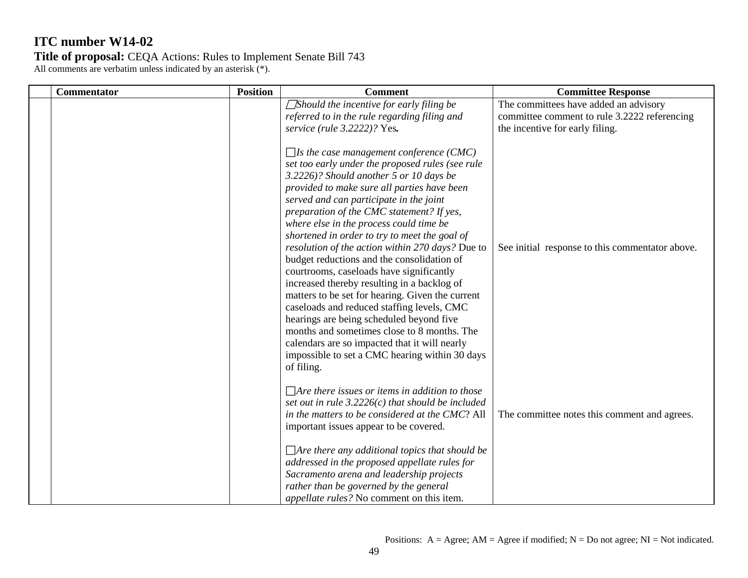| <b>Commentator</b> | <b>Position</b> | <b>Comment</b>                                                                                                                                                                                                                                                                                                                                                                                                                                                                                                                                                                                                                                                                                                                                                                                                                                                                              | <b>Committee Response</b>                                                                                                |
|--------------------|-----------------|---------------------------------------------------------------------------------------------------------------------------------------------------------------------------------------------------------------------------------------------------------------------------------------------------------------------------------------------------------------------------------------------------------------------------------------------------------------------------------------------------------------------------------------------------------------------------------------------------------------------------------------------------------------------------------------------------------------------------------------------------------------------------------------------------------------------------------------------------------------------------------------------|--------------------------------------------------------------------------------------------------------------------------|
|                    |                 | $\Box$ Should the incentive for early filing be<br>referred to in the rule regarding filing and<br>service (rule 3.2222)? Yes.                                                                                                                                                                                                                                                                                                                                                                                                                                                                                                                                                                                                                                                                                                                                                              | The committees have added an advisory<br>committee comment to rule 3.2222 referencing<br>the incentive for early filing. |
|                    |                 | $\Box$ Is the case management conference (CMC)<br>set too early under the proposed rules (see rule<br>3.2226)? Should another 5 or 10 days be<br>provided to make sure all parties have been<br>served and can participate in the joint<br>preparation of the CMC statement? If yes,<br>where else in the process could time be<br>shortened in order to try to meet the goal of<br>resolution of the action within 270 days? Due to<br>budget reductions and the consolidation of<br>courtrooms, caseloads have significantly<br>increased thereby resulting in a backlog of<br>matters to be set for hearing. Given the current<br>caseloads and reduced staffing levels, CMC<br>hearings are being scheduled beyond five<br>months and sometimes close to 8 months. The<br>calendars are so impacted that it will nearly<br>impossible to set a CMC hearing within 30 days<br>of filing. | See initial response to this commentator above.                                                                          |
|                    |                 | $\Box$ Are there issues or items in addition to those<br>set out in rule $3.2226(c)$ that should be included<br>in the matters to be considered at the CMC? All<br>important issues appear to be covered.                                                                                                                                                                                                                                                                                                                                                                                                                                                                                                                                                                                                                                                                                   | The committee notes this comment and agrees.                                                                             |
|                    |                 | $\Box$ Are there any additional topics that should be<br>addressed in the proposed appellate rules for<br>Sacramento arena and leadership projects<br>rather than be governed by the general<br>appellate rules? No comment on this item.                                                                                                                                                                                                                                                                                                                                                                                                                                                                                                                                                                                                                                                   |                                                                                                                          |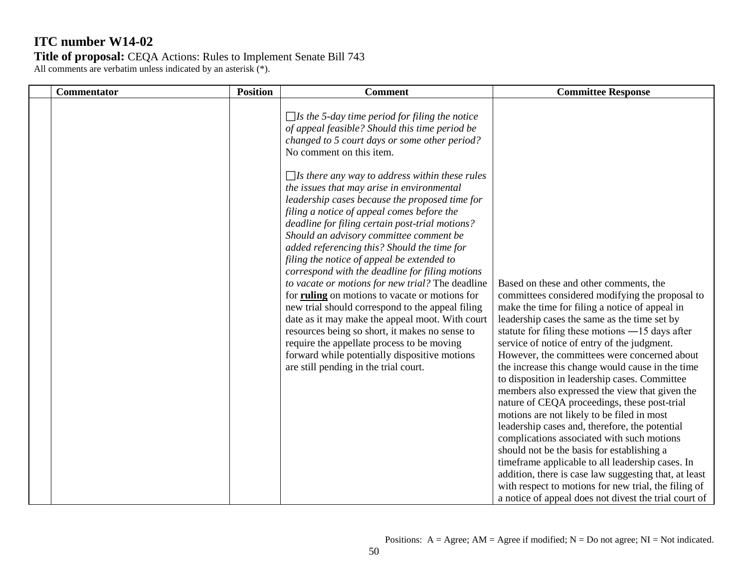| <b>Commentator</b> | <b>Position</b> | <b>Comment</b>                                                                                                                                                                                                                                                                                                                                                                                                                                                                                                                                                                                                                                                                                                                                                                                                                                                                                                                                                                                                                                   | <b>Committee Response</b>                                                                                                                                                                                                                                                                                                                                                                                                                                                                                                                                                                                                                                                                                                                                                                                                                                                                                                                                                        |
|--------------------|-----------------|--------------------------------------------------------------------------------------------------------------------------------------------------------------------------------------------------------------------------------------------------------------------------------------------------------------------------------------------------------------------------------------------------------------------------------------------------------------------------------------------------------------------------------------------------------------------------------------------------------------------------------------------------------------------------------------------------------------------------------------------------------------------------------------------------------------------------------------------------------------------------------------------------------------------------------------------------------------------------------------------------------------------------------------------------|----------------------------------------------------------------------------------------------------------------------------------------------------------------------------------------------------------------------------------------------------------------------------------------------------------------------------------------------------------------------------------------------------------------------------------------------------------------------------------------------------------------------------------------------------------------------------------------------------------------------------------------------------------------------------------------------------------------------------------------------------------------------------------------------------------------------------------------------------------------------------------------------------------------------------------------------------------------------------------|
|                    |                 | $\Box$ Is the 5-day time period for filing the notice<br>of appeal feasible? Should this time period be<br>changed to 5 court days or some other period?<br>No comment on this item.<br>$\Box$ Is there any way to address within these rules<br>the issues that may arise in environmental<br>leadership cases because the proposed time for<br>filing a notice of appeal comes before the<br>deadline for filing certain post-trial motions?<br>Should an advisory committee comment be<br>added referencing this? Should the time for<br>filing the notice of appeal be extended to<br>correspond with the deadline for filing motions<br>to vacate or motions for new trial? The deadline<br>for ruling on motions to vacate or motions for<br>new trial should correspond to the appeal filing<br>date as it may make the appeal moot. With court<br>resources being so short, it makes no sense to<br>require the appellate process to be moving<br>forward while potentially dispositive motions<br>are still pending in the trial court. | Based on these and other comments, the<br>committees considered modifying the proposal to<br>make the time for filing a notice of appeal in<br>leadership cases the same as the time set by<br>statute for filing these motions $-15$ days after<br>service of notice of entry of the judgment.<br>However, the committees were concerned about<br>the increase this change would cause in the time<br>to disposition in leadership cases. Committee<br>members also expressed the view that given the<br>nature of CEQA proceedings, these post-trial<br>motions are not likely to be filed in most<br>leadership cases and, therefore, the potential<br>complications associated with such motions<br>should not be the basis for establishing a<br>timeframe applicable to all leadership cases. In<br>addition, there is case law suggesting that, at least<br>with respect to motions for new trial, the filing of<br>a notice of appeal does not divest the trial court of |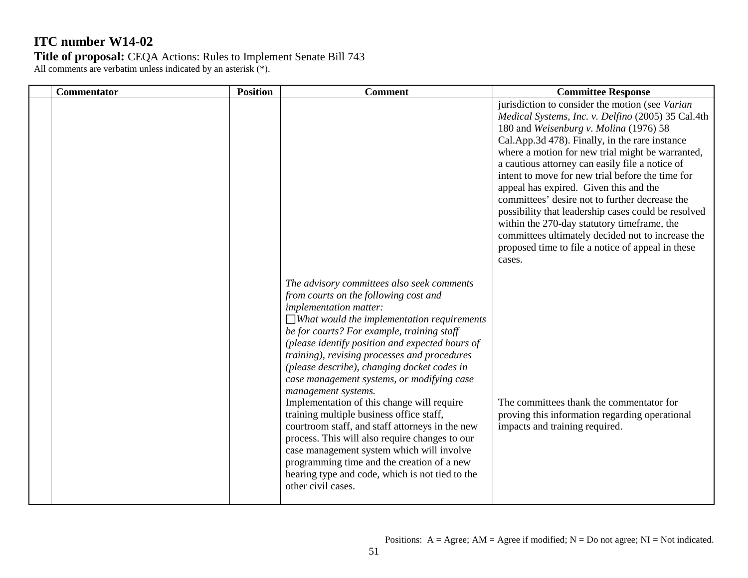| <b>Commentator</b> | <b>Position</b> | <b>Comment</b>                                                                                                                                                                                                                                                                                                                                                                                                                                                                                                                                                                                                                                                                                                                                                                                                    | <b>Committee Response</b>                                                                                                                                                                                                                                                                                                                                                                                                                                                                                                                                                                                                                                                          |
|--------------------|-----------------|-------------------------------------------------------------------------------------------------------------------------------------------------------------------------------------------------------------------------------------------------------------------------------------------------------------------------------------------------------------------------------------------------------------------------------------------------------------------------------------------------------------------------------------------------------------------------------------------------------------------------------------------------------------------------------------------------------------------------------------------------------------------------------------------------------------------|------------------------------------------------------------------------------------------------------------------------------------------------------------------------------------------------------------------------------------------------------------------------------------------------------------------------------------------------------------------------------------------------------------------------------------------------------------------------------------------------------------------------------------------------------------------------------------------------------------------------------------------------------------------------------------|
|                    |                 |                                                                                                                                                                                                                                                                                                                                                                                                                                                                                                                                                                                                                                                                                                                                                                                                                   | jurisdiction to consider the motion (see Varian<br>Medical Systems, Inc. v. Delfino (2005) 35 Cal.4th<br>180 and Weisenburg v. Molina (1976) 58<br>Cal.App.3d 478). Finally, in the rare instance<br>where a motion for new trial might be warranted,<br>a cautious attorney can easily file a notice of<br>intent to move for new trial before the time for<br>appeal has expired. Given this and the<br>committees' desire not to further decrease the<br>possibility that leadership cases could be resolved<br>within the 270-day statutory timeframe, the<br>committees ultimately decided not to increase the<br>proposed time to file a notice of appeal in these<br>cases. |
|                    |                 | The advisory committees also seek comments<br>from courts on the following cost and<br><i>implementation matter:</i><br>$\Box$ What would the implementation requirements<br>be for courts? For example, training staff<br>(please identify position and expected hours of<br>training), revising processes and procedures<br>(please describe), changing docket codes in<br>case management systems, or modifying case<br>management systems.<br>Implementation of this change will require<br>training multiple business office staff,<br>courtroom staff, and staff attorneys in the new<br>process. This will also require changes to our<br>case management system which will involve<br>programming time and the creation of a new<br>hearing type and code, which is not tied to the<br>other civil cases. | The committees thank the commentator for<br>proving this information regarding operational<br>impacts and training required.                                                                                                                                                                                                                                                                                                                                                                                                                                                                                                                                                       |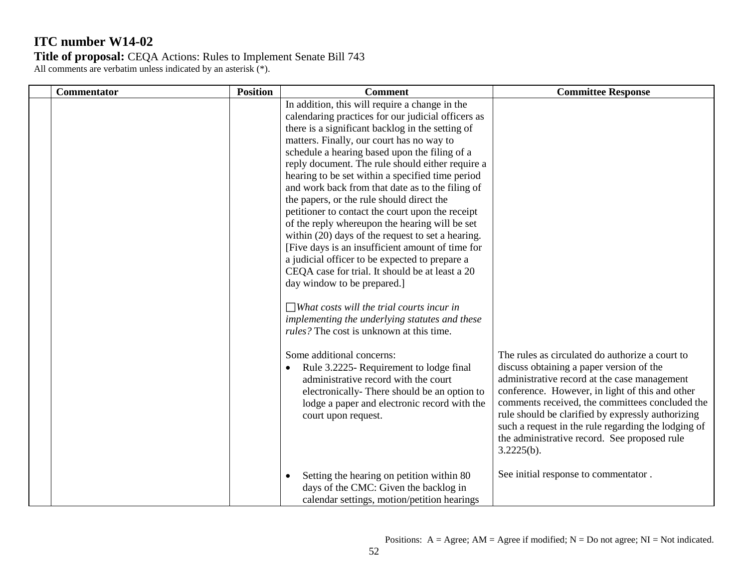| Commentator | <b>Position</b> | <b>Comment</b>                                                                                                                                                                                                                                                                                                                                                                                                                                                                                                                                                                                                                                                                                                                                                                                                                                                                                                                                                                                                                                                                                                                                                                                                                 | <b>Committee Response</b>                                                                                                                                                                                                                                                                                                                                                                                                   |
|-------------|-----------------|--------------------------------------------------------------------------------------------------------------------------------------------------------------------------------------------------------------------------------------------------------------------------------------------------------------------------------------------------------------------------------------------------------------------------------------------------------------------------------------------------------------------------------------------------------------------------------------------------------------------------------------------------------------------------------------------------------------------------------------------------------------------------------------------------------------------------------------------------------------------------------------------------------------------------------------------------------------------------------------------------------------------------------------------------------------------------------------------------------------------------------------------------------------------------------------------------------------------------------|-----------------------------------------------------------------------------------------------------------------------------------------------------------------------------------------------------------------------------------------------------------------------------------------------------------------------------------------------------------------------------------------------------------------------------|
|             |                 | In addition, this will require a change in the<br>calendaring practices for our judicial officers as<br>there is a significant backlog in the setting of<br>matters. Finally, our court has no way to<br>schedule a hearing based upon the filing of a<br>reply document. The rule should either require a<br>hearing to be set within a specified time period<br>and work back from that date as to the filing of<br>the papers, or the rule should direct the<br>petitioner to contact the court upon the receipt<br>of the reply whereupon the hearing will be set<br>within (20) days of the request to set a hearing.<br>[Five days is an insufficient amount of time for<br>a judicial officer to be expected to prepare a<br>CEQA case for trial. It should be at least a 20<br>day window to be prepared.]<br>$\Box$ What costs will the trial courts incur in<br>implementing the underlying statutes and these<br><i>rules?</i> The cost is unknown at this time.<br>Some additional concerns:<br>Rule 3.2225- Requirement to lodge final<br>$\bullet$<br>administrative record with the court<br>electronically-There should be an option to<br>lodge a paper and electronic record with the<br>court upon request. | The rules as circulated do authorize a court to<br>discuss obtaining a paper version of the<br>administrative record at the case management<br>conference. However, in light of this and other<br>comments received, the committees concluded the<br>rule should be clarified by expressly authorizing<br>such a request in the rule regarding the lodging of<br>the administrative record. See proposed rule<br>3.2225(b). |
|             |                 | Setting the hearing on petition within 80<br>days of the CMC: Given the backlog in<br>calendar settings, motion/petition hearings                                                                                                                                                                                                                                                                                                                                                                                                                                                                                                                                                                                                                                                                                                                                                                                                                                                                                                                                                                                                                                                                                              | See initial response to commentator.                                                                                                                                                                                                                                                                                                                                                                                        |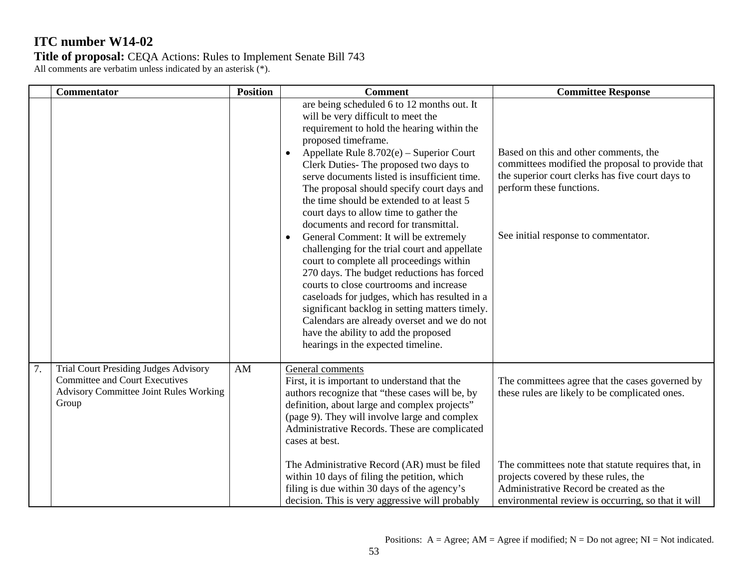|                                                                                                                                                 |                        |                                                                                                                                                                                                                                                                                                                                                                                                                                                                                                                                                                                                                                                                                                                                                                                                                                                                                                                                                                    | <b>Committee Response</b>                                                                                                                                                                                                                  |
|-------------------------------------------------------------------------------------------------------------------------------------------------|------------------------|--------------------------------------------------------------------------------------------------------------------------------------------------------------------------------------------------------------------------------------------------------------------------------------------------------------------------------------------------------------------------------------------------------------------------------------------------------------------------------------------------------------------------------------------------------------------------------------------------------------------------------------------------------------------------------------------------------------------------------------------------------------------------------------------------------------------------------------------------------------------------------------------------------------------------------------------------------------------|--------------------------------------------------------------------------------------------------------------------------------------------------------------------------------------------------------------------------------------------|
|                                                                                                                                                 |                        | are being scheduled 6 to 12 months out. It<br>will be very difficult to meet the<br>requirement to hold the hearing within the<br>proposed timeframe.<br>Appellate Rule 8.702(e) - Superior Court<br>$\bullet$<br>Clerk Duties- The proposed two days to<br>serve documents listed is insufficient time.<br>The proposal should specify court days and<br>the time should be extended to at least 5<br>court days to allow time to gather the<br>documents and record for transmittal.<br>General Comment: It will be extremely<br>$\bullet$<br>challenging for the trial court and appellate<br>court to complete all proceedings within<br>270 days. The budget reductions has forced<br>courts to close courtrooms and increase<br>caseloads for judges, which has resulted in a<br>significant backlog in setting matters timely.<br>Calendars are already overset and we do not<br>have the ability to add the proposed<br>hearings in the expected timeline. | Based on this and other comments, the<br>committees modified the proposal to provide that<br>the superior court clerks has five court days to<br>perform these functions.<br>See initial response to commentator.                          |
| <b>Trial Court Presiding Judges Advisory</b><br><b>Committee and Court Executives</b><br><b>Advisory Committee Joint Rules Working</b><br>Group | $\mathbf{A}\mathbf{M}$ | General comments<br>First, it is important to understand that the<br>authors recognize that "these cases will be, by<br>definition, about large and complex projects"<br>(page 9). They will involve large and complex<br>Administrative Records. These are complicated<br>cases at best.<br>The Administrative Record (AR) must be filed<br>within 10 days of filing the petition, which<br>filing is due within 30 days of the agency's                                                                                                                                                                                                                                                                                                                                                                                                                                                                                                                          | The committees agree that the cases governed by<br>these rules are likely to be complicated ones.<br>The committees note that statute requires that, in<br>projects covered by these rules, the<br>Administrative Record be created as the |
|                                                                                                                                                 |                        |                                                                                                                                                                                                                                                                                                                                                                                                                                                                                                                                                                                                                                                                                                                                                                                                                                                                                                                                                                    | decision. This is very aggressive will probably                                                                                                                                                                                            |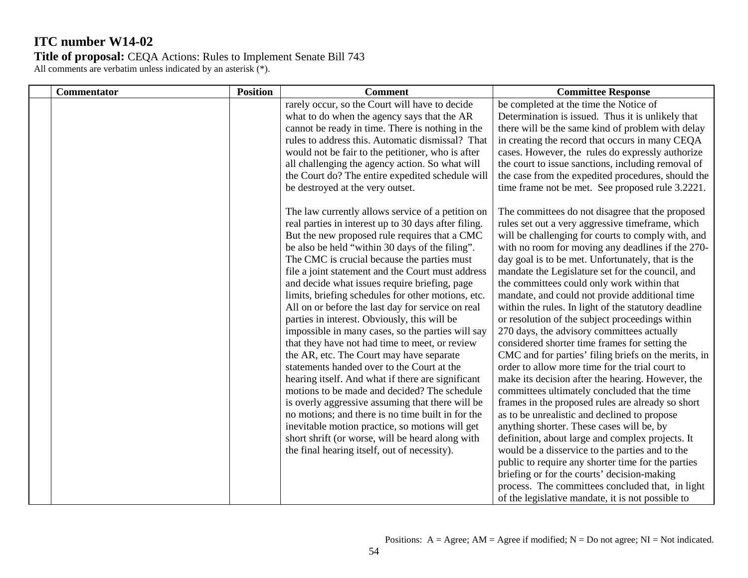| <b>Commentator</b> | <b>Position</b> | <b>Comment</b>                                                                                       | <b>Committee Response</b>                                                                 |
|--------------------|-----------------|------------------------------------------------------------------------------------------------------|-------------------------------------------------------------------------------------------|
|                    |                 | rarely occur, so the Court will have to decide                                                       | be completed at the time the Notice of                                                    |
|                    |                 | what to do when the agency says that the AR                                                          | Determination is issued. Thus it is unlikely that                                         |
|                    |                 | cannot be ready in time. There is nothing in the                                                     | there will be the same kind of problem with delay                                         |
|                    |                 | rules to address this. Automatic dismissal? That                                                     | in creating the record that occurs in many CEQA                                           |
|                    |                 | would not be fair to the petitioner, who is after                                                    | cases. However, the rules do expressly authorize                                          |
|                    |                 | all challenging the agency action. So what will                                                      | the court to issue sanctions, including removal of                                        |
|                    |                 | the Court do? The entire expedited schedule will                                                     | the case from the expedited procedures, should the                                        |
|                    |                 | be destroyed at the very outset.                                                                     | time frame not be met. See proposed rule 3.2221.                                          |
|                    |                 | The law currently allows service of a petition on                                                    | The committees do not disagree that the proposed                                          |
|                    |                 | real parties in interest up to 30 days after filing.                                                 | rules set out a very aggressive timeframe, which                                          |
|                    |                 | But the new proposed rule requires that a CMC                                                        | will be challenging for courts to comply with, and                                        |
|                    |                 | be also be held "within 30 days of the filing".                                                      | with no room for moving any deadlines if the 270-                                         |
|                    |                 | The CMC is crucial because the parties must                                                          | day goal is to be met. Unfortunately, that is the                                         |
|                    |                 | file a joint statement and the Court must address                                                    | mandate the Legislature set for the council, and                                          |
|                    |                 | and decide what issues require briefing, page                                                        | the committees could only work within that                                                |
|                    |                 | limits, briefing schedules for other motions, etc.                                                   | mandate, and could not provide additional time                                            |
|                    |                 | All on or before the last day for service on real                                                    | within the rules. In light of the statutory deadline                                      |
|                    |                 | parties in interest. Obviously, this will be                                                         | or resolution of the subject proceedings within                                           |
|                    |                 | impossible in many cases, so the parties will say                                                    | 270 days, the advisory committees actually                                                |
|                    |                 | that they have not had time to meet, or review                                                       | considered shorter time frames for setting the                                            |
|                    |                 | the AR, etc. The Court may have separate                                                             | CMC and for parties' filing briefs on the merits, in                                      |
|                    |                 | statements handed over to the Court at the                                                           | order to allow more time for the trial court to                                           |
|                    |                 | hearing itself. And what if there are significant                                                    | make its decision after the hearing. However, the                                         |
|                    |                 | motions to be made and decided? The schedule                                                         | committees ultimately concluded that the time                                             |
|                    |                 | is overly aggressive assuming that there will be                                                     | frames in the proposed rules are already so short                                         |
|                    |                 | no motions; and there is no time built in for the<br>inevitable motion practice, so motions will get | as to be unrealistic and declined to propose<br>anything shorter. These cases will be, by |
|                    |                 | short shrift (or worse, will be heard along with                                                     | definition, about large and complex projects. It                                          |
|                    |                 | the final hearing itself, out of necessity).                                                         | would be a disservice to the parties and to the                                           |
|                    |                 |                                                                                                      | public to require any shorter time for the parties                                        |
|                    |                 |                                                                                                      | briefing or for the courts' decision-making                                               |
|                    |                 |                                                                                                      | process. The committees concluded that, in light                                          |
|                    |                 |                                                                                                      | of the legislative mandate, it is not possible to                                         |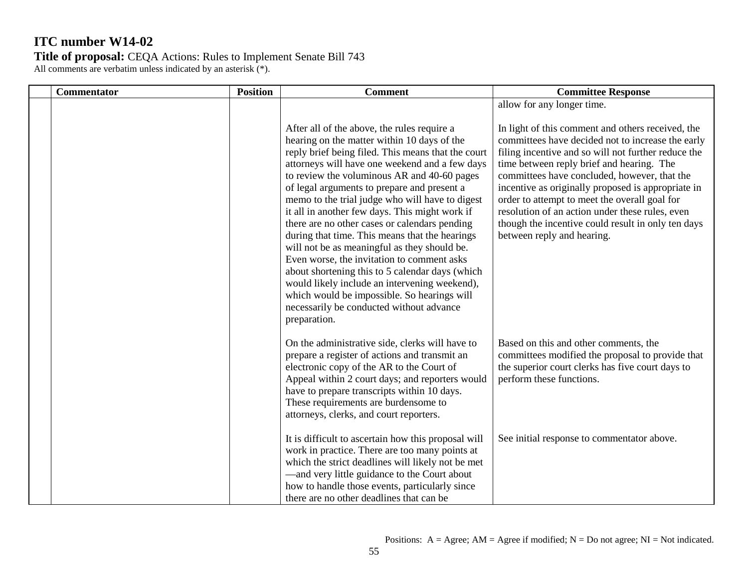| <b>Commentator</b> | <b>Position</b> | <b>Comment</b>                                                                                                                                                                                                                                                                                                                                                                                                                                                                                                                                                                                                                                                    | <b>Committee Response</b>                                                                                                                                                                                                                                                                                                               |
|--------------------|-----------------|-------------------------------------------------------------------------------------------------------------------------------------------------------------------------------------------------------------------------------------------------------------------------------------------------------------------------------------------------------------------------------------------------------------------------------------------------------------------------------------------------------------------------------------------------------------------------------------------------------------------------------------------------------------------|-----------------------------------------------------------------------------------------------------------------------------------------------------------------------------------------------------------------------------------------------------------------------------------------------------------------------------------------|
|                    |                 | After all of the above, the rules require a<br>hearing on the matter within 10 days of the<br>reply brief being filed. This means that the court                                                                                                                                                                                                                                                                                                                                                                                                                                                                                                                  | allow for any longer time.<br>In light of this comment and others received, the<br>committees have decided not to increase the early<br>filing incentive and so will not further reduce the                                                                                                                                             |
|                    |                 | attorneys will have one weekend and a few days<br>to review the voluminous AR and 40-60 pages<br>of legal arguments to prepare and present a<br>memo to the trial judge who will have to digest<br>it all in another few days. This might work if<br>there are no other cases or calendars pending<br>during that time. This means that the hearings<br>will not be as meaningful as they should be.<br>Even worse, the invitation to comment asks<br>about shortening this to 5 calendar days (which<br>would likely include an intervening weekend),<br>which would be impossible. So hearings will<br>necessarily be conducted without advance<br>preparation. | time between reply brief and hearing. The<br>committees have concluded, however, that the<br>incentive as originally proposed is appropriate in<br>order to attempt to meet the overall goal for<br>resolution of an action under these rules, even<br>though the incentive could result in only ten days<br>between reply and hearing. |
|                    |                 | On the administrative side, clerks will have to<br>prepare a register of actions and transmit an<br>electronic copy of the AR to the Court of<br>Appeal within 2 court days; and reporters would<br>have to prepare transcripts within 10 days.<br>These requirements are burdensome to<br>attorneys, clerks, and court reporters.                                                                                                                                                                                                                                                                                                                                | Based on this and other comments, the<br>committees modified the proposal to provide that<br>the superior court clerks has five court days to<br>perform these functions.                                                                                                                                                               |
|                    |                 | It is difficult to ascertain how this proposal will<br>work in practice. There are too many points at<br>which the strict deadlines will likely not be met<br>-and very little guidance to the Court about<br>how to handle those events, particularly since<br>there are no other deadlines that can be                                                                                                                                                                                                                                                                                                                                                          | See initial response to commentator above.                                                                                                                                                                                                                                                                                              |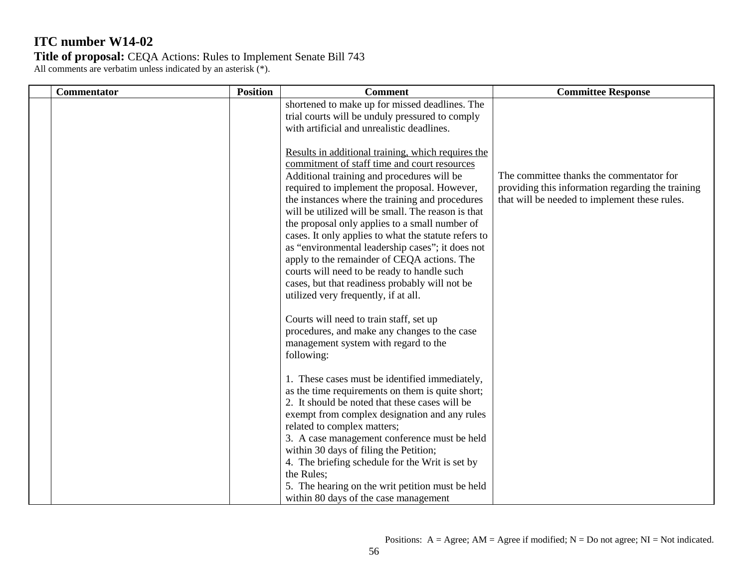| <b>Commentator</b> | <b>Position</b> | <b>Comment</b>                                                                                                                                                                                                                                                                                                                                                                                                                                                                                                                                                                                                                                                  | <b>Committee Response</b>                                                                                                                      |
|--------------------|-----------------|-----------------------------------------------------------------------------------------------------------------------------------------------------------------------------------------------------------------------------------------------------------------------------------------------------------------------------------------------------------------------------------------------------------------------------------------------------------------------------------------------------------------------------------------------------------------------------------------------------------------------------------------------------------------|------------------------------------------------------------------------------------------------------------------------------------------------|
|                    |                 | shortened to make up for missed deadlines. The<br>trial courts will be unduly pressured to comply<br>with artificial and unrealistic deadlines.                                                                                                                                                                                                                                                                                                                                                                                                                                                                                                                 |                                                                                                                                                |
|                    |                 | Results in additional training, which requires the<br>commitment of staff time and court resources<br>Additional training and procedures will be<br>required to implement the proposal. However,<br>the instances where the training and procedures<br>will be utilized will be small. The reason is that<br>the proposal only applies to a small number of<br>cases. It only applies to what the statute refers to<br>as "environmental leadership cases"; it does not<br>apply to the remainder of CEQA actions. The<br>courts will need to be ready to handle such<br>cases, but that readiness probably will not be<br>utilized very frequently, if at all. | The committee thanks the commentator for<br>providing this information regarding the training<br>that will be needed to implement these rules. |
|                    |                 | Courts will need to train staff, set up<br>procedures, and make any changes to the case<br>management system with regard to the<br>following:                                                                                                                                                                                                                                                                                                                                                                                                                                                                                                                   |                                                                                                                                                |
|                    |                 | 1. These cases must be identified immediately,<br>as the time requirements on them is quite short;<br>2. It should be noted that these cases will be<br>exempt from complex designation and any rules<br>related to complex matters;<br>3. A case management conference must be held<br>within 30 days of filing the Petition;<br>4. The briefing schedule for the Writ is set by<br>the Rules;<br>5. The hearing on the writ petition must be held                                                                                                                                                                                                             |                                                                                                                                                |
|                    |                 | within 80 days of the case management                                                                                                                                                                                                                                                                                                                                                                                                                                                                                                                                                                                                                           |                                                                                                                                                |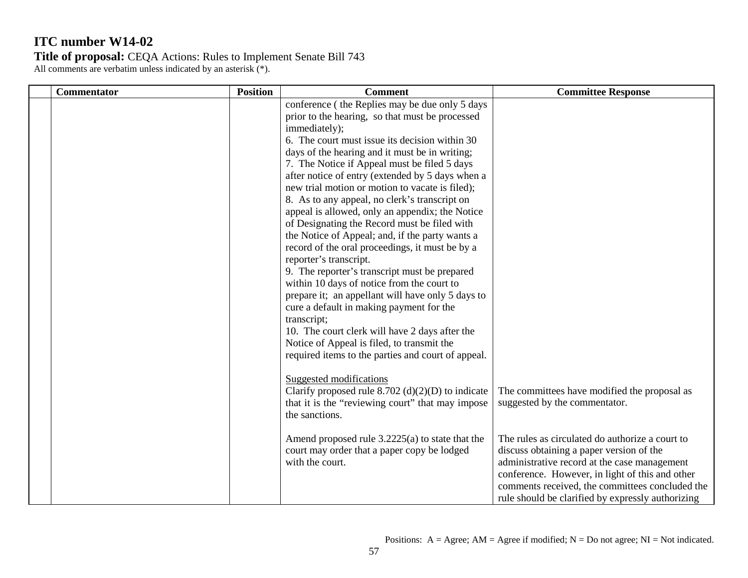| <b>Commentator</b> | <b>Position</b> | <b>Comment</b>                                                                                                                                                                                                                                                                                                                                                                                                                                                                                                                                                                                                                                                                                                                                                                                                                                                                                                                                                                                                                         | <b>Committee Response</b>                                                                                                                                                                                                                                                                              |
|--------------------|-----------------|----------------------------------------------------------------------------------------------------------------------------------------------------------------------------------------------------------------------------------------------------------------------------------------------------------------------------------------------------------------------------------------------------------------------------------------------------------------------------------------------------------------------------------------------------------------------------------------------------------------------------------------------------------------------------------------------------------------------------------------------------------------------------------------------------------------------------------------------------------------------------------------------------------------------------------------------------------------------------------------------------------------------------------------|--------------------------------------------------------------------------------------------------------------------------------------------------------------------------------------------------------------------------------------------------------------------------------------------------------|
|                    |                 | conference (the Replies may be due only 5 days<br>prior to the hearing, so that must be processed<br>immediately);<br>6. The court must issue its decision within 30<br>days of the hearing and it must be in writing;<br>7. The Notice if Appeal must be filed 5 days<br>after notice of entry (extended by 5 days when a<br>new trial motion or motion to vacate is filed);<br>8. As to any appeal, no clerk's transcript on<br>appeal is allowed, only an appendix; the Notice<br>of Designating the Record must be filed with<br>the Notice of Appeal; and, if the party wants a<br>record of the oral proceedings, it must be by a<br>reporter's transcript.<br>9. The reporter's transcript must be prepared<br>within 10 days of notice from the court to<br>prepare it; an appellant will have only 5 days to<br>cure a default in making payment for the<br>transcript;<br>10. The court clerk will have 2 days after the<br>Notice of Appeal is filed, to transmit the<br>required items to the parties and court of appeal. |                                                                                                                                                                                                                                                                                                        |
|                    |                 | Suggested modifications<br>Clarify proposed rule $8.702$ (d)(2)(D) to indicate<br>that it is the "reviewing court" that may impose<br>the sanctions.                                                                                                                                                                                                                                                                                                                                                                                                                                                                                                                                                                                                                                                                                                                                                                                                                                                                                   | The committees have modified the proposal as<br>suggested by the commentator.                                                                                                                                                                                                                          |
|                    |                 | Amend proposed rule $3.2225(a)$ to state that the<br>court may order that a paper copy be lodged<br>with the court.                                                                                                                                                                                                                                                                                                                                                                                                                                                                                                                                                                                                                                                                                                                                                                                                                                                                                                                    | The rules as circulated do authorize a court to<br>discuss obtaining a paper version of the<br>administrative record at the case management<br>conference. However, in light of this and other<br>comments received, the committees concluded the<br>rule should be clarified by expressly authorizing |